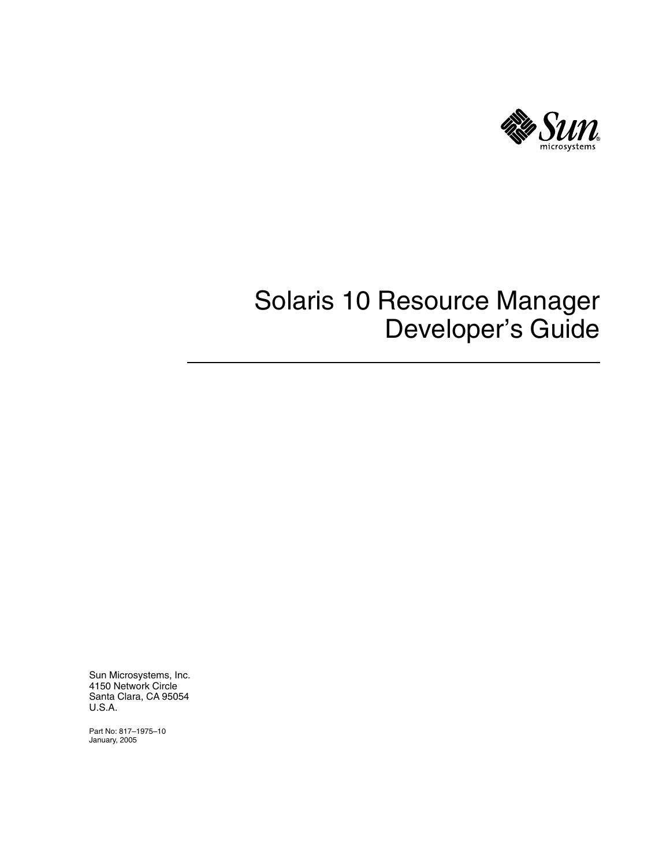

# Solaris 10 Resource Manager Developer's Guide

Sun Microsystems, Inc. 4150 Network Circle Santa Clara, CA 95054 U.S.A.

Part No: 817–1975–10 January, 2005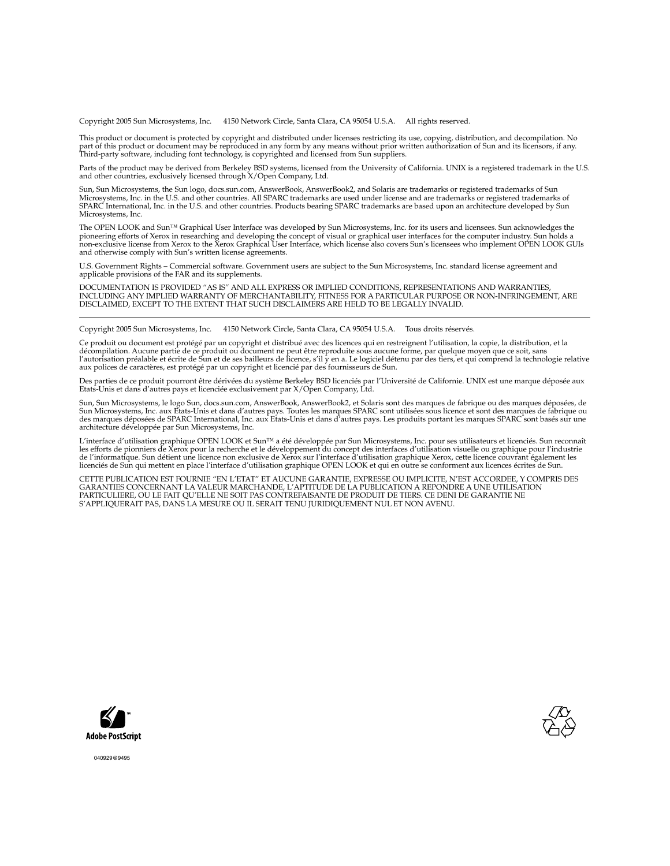Copyright 2005 Sun Microsystems, Inc. 4150 Network Circle, Santa Clara, CA 95054 U.S.A. All rights reserved.

This product or document is protected by copyright and distributed under licenses restricting its use, copying, distribution, and decompilation. No part of this product or document may be reproduced in any form by any means without prior written authorization of Sun and its licensors, if any.<br>Third-party software, including font technology, is copyrighted and licensed

Parts of the product may be derived from Berkeley BSD systems, licensed from the University of California. UNIX is a registered trademark in the U.S. and other countries, exclusively licensed through X/Open Company, Ltd.

Sun, Sun Microsystems, the Sun logo, docs.sun.com, AnswerBook, AnswerBook2, and Solaris are trademarks or registered trademarks of Sun<br>Microsystems, Inc. in the U.S. and other countries. All SPARC trademarks are used under Microsystems, Inc.

The OPEN LOOK and Sun™ Graphical User Interface was developed by Sun Microsystems, Inc. for its users and licensees. Sun acknowledges the pioneering efforts of Xerox in researching and developing the concept of visual or graphical user interfaces for the computer industry. Sun holds a<br>non-exclusive license from Xerox to the Xerox Graphical User Interface, wh and otherwise comply with Sun's written license agreements.

U.S. Government Rights – Commercial software. Government users are subject to the Sun Microsystems, Inc. standard license agreement and applicable provisions of the FAR and its supplements.

DOCUMENTATION IS PROVIDED "AS IS" AND ALL EXPRESS OR IMPLIED CONDITIONS, REPRESENTATIONS AND WARRANTIES,<br>INCLUDING ANY IMPLIED WARRANTY OF MERCHANTABILITY, FITNESS FOR A PARTICULAR PURPOSE OR NON-INFRINGEMENT, ARE<br>DISCLAIM

Copyright 2005 Sun Microsystems, Inc. 4150 Network Circle, Santa Clara, CA 95054 U.S.A. Tous droits réservés.

Ce produit ou document est protégé par un copyright et distribué avec des licences qui en restreignent l'utilisation, la copie, la distribution, et la décompilation. Aucune partie de ce produit ou document ne peut être reproduite sous aucune forme, par quelque moyen que ce soit, sans<br>l'autorisation préalable et écrite de Sun et de ses bailleurs de licence, s'il y en a. L

Des parties de ce produit pourront être dérivées du système Berkeley BSD licenciés par l'Université de Californie. UNIX est une marque déposée aux Etats-Unis et dans d'autres pays et licenciée exclusivement par X/Open Company, Ltd.

Sun, Sun Microsystems, le logo Sun, docs.sun.com, AnswerBook, AnswerBook2, et Solaris sont des marques de fabrique ou des marques déposées, de<br>Sun Microsystems, Inc. aux Etats-Unis et dans d'autres pays. Toutes les marques architecture développée par Sun Microsystems, Inc.

L'interface d'utilisation graphique OPEN LOOK et Sun™a été développée par Sun Microsystems, Inc. pour ses utilisateurs et licenciés. Sun reconnaît<br>les efforts de pionniers de Xerox pour la recherche et le développement du de l'informatique. Sun détient une licence non exclusive de Xerox sur l'interface d'utilisation graphique Xerox, cette licence couvrant également les<br>licenciés de Sun qui mettent en place l'interface d'utilisation graphiqu

CETTE PUBLICATION EST FOURNIE "EN L'ETAT" ET AUCUNE GARANTIE, EXPRESSE OU IMPLICITE, N'EST ACCORDEE, Y COMPRIS DES GARANTIES CONCERNANT LA VALEUR MARCHANDE, L'APTITUDE DE LA PUBLICATION A REPONDRE A UNE UTILISATION<br>PARTICULIERE, OU LE FAIT QU'ELLE NE SOIT PAS CONTREFAISANTE DE PRODUIT DE TIERS. CE DENI DE GARANTIE NE<br>S'APPLIQUERAIT PAS





040929@9495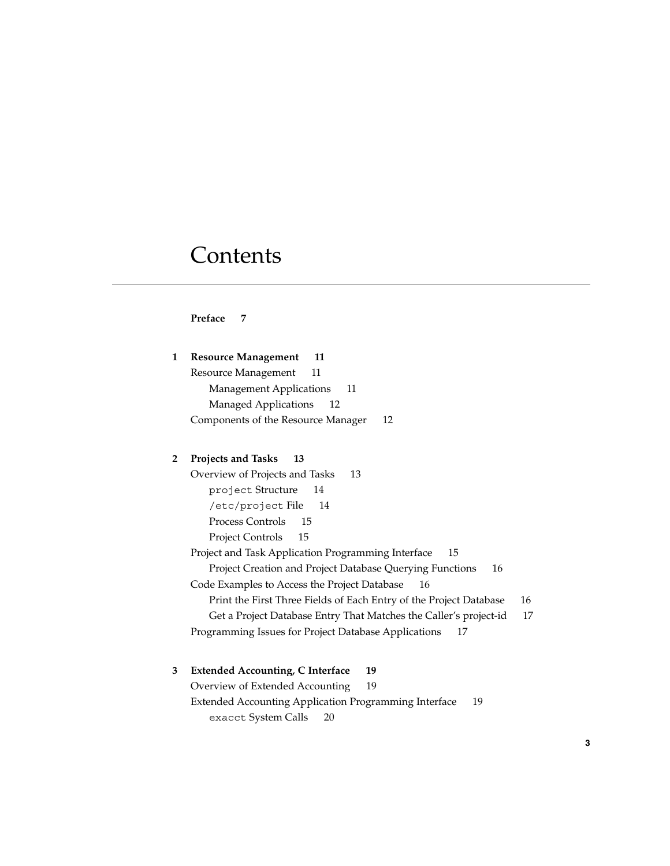# **Contents**

#### **[Preface 7](#page-6-0)**

| 1 | <b>Resource Management</b><br>11                                         |
|---|--------------------------------------------------------------------------|
|   | Resource Management<br>11                                                |
|   | <b>Management Applications</b><br>11                                     |
|   | Managed Applications<br>12                                               |
|   | Components of the Resource Manager<br>12                                 |
| 2 | <b>Projects and Tasks</b><br>13                                          |
|   | Overview of Projects and Tasks<br>13                                     |
|   | project Structure<br>14                                                  |
|   | /etc/project File<br>14                                                  |
|   | <b>Process Controls</b><br>15                                            |
|   | Project Controls<br>15                                                   |
|   | Project and Task Application Programming Interface<br>15                 |
|   | Project Creation and Project Database Querying Functions<br>16           |
|   | Code Examples to Access the Project Database<br>16                       |
|   | Print the First Three Fields of Each Entry of the Project Database<br>16 |
|   | Get a Project Database Entry That Matches the Caller's project-id<br>17  |
|   | Programming Issues for Project Database Applications<br>17               |
|   |                                                                          |
| 3 | <b>Extended Accounting, C Interface</b><br>19                            |
|   | Overview of Extended Accounting<br>19                                    |
|   | Extended Accounting Application Programming Interface<br>19              |

exacct [System Calls 20](#page-19-0)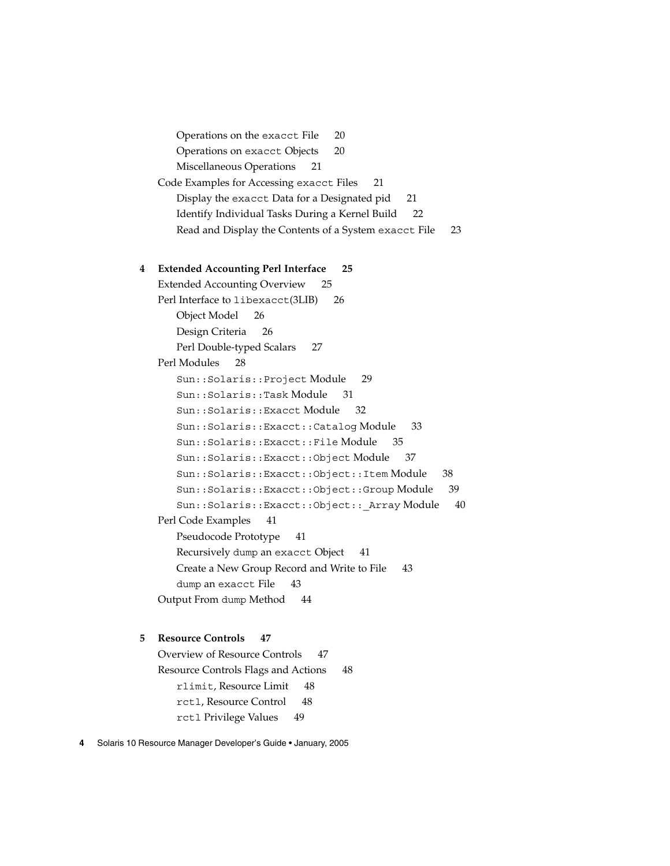[Operations on the](#page-19-0) exacct File 20 [Operations on](#page-19-0) exacct Objects 20 [Miscellaneous Operations 21](#page-20-0) [Code Examples for Accessing](#page-20-0) exacct Files 21 Display the exacct [Data for a Designated pid 21](#page-20-0) [Identify Individual Tasks During a Kernel Build 22](#page-21-0) [Read and Display the Contents of a System](#page-22-0) exacct File 23 **[4 Extended Accounting Perl Interface 25](#page-24-0)** [Extended Accounting Overview 25](#page-24-0) [Perl Interface to](#page-25-0) libexacct(3LIB) 26 [Object Model 26](#page-25-0) [Design Criteria 26](#page-25-0) [Perl Double-typed Scalars 27](#page-26-0) [Perl Modules 28](#page-27-0) [Sun::Solaris::Project](#page-28-0) Module 29 [Sun::Solaris::Task](#page-30-0) Module 31 [Sun::Solaris::Exacct](#page-31-0) Module 32 [Sun::Solaris::Exacct::Catalog](#page-32-0) Module 33 [Sun::Solaris::Exacct::File](#page-34-0) Module 35 [Sun::Solaris::Exacct::Object](#page-36-0) Module 37 [Sun::Solaris::Exacct::Object::Item](#page-37-0) Module 38 [Sun::Solaris::Exacct::Object::Group](#page-38-0) Module 39 [Sun::Solaris::Exacct::Object::\\_Array](#page-39-0) Module 40 [Perl Code Examples 41](#page-40-0) [Pseudocode Prototype 41](#page-40-0) Recursively dump an exacct [Object 41](#page-40-0) [Create a New Group Record and Write to File 43](#page-42-0) dump an exacct [File 43](#page-42-0) Output From dump [Method 44](#page-43-0) **[5 Resource Controls 47](#page-46-0)**

[Overview of Resource Controls 47](#page-46-0) [Resource Controls Flags and Actions 48](#page-47-0) rlimit[, Resource Limit 48](#page-47-0) rctl[, Resource Control 48](#page-47-0) rctl [Privilege Values 49](#page-48-0)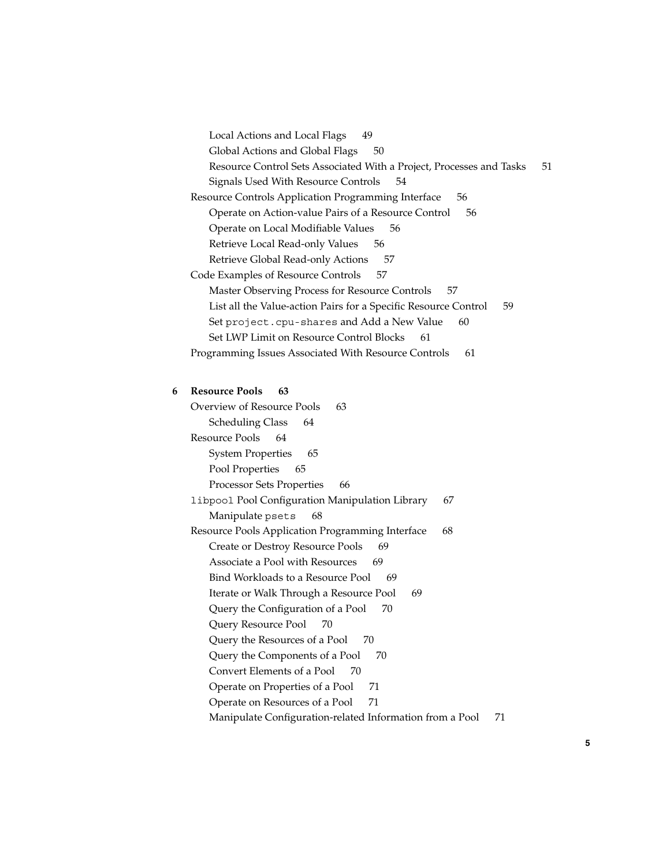[Local Actions and Local Flags 49](#page-48-0) [Global Actions and Global Flags 50](#page-49-0) [Resource Control Sets Associated With a Project, Processes and Tasks 51](#page-50-0) [Signals Used With Resource Controls 54](#page-53-0) [Resource Controls Application Programming Interface 56](#page-55-0) [Operate on Action-value Pairs of a Resource Control 56](#page-55-0) [Operate on Local Modifiable Values 56](#page-55-0) [Retrieve Local Read-only Values 56](#page-55-0) [Retrieve Global Read-only Actions 57](#page-56-0) [Code Examples of Resource Controls 57](#page-56-0) [Master Observing Process for Resource Controls 57](#page-56-0) [List all the Value-action Pairs for a Specific Resource Control 59](#page-58-0) Set project.cpu-shares [and Add a New Value 60](#page-59-0) [Set LWP Limit on Resource Control Blocks 61](#page-60-0) [Programming Issues Associated With Resource Controls 61](#page-60-0)

#### **[6 Resource Pools 63](#page-62-0)**

[Overview of Resource Pools 63](#page-62-0) [Scheduling Class 64](#page-63-0) [Resource Pools 64](#page-63-0) [System Properties 65](#page-64-0) [Pool Properties 65](#page-64-0) [Processor Sets Properties 66](#page-65-0) libpool [Pool Configuration Manipulation Library 67](#page-66-0) [Manipulate](#page-67-0) psets 68 [Resource Pools Application Programming Interface 68](#page-67-0) [Create or Destroy Resource Pools 69](#page-68-0) [Associate a Pool with Resources 69](#page-68-0) [Bind Workloads to a Resource Pool 69](#page-68-0) [Iterate or Walk Through a Resource Pool 69](#page-68-0) [Query the Configuration of a Pool 70](#page-69-0) [Query Resource Pool 70](#page-69-0) [Query the Resources of a Pool 70](#page-69-0) [Query the Components of a Pool 70](#page-69-0) [Convert Elements of a Pool 70](#page-69-0) [Operate on Properties of a Pool 71](#page-70-0) [Operate on Resources of a Pool 71](#page-70-0) [Manipulate Configuration-related Information from a Pool 71](#page-70-0)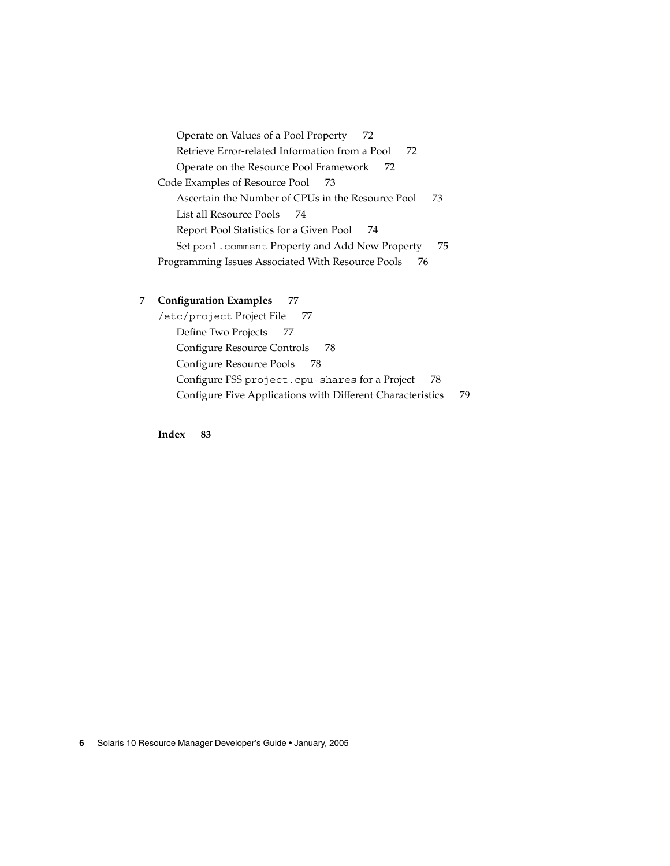[Operate on Values of a Pool Property 72](#page-71-0) [Retrieve Error-related Information from a Pool 72](#page-71-0) [Operate on the Resource Pool Framework 72](#page-71-0) [Code Examples of Resource Pool 73](#page-72-0) [Ascertain the Number of CPUs in the Resource Pool 73](#page-72-0) [List all Resource Pools 74](#page-73-0) [Report Pool Statistics for a Given Pool 74](#page-73-0) Set pool.comment [Property and Add New Property 75](#page-74-0) [Programming Issues Associated With Resource Pools 76](#page-75-0)

#### **[7 Configuration Examples 77](#page-76-0)**

/etc/project [Project File 77](#page-76-0) [Define Two Projects 77](#page-76-0) [Configure Resource Controls 78](#page-77-0) [Configure Resource Pools 78](#page-77-0) Configure FSS [project.cpu-shares](#page-77-0) for a Project 78 [Configure Five Applications with Different Characteristics 79](#page-78-0)

**[Index 83](#page-82-0)**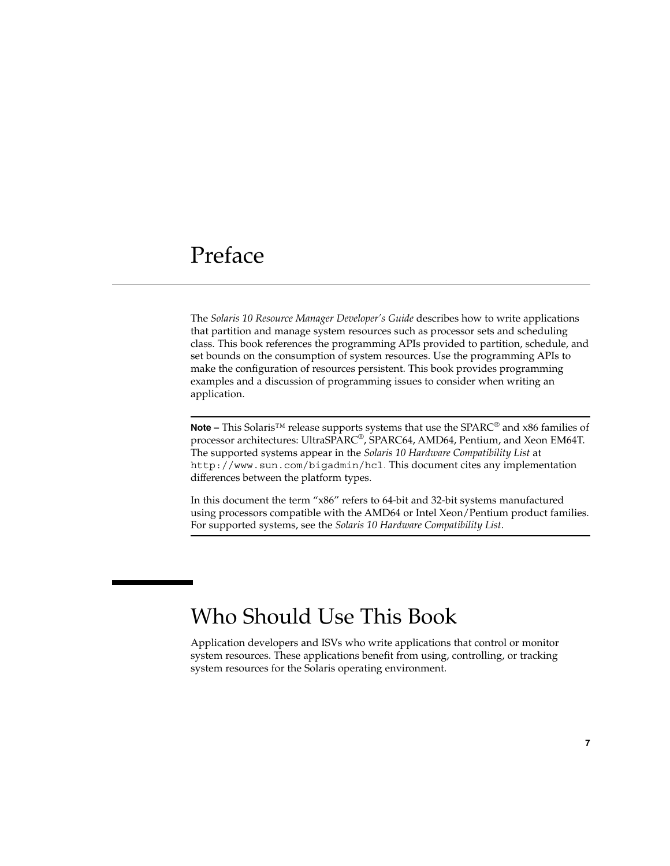# <span id="page-6-0"></span>Preface

The *Solaris 10 Resource Manager Developer's Guide* describes how to write applications that partition and manage system resources such as processor sets and scheduling class. This book references the programming APIs provided to partition, schedule, and set bounds on the consumption of system resources. Use the programming APIs to make the configuration of resources persistent. This book provides programming examples and a discussion of programming issues to consider when writing an application.

**Note –** This Solaris™ release supports systems that use the SPARC® and x86 families of processor architectures: UltraSPARC®, SPARC64, AMD64, Pentium, and Xeon EM64T. The supported systems appear in the *Solaris 10 Hardware Compatibility List* at <http://www.sun.com/bigadmin/hcl>. This document cites any implementation differences between the platform types.

In this document the term "x86" refers to 64-bit and 32-bit systems manufactured using processors compatible with the AMD64 or Intel Xeon/Pentium product families. For supported systems, see the *Solaris 10 Hardware Compatibility List*.

# Who Should Use This Book

Application developers and ISVs who write applications that control or monitor system resources. These applications benefit from using, controlling, or tracking system resources for the Solaris operating environment.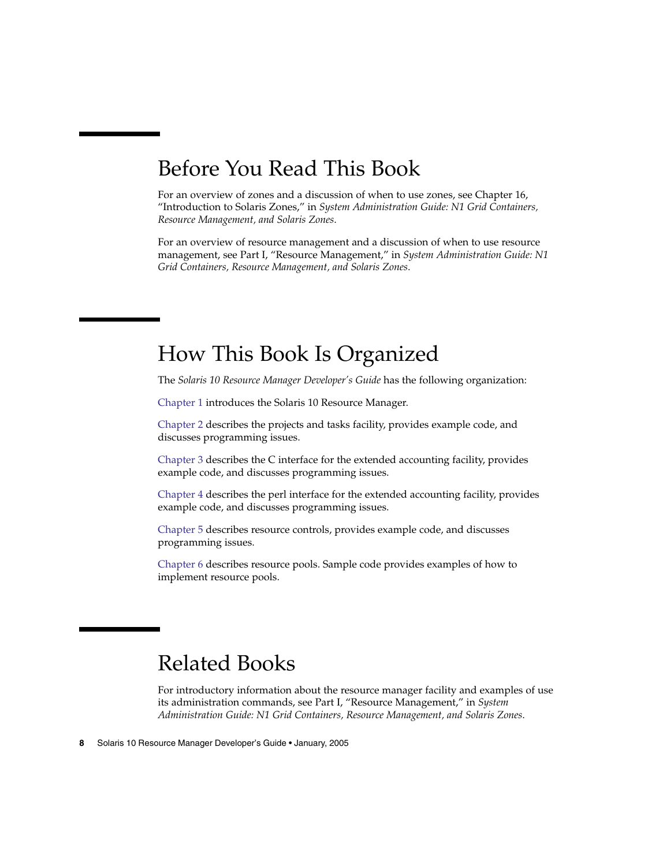## Before You Read This Book

For an overview of zones and a discussion of when to use zones, see Chapter 16, "Introduction to Solaris Zones," in *System Administration Guide: N1 Grid Containers, Resource Management, and Solaris Zones*.

For an overview of resource management and a discussion of when to use resource management, see Part I, "Resource Management," in *System Administration Guide: N1 Grid Containers, Resource Management, and Solaris Zones*.

# How This Book Is Organized

The *Solaris 10 Resource Manager Developer's Guide* has the following organization:

[Chapter 1](#page-10-0) introduces the Solaris 10 Resource Manager.

[Chapter 2](#page-12-0) describes the projects and tasks facility, provides example code, and discusses programming issues.

[Chapter 3](#page-18-0) describes the C interface for the extended accounting facility, provides example code, and discusses programming issues.

[Chapter 4](#page-24-0) describes the perl interface for the extended accounting facility, provides example code, and discusses programming issues.

[Chapter 5](#page-46-0) describes resource controls, provides example code, and discusses programming issues.

[Chapter 6](#page-62-0) describes resource pools. Sample code provides examples of how to implement resource pools.

# Related Books

For introductory information about the resource manager facility and examples of use its administration commands, see Part I, "Resource Management," in *System Administration Guide: N1 Grid Containers, Resource Management, and Solaris Zones*.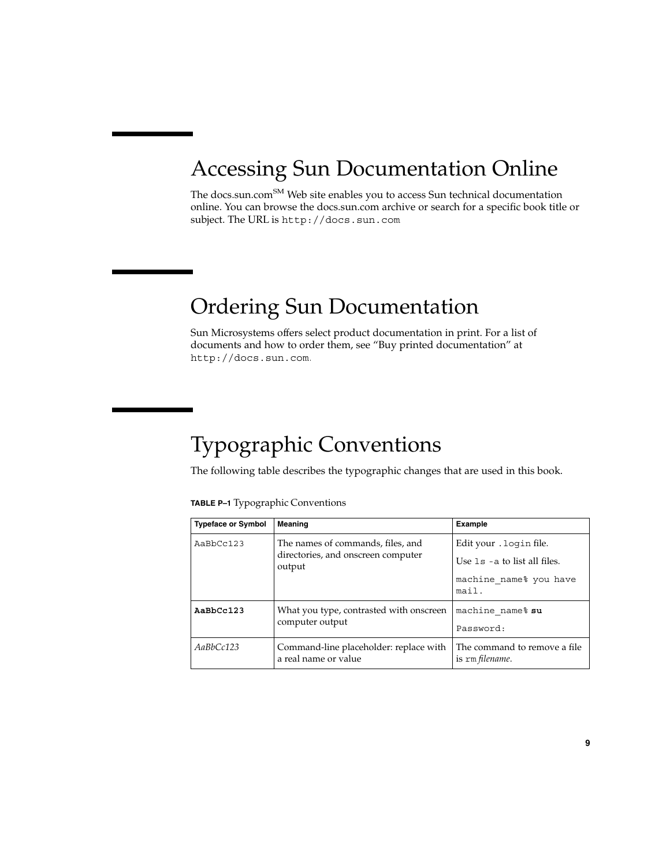# Accessing Sun Documentation Online

The docs.sun.com<sup>SM</sup> Web site enables you to access Sun technical documentation online. You can browse the docs.sun.com archive or search for a specific book title or subject. The URL is <http://docs.sun.com>.

# Ordering Sun Documentation

Sun Microsystems offers select product documentation in print. For a list of documents and how to order them, see "Buy printed documentation" at <http://docs.sun.com>.

# Typographic Conventions

The following table describes the typographic changes that are used in this book.

#### **TABLE P–1** Typographic Conventions

| <b>Typeface or Symbol</b> | <b>Meaning</b>                                                                    | <b>Example</b>                                             |
|---------------------------|-----------------------------------------------------------------------------------|------------------------------------------------------------|
| AaBbCc123                 | The names of commands, files, and<br>directories, and onscreen computer<br>output | Edit your . login file.<br>Use $1s$ - a to list all files. |
|                           |                                                                                   | machine name% you have<br>mail.                            |
| AaBbCc123                 | What you type, contrasted with onscreen                                           | machine name% su                                           |
|                           | computer output                                                                   | Password:                                                  |
| AaBbCc123                 | Command-line placeholder: replace with<br>a real name or value                    | The command to remove a file<br>is rm filename.            |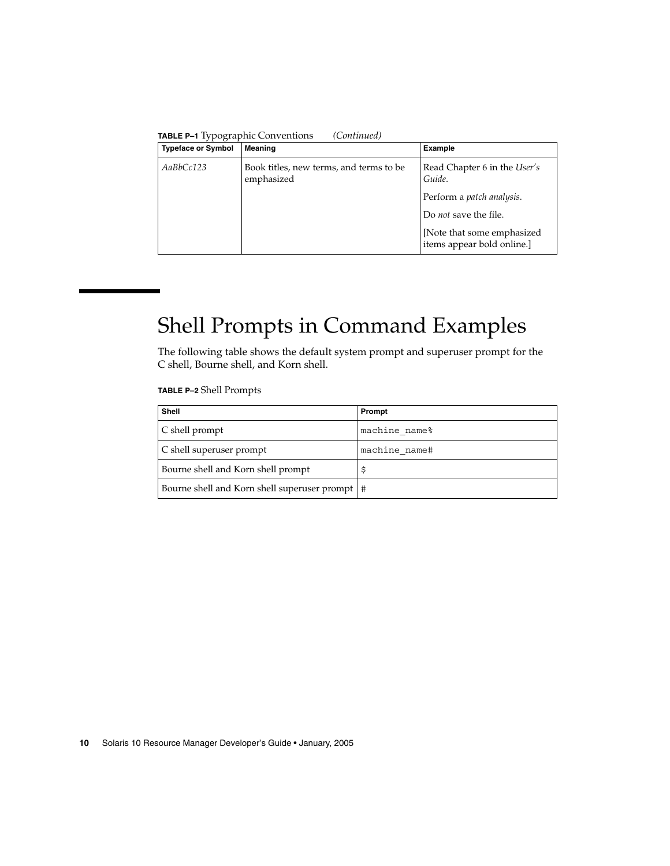| TABLE P-1 Typographic Conventions | (Continued) |
|-----------------------------------|-------------|
|                                   |             |

| <b>Typeface or Symbol</b> | Meaning                                               | <b>Example</b>                                            |
|---------------------------|-------------------------------------------------------|-----------------------------------------------------------|
| AaBbCc123                 | Book titles, new terms, and terms to be<br>emphasized | Read Chapter 6 in the <i>User's</i><br>Guide.             |
|                           |                                                       | Perform a <i>patch analysis</i> .                         |
|                           |                                                       | Do <i>not</i> save the file.                              |
|                           |                                                       | [Note that some emphasized]<br>items appear bold online.] |

# Shell Prompts in Command Examples

The following table shows the default system prompt and superuser prompt for the C shell, Bourne shell, and Korn shell.

**TABLE P–2** Shell Prompts

| <b>Shell</b>                                     | Prompt        |
|--------------------------------------------------|---------------|
| C shell prompt                                   | machine name% |
| C shell superuser prompt                         | machine name# |
| Bourne shell and Korn shell prompt               |               |
| Bourne shell and Korn shell superuser prompt   # |               |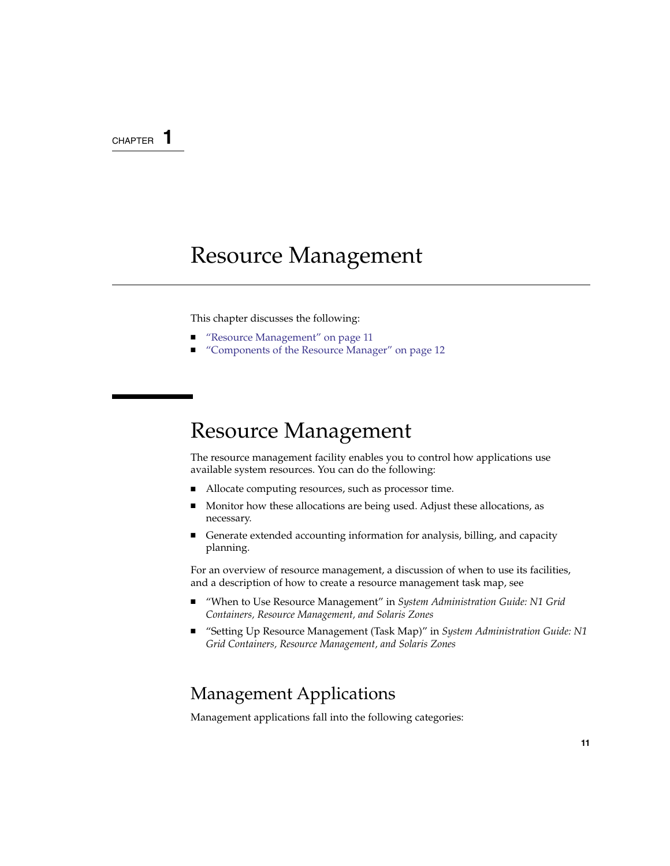#### <span id="page-10-0"></span>CHAPTER **1**

# Resource Management

This chapter discusses the following:

- "Resource Management" on page 11
- ["Components of the Resource Manager"](#page-11-0) on page 12

## Resource Management

The resource management facility enables you to control how applications use available system resources. You can do the following:

- Allocate computing resources, such as processor time.
- Monitor how these allocations are being used. Adjust these allocations, as necessary.
- Generate extended accounting information for analysis, billing, and capacity planning.

For an overview of resource management, a discussion of when to use its facilities, and a description of how to create a resource management task map, see

- "When to Use Resource Management" in *System Administration Guide: N1 Grid Containers, Resource Management, and Solaris Zones*
- "Setting Up Resource Management (Task Map)" in *System Administration Guide: N1 Grid Containers, Resource Management, and Solaris Zones*

### Management Applications

Management applications fall into the following categories: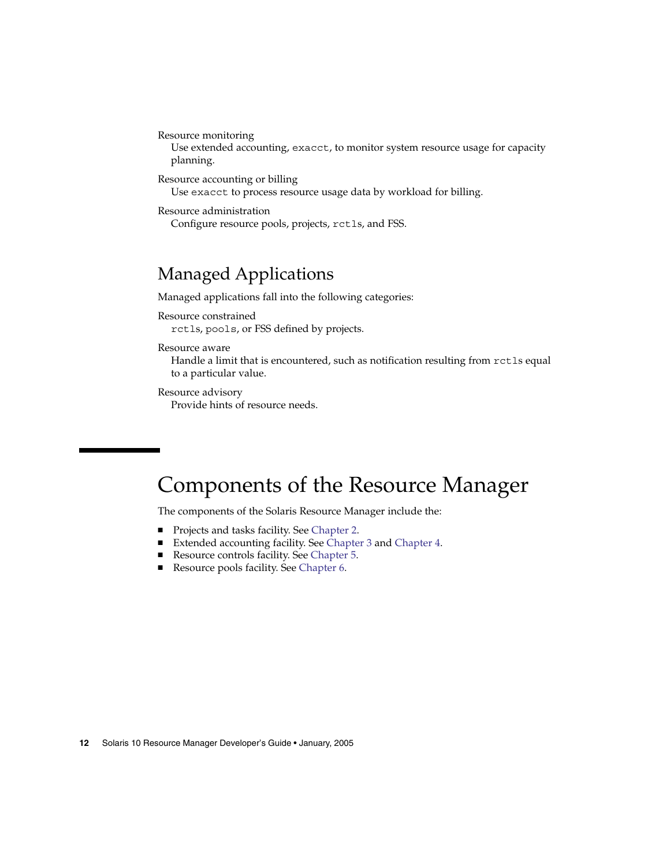<span id="page-11-0"></span>Resource monitoring

Use extended accounting, exacct, to monitor system resource usage for capacity planning.

#### Resource accounting or billing

Use exacct to process resource usage data by workload for billing.

Resource administration

Configure resource pools, projects, rctls, and FSS.

### Managed Applications

Managed applications fall into the following categories:

Resource constrained rctls, pools, or FSS defined by projects.

#### Resource aware

Handle a limit that is encountered, such as notification resulting from rctls equal to a particular value.

Resource advisory

Provide hints of resource needs.

# Components of the Resource Manager

The components of the Solaris Resource Manager include the:

- Projects and tasks facility. See [Chapter 2.](#page-12-0)
- Extended accounting facility. See [Chapter 3](#page-18-0) and [Chapter 4.](#page-24-0)
- Resource controls facility. See [Chapter 5.](#page-46-0)
- Resource pools facility. See [Chapter 6.](#page-62-0)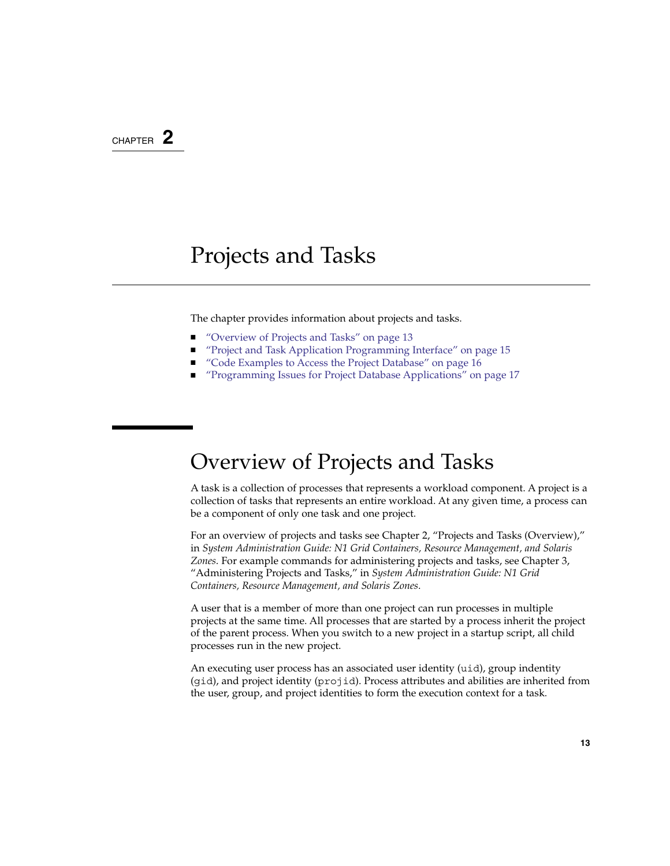#### <span id="page-12-0"></span>CHAPTER **2**

## Projects and Tasks

The chapter provides information about projects and tasks.

- "Overview of Projects and Tasks" on page 13
- ["Project and Task Application Programming Interface"](#page-14-0) on page 15
- ["Code Examples to Access the Project Database"](#page-15-0) on page 16
- ["Programming Issues for Project Database Applications"](#page-16-0) on page 17

## Overview of Projects and Tasks

A task is a collection of processes that represents a workload component. A project is a collection of tasks that represents an entire workload. At any given time, a process can be a component of only one task and one project.

For an overview of projects and tasks see Chapter 2, "Projects and Tasks (Overview)," in *System Administration Guide: N1 Grid Containers, Resource Management, and Solaris Zones*. For example commands for administering projects and tasks, see Chapter 3, "Administering Projects and Tasks," in *System Administration Guide: N1 Grid Containers, Resource Management, and Solaris Zones*.

A user that is a member of more than one project can run processes in multiple projects at the same time. All processes that are started by a process inherit the project of the parent process. When you switch to a new project in a startup script, all child processes run in the new project.

An executing user process has an associated user identity (uid), group indentity (gid), and project identity (projid). Process attributes and abilities are inherited from the user, group, and project identities to form the execution context for a task.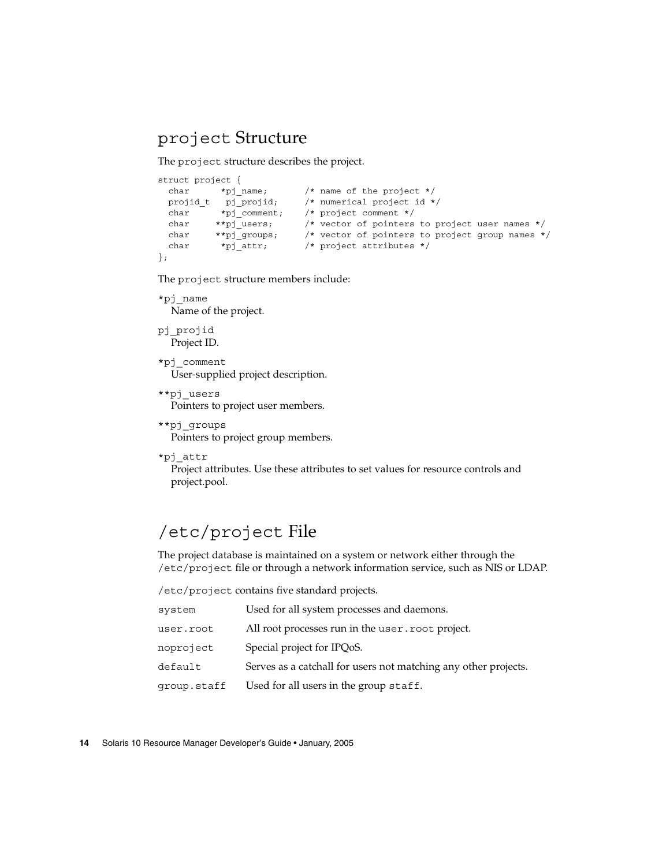### <span id="page-13-0"></span>project Structure

The project structure describes the project.

```
struct project {
  char *pj name; /* name of the project */projid t pj projid; /* numerical project id */
  char *pj comment; /* project comment */
  char **pj users; /* vector of pointers to project user names */
 char *pj_comment; f project community;<br>char **pj_users; f vector of pointers to project user names */<br>char **pj_groups; f vector of pointers to project group names */
 char *pj_attr; /* project attributes */
};
```
The project structure members include:

\*pj\_name Name of the project.

pj\_projid Project ID.

- \*pj\_comment User-supplied project description.
- \*\*pj\_users Pointers to project user members.
- \*\*pj\_groups Pointers to project group members.
- \*pj\_attr

Project attributes. Use these attributes to set values for resource controls and project.pool.

### /etc/project File

The project database is maintained on a system or network either through the /etc/project file or through a network information service, such as NIS or LDAP.

/etc/project contains five standard projects.

| system      | Used for all system processes and daemons.                      |
|-------------|-----------------------------------------------------------------|
| user.root   | All root processes run in the user. root project.               |
| noproject   | Special project for IPQoS.                                      |
| default     | Serves as a catchall for users not matching any other projects. |
| group.staff | Used for all users in the group staff.                          |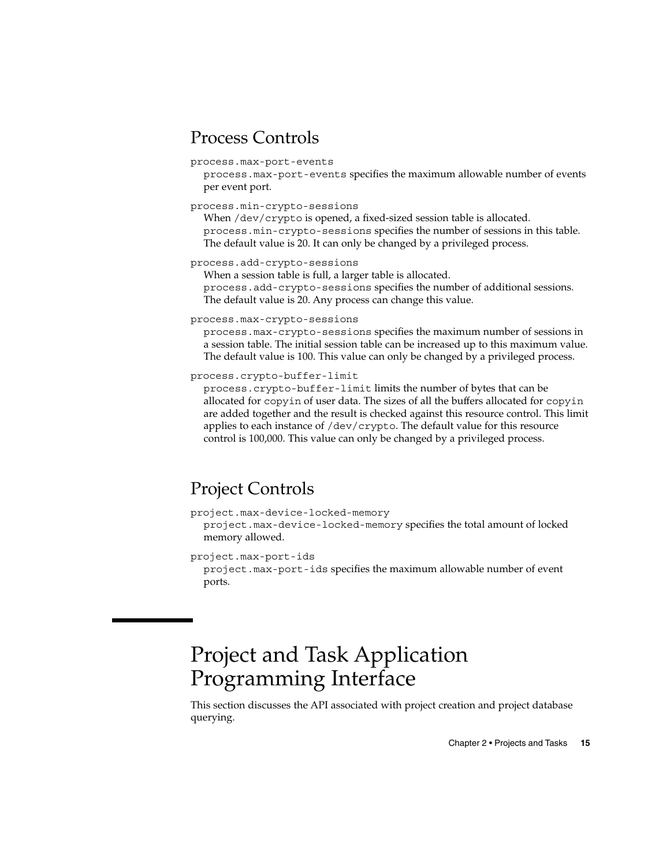### <span id="page-14-0"></span>Process Controls

process.max-port-events

process.max-port-events specifies the maximum allowable number of events per event port.

process.min-crypto-sessions

When /dev/crypto is opened, a fixed-sized session table is allocated. process.min-crypto-sessions specifies the number of sessions in this table. The default value is 20. It can only be changed by a privileged process.

process.add-crypto-sessions

When a session table is full, a larger table is allocated. process.add-crypto-sessions specifies the number of additional sessions. The default value is 20. Any process can change this value.

process.max-crypto-sessions

process.max-crypto-sessions specifies the maximum number of sessions in a session table. The initial session table can be increased up to this maximum value. The default value is 100. This value can only be changed by a privileged process.

process.crypto-buffer-limit

process.crypto-buffer-limit limits the number of bytes that can be allocated for copyin of user data. The sizes of all the buffers allocated for copyin are added together and the result is checked against this resource control. This limit applies to each instance of /dev/crypto. The default value for this resource control is 100,000. This value can only be changed by a privileged process.

### Project Controls

```
project.max-device-locked-memory
```
project.max-device-locked-memory specifies the total amount of locked memory allowed.

project.max-port-ids

project.max-port-ids specifies the maximum allowable number of event ports.

# Project and Task Application Programming Interface

This section discusses the API associated with project creation and project database querying.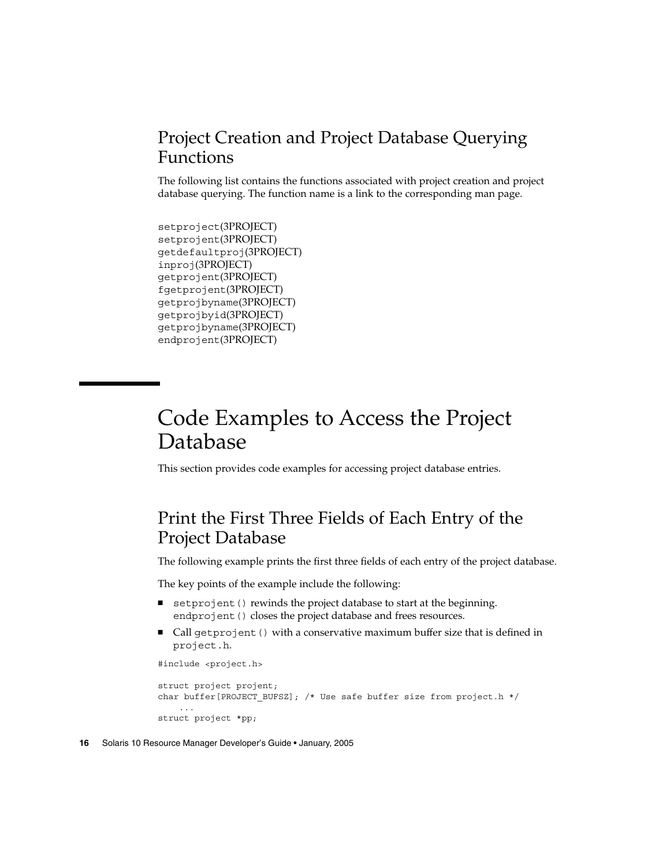### <span id="page-15-0"></span>Project Creation and Project Database Querying Functions

The following list contains the functions associated with project creation and project database querying. The function name is a link to the corresponding man page.

```
setproject(3PROJECT)
setprojent(3PROJECT)
getdefaultproj(3PROJECT)
inproj(3PROJECT)
getprojent(3PROJECT)
fgetprojent(3PROJECT)
getprojbyname(3PROJECT)
getprojbyid(3PROJECT)
getprojbyname(3PROJECT)
endprojent(3PROJECT)
```
# Code Examples to Access the Project Database

This section provides code examples for accessing project database entries.

### Print the First Three Fields of Each Entry of the Project Database

The following example prints the first three fields of each entry of the project database.

The key points of the example include the following:

- setprojent () rewinds the project database to start at the beginning. endprojent() closes the project database and frees resources.
- Call getprojent () with a conservative maximum buffer size that is defined in project.h.

#include <project.h>

```
struct project projent;
char buffer[PROJECT_BUFSZ]; /* Use safe buffer size from project.h */
    ...
struct project *pp;
```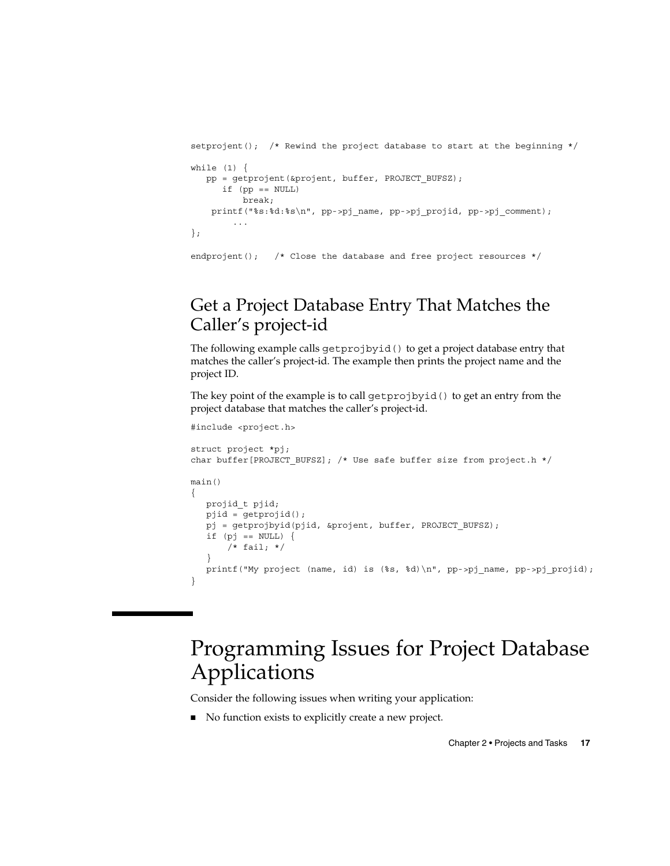```
setprojent(); /* Rewind the project database to start at the beginning */while (1) {
  pp = getprojent(&projent, buffer, PROJECT_BUFSZ);
     if (pp == NULL)
         break;
   printf("%s:%d:%s\n", pp->pj_name, pp->pj_projid, pp->pj_comment);
        ...
};
endprojent(); /* Close the database and free project resources */
```
### Get a Project Database Entry That Matches the Caller's project-id

The following example calls getprojbyid() to get a project database entry that matches the caller's project-id. The example then prints the project name and the project ID.

The key point of the example is to call getprojbyid() to get an entry from the project database that matches the caller's project-id.

```
#include <project.h>
struct project *pj;
char buffer[PROJECT BUFSZ]; /* Use safe buffer size from project.h */
main()
{
  projid_t pjid;
  pjid = getprojid();
  pj = getprojbyid(pjid, &projent, buffer, PROJECT_BUFSZ);
  if (pj == NULL) {
       /* fail; */}
  printf("My project (name, id) is (%s, %d)\n", pp->pj_name, pp->pj_projid);
}
```
# Programming Issues for Project Database Applications

Consider the following issues when writing your application:

■ No function exists to explicitly create a new project.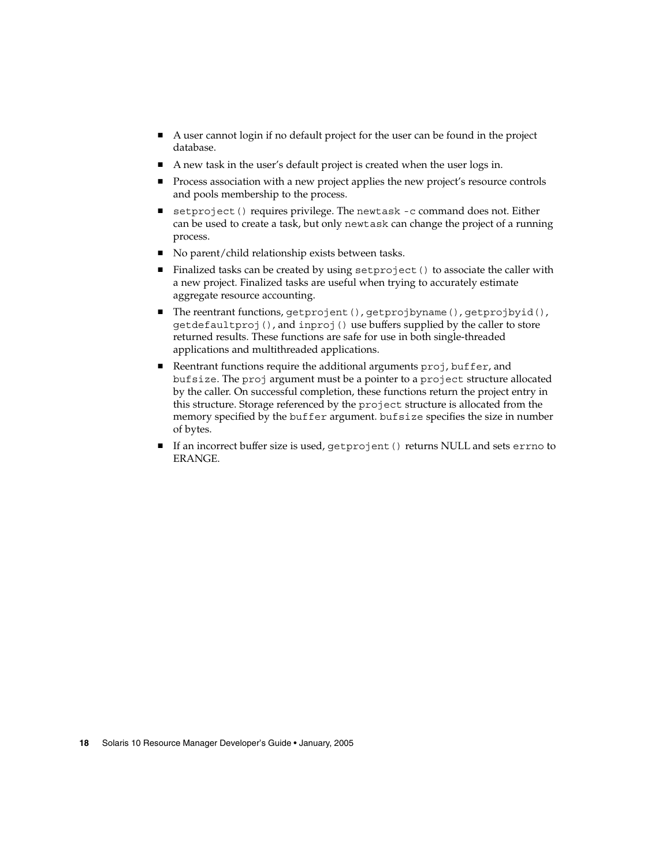- A user cannot login if no default project for the user can be found in the project database.
- A new task in the user's default project is created when the user logs in.
- Process association with a new project applies the new project's resource controls and pools membership to the process.
- setproject () requires privilege. The newtask -c command does not. Either can be used to create a task, but only newtask can change the project of a running process.
- No parent/child relationship exists between tasks.
- Finalized tasks can be created by using setproject () to associate the caller with a new project. Finalized tasks are useful when trying to accurately estimate aggregate resource accounting.
- The reentrant functions, getprojent(), getprojbyname(), getprojbyid(), getdefaultproj(), and inproj() use buffers supplied by the caller to store returned results. These functions are safe for use in both single-threaded applications and multithreaded applications.
- Reentrant functions require the additional arguments proj, buffer, and bufsize. The proj argument must be a pointer to a project structure allocated by the caller. On successful completion, these functions return the project entry in this structure. Storage referenced by the project structure is allocated from the memory specified by the buffer argument. bufsize specifies the size in number of bytes.
- If an incorrect buffer size is used, getprojent () returns NULL and sets errno to ERANGE.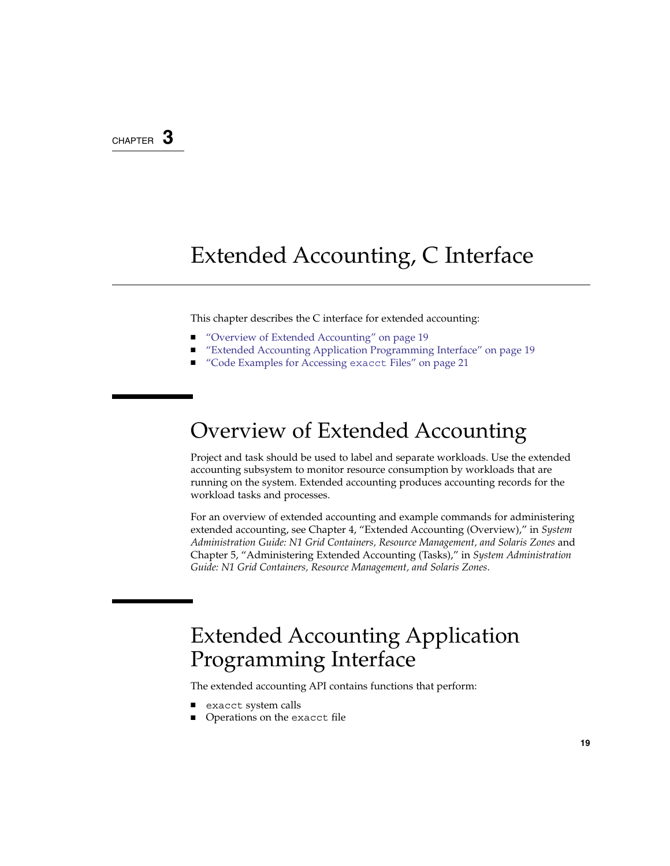### <span id="page-18-0"></span>CHAPTER **3**

# Extended Accounting, C Interface

This chapter describes the C interface for extended accounting:

- "Overview of Extended Accounting" on page 19
- "Extended Accounting Application Programming Interface" on page 19
- ["Code Examples for Accessing](#page-20-0) exacct Files" on page 21

## Overview of Extended Accounting

Project and task should be used to label and separate workloads. Use the extended accounting subsystem to monitor resource consumption by workloads that are running on the system. Extended accounting produces accounting records for the workload tasks and processes.

For an overview of extended accounting and example commands for administering extended accounting, see Chapter 4, "Extended Accounting (Overview)," in *System Administration Guide: N1 Grid Containers, Resource Management, and Solaris Zones* and Chapter 5, "Administering Extended Accounting (Tasks)," in *System Administration Guide: N1 Grid Containers, Resource Management, and Solaris Zones*.

# Extended Accounting Application Programming Interface

The extended accounting API contains functions that perform:

- exacct system calls
- Operations on the exacct file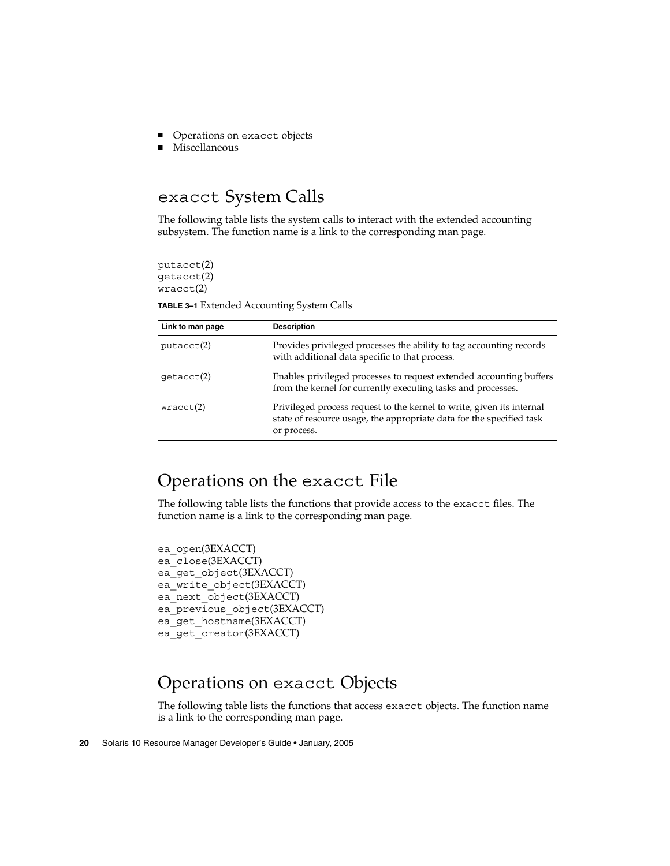- <span id="page-19-0"></span>■ Operations on exacct objects
- **Miscellaneous**

### exacct System Calls

The following table lists the system calls to interact with the extended accounting subsystem. The function name is a link to the corresponding man page.

putacct(2) getacct(2) wracct(2)

**TABLE 3–1** Extended Accounting System Calls

| Link to man page | <b>Description</b>                                                                                                                                           |
|------------------|--------------------------------------------------------------------------------------------------------------------------------------------------------------|
| putacct(2)       | Provides privileged processes the ability to tag accounting records<br>with additional data specific to that process.                                        |
| qetacct(2)       | Enables privileged processes to request extended accounting buffers<br>from the kernel for currently executing tasks and processes.                          |
| wracct(2)        | Privileged process request to the kernel to write, given its internal<br>state of resource usage, the appropriate data for the specified task<br>or process. |

### Operations on the exacct File

The following table lists the functions that provide access to the exacct files. The function name is a link to the corresponding man page.

```
ea_open(3EXACCT)
ea_close(3EXACCT)
ea_get_object(3EXACCT)
ea write object(3EXACCT)
ea_next_object(3EXACCT)
ea_previous_object(3EXACCT)
ea qet hostname(3EXACCT)
ea get creator(3EXACCT)
```
### Operations on exacct Objects

The following table lists the functions that access exacct objects. The function name is a link to the corresponding man page.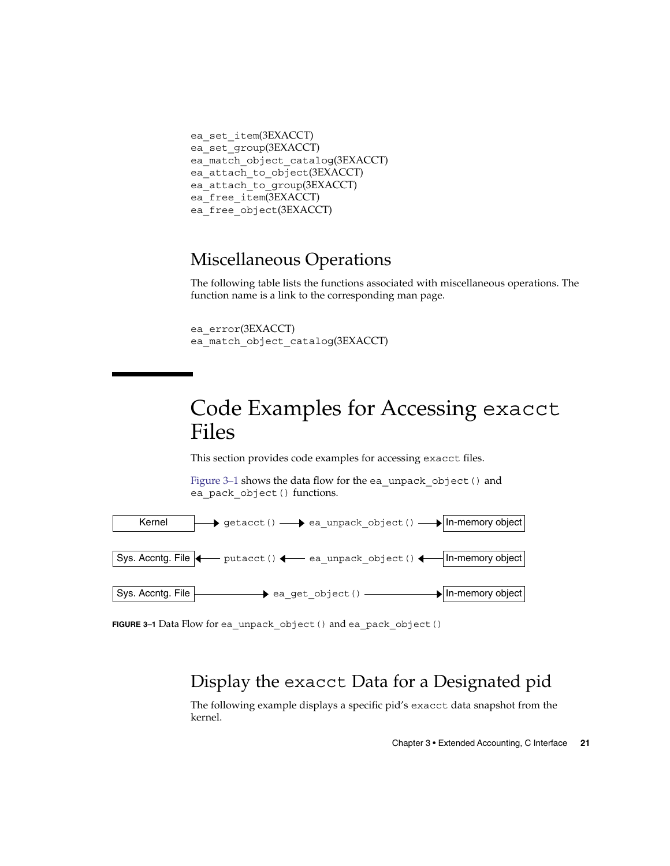```
ea set item(3EXACCT)
ea_set_group(3EXACCT)
ea_match_object_catalog(3EXACCT)
ea attach to object(3EXACCT)
ea_attach_to_group(3EXACCT)
ea_free_item(3EXACCT)
ea_free_object(3EXACCT)
```
### Miscellaneous Operations

The following table lists the functions associated with miscellaneous operations. The function name is a link to the corresponding man page.

ea\_error(3EXACCT) ea\_match\_object\_catalog(3EXACCT)

# Code Examples for Accessing exacct Files

This section provides code examples for accessing exacct files.

Figure 3–1 shows the data flow for the ea\_unpack\_object() and ea\_pack\_object() functions.



**FIGURE 3–1** Data Flow for ea\_unpack\_object() and ea\_pack\_object()

### Display the exacct Data for a Designated pid

The following example displays a specific pid's exacct data snapshot from the kernel.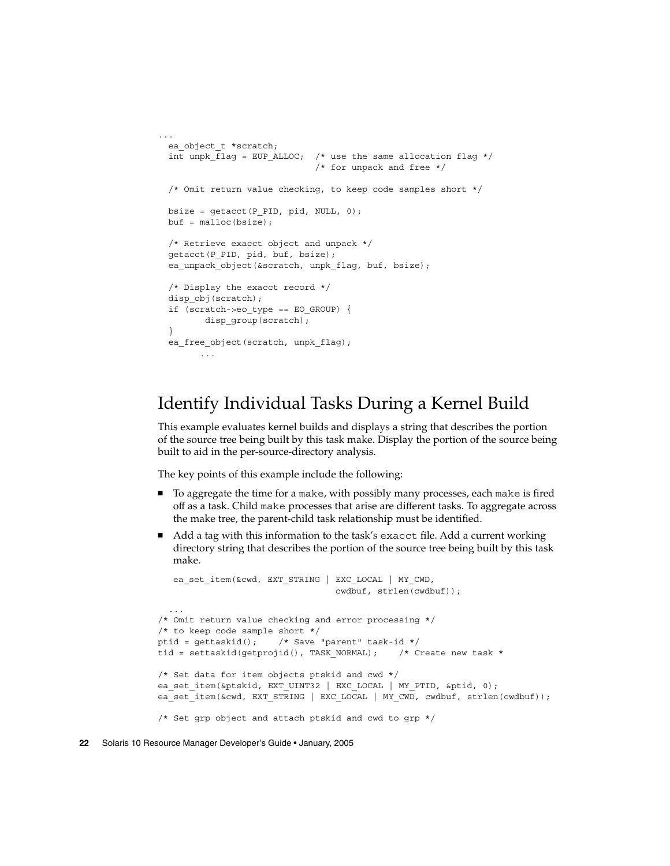```
...
 ea_object_t *scratch;
 int unpk_flag = EUP_ALLOC; /* use the same allocation flag */
                             /* for unpack and free */
 /* Omit return value checking, to keep code samples short */
 bsize = getacct(P_PID, pid, NULL, 0);
 buf = malloc(bsize);
 /* Retrieve exacct object and unpack */
 getacct(P_PID, pid, buf, bsize);
 ea unpack object(&scratch, unpk flag, buf, bsize);
 /* Display the exacct record */
 disp_obj(scratch);
 if (scratch->eo_type == EO_GROUP) {
        disp_group(scratch);
 }
 ea_free_object(scratch, unpk_flag);
       ...
```
### Identify Individual Tasks During a Kernel Build

This example evaluates kernel builds and displays a string that describes the portion of the source tree being built by this task make. Display the portion of the source being built to aid in the per-source-directory analysis.

The key points of this example include the following:

- To aggregate the time for a make, with possibly many processes, each make is fired off as a task. Child make processes that arise are different tasks. To aggregate across the make tree, the parent-child task relationship must be identified.
- Add a tag with this information to the task's exacct file. Add a current working directory string that describes the portion of the source tree being built by this task make.

```
ea_set_item(&cwd, EXT_STRING | EXC_LOCAL | MY_CWD,
                                 cwdbuf, strlen(cwdbuf));
  ...
/* Omit return value checking and error processing */
/* to keep code sample short */
ptid = gettaskid(); /* Save "parent" task-id */
tid = settaskid(qetprojid(), TASK NORMAL); /* Create new task *
/* Set data for item objects ptskid and cwd */
ea_set_item(&ptskid, EXT_UINT32 | EXC_LOCAL | MY_PTID, &ptid, 0);
ea_set_item(&cwd, EXT_STRING | EXC_LOCAL | MY_CWD, cwdbuf, strlen(cwdbuf));
/* Set grp object and attach ptskid and cwd to grp */
```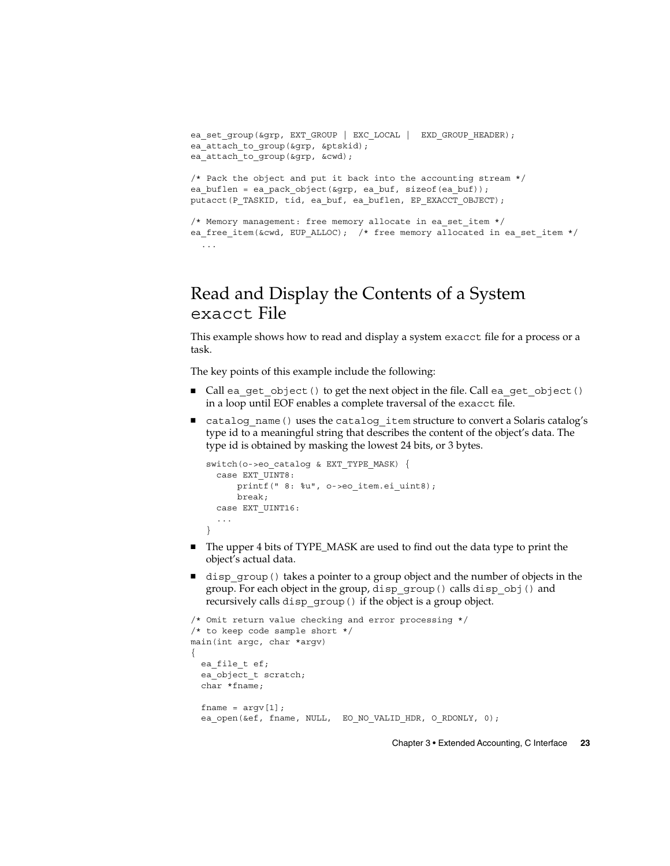```
ea set group(&grp, EXT GROUP | EXC LOCAL | EXD GROUP HEADER);
ea attach to group(&grp, &ptskid);
ea_attach_to_group(&grp, &cwd);
/* Pack the object and put it back into the accounting stream */
ea buflen = ea pack object(&grp, ea buf, sizeof(ea buf));
putacct(P_TASKID, tid, ea buf, ea buflen, EP_EXACCT_OBJECT);
/* Memory management: free memory allocate in ea_set_item */
ea free item(&cwd, EUP ALLOC); /* free memory allocated in ea set item */
 ...
```
### Read and Display the Contents of a System exacct File

This example shows how to read and display a system exacct file for a process or a task.

The key points of this example include the following:

- Call ea\_get\_object() to get the next object in the file. Call ea\_get\_object() in a loop until EOF enables a complete traversal of the exacct file.
- catalog\_name () uses the catalog\_item structure to convert a Solaris catalog's type id to a meaningful string that describes the content of the object's data. The type id is obtained by masking the lowest 24 bits, or 3 bytes.

```
switch(o->eo_catalog & EXT_TYPE_MASK) {
 case EXT_UINT8:
    printf(" 8: %u", o->eo_item.ei_uint8);
     break;
 case EXT_UINT16:
  ...
}
```
- The upper 4 bits of TYPE\_MASK are used to find out the data type to print the object's actual data.
- disp\_group() takes a pointer to a group object and the number of objects in the group. For each object in the group, disp\_group() calls disp\_obj() and recursively calls disp\_group() if the object is a group object.

```
/* Omit return value checking and error processing */
/* to keep code sample short */
main(int argc, char *argv)
{
 ea file t ef;
  ea_object_t scratch;
 char *fname;
 fname = \text{argv}[1];
  ea_open(&ef, fname, NULL, EO_NO_VALID_HDR, O_RDONLY, 0);
```
Chapter 3 • Extended Accounting, C Interface **23**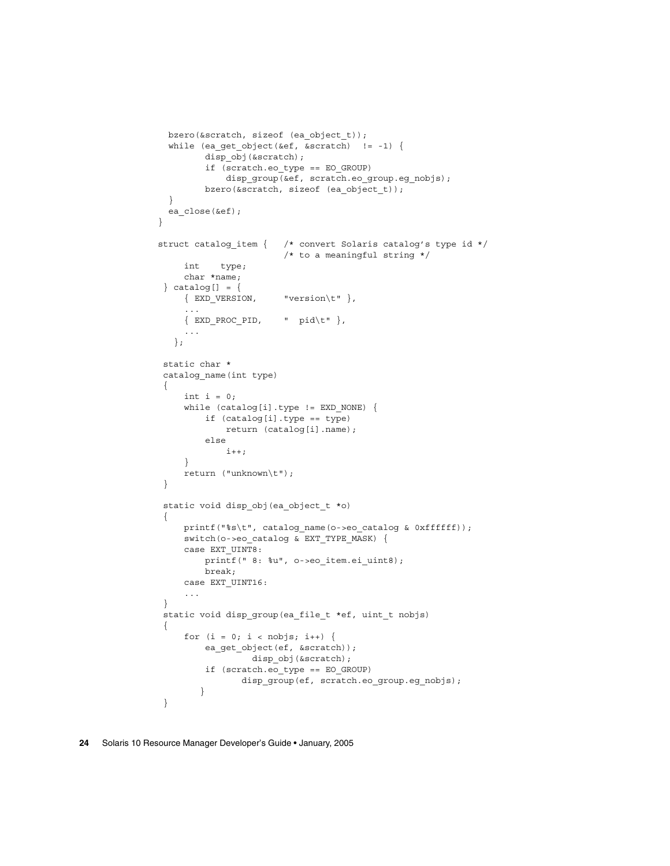```
bzero(&scratch, sizeof (ea_object_t));
  while (ea get object(&ef, &sscratch) != -1) {
        disp_obj(&scratch);
        if (scratch.eo_type == EO_GROUP)
            disp_group(&ef, scratch.eo_group.eg_nobjs);
        bzero(\&scratch, sizeof (ea object t));
  }
 ea_close(&ef);
}
struct catalog_item { /* convert Solaris catalog's type id */
                        /* to a meaningful string */
    int type;
    char *name;
 } catalog[] = {
    { EXD_VERSION, "version\t" },
     ...
    \{ EXD PROC PID, " pid\t" },
    ...
  };
 static char *
 catalog_name(int type)
 {
    int i = 0;while (catalog[i].type != EXPONE) {
        if (catalog[i].type == type)
            return (catalog[i].name);
        else
            i++;
     }
    return ("unknown\t");
 }
static void disp_obj(ea_object_t *o)
 {
    printf("%s\t", catalog_name(o->eo_catalog & 0xffffff));
    switch(o->eo_catalog & EXT_TYPE_MASK) {
    case EXT_UINT8:
        printf(" 8: %u", o->eo_item.ei_uint8);
        break;
    case EXT_UINT16:
     ...
 }
static void disp_group(ea_file t *ef, uint t nobjs)
 {
     for (i = 0; i < nobjs; i++) {
        ea_get_object(ef, &scratch));
                 disp_obj(&scratch);
        if (scratch.eo_type == EO_GROUP)
               disp_group(ef, scratch.eo_group.eg_nobjs);
        }
 }
```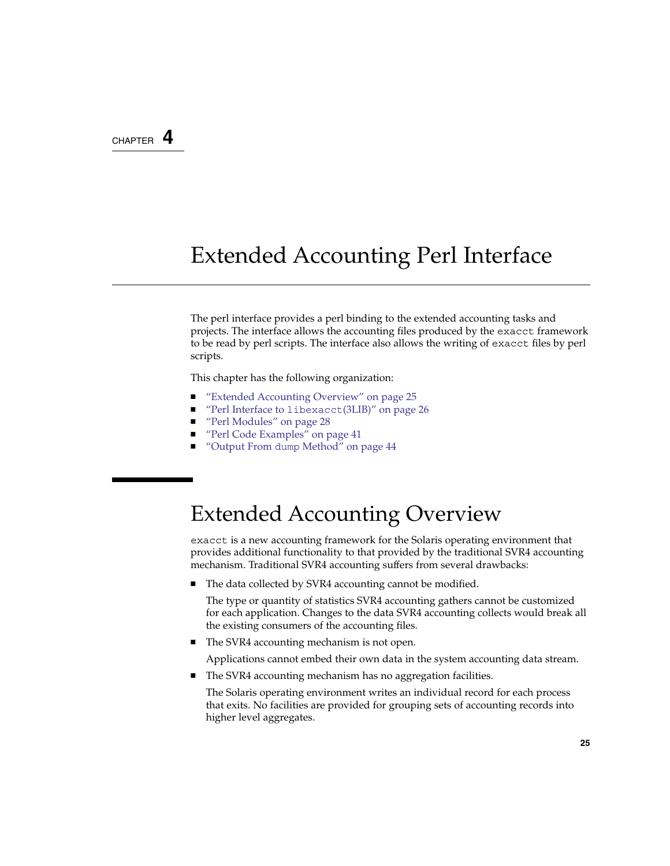#### <span id="page-24-0"></span>CHAPTER **4**

## Extended Accounting Perl Interface

The perl interface provides a perl binding to the extended accounting tasks and projects. The interface allows the accounting files produced by the exacct framework to be read by perl scripts. The interface also allows the writing of exacct files by perl scripts.

This chapter has the following organization:

- "Extended Accounting Overview" on page 25
- ["Perl Interface to](#page-25-0) libexacct(3LIB)" on page 26
- ["Perl Modules"](#page-27-0) on page 28
- ["Perl Code Examples"](#page-40-0) on page 41
- ["Output From](#page-43-0) dump Method" on page 44

# Extended Accounting Overview

exacct is a new accounting framework for the Solaris operating environment that provides additional functionality to that provided by the traditional SVR4 accounting mechanism. Traditional SVR4 accounting suffers from several drawbacks:

■ The data collected by SVR4 accounting cannot be modified.

The type or quantity of statistics SVR4 accounting gathers cannot be customized for each application. Changes to the data SVR4 accounting collects would break all the existing consumers of the accounting files.

■ The SVR4 accounting mechanism is not open.

Applications cannot embed their own data in the system accounting data stream.

■ The SVR4 accounting mechanism has no aggregation facilities.

The Solaris operating environment writes an individual record for each process that exits. No facilities are provided for grouping sets of accounting records into higher level aggregates.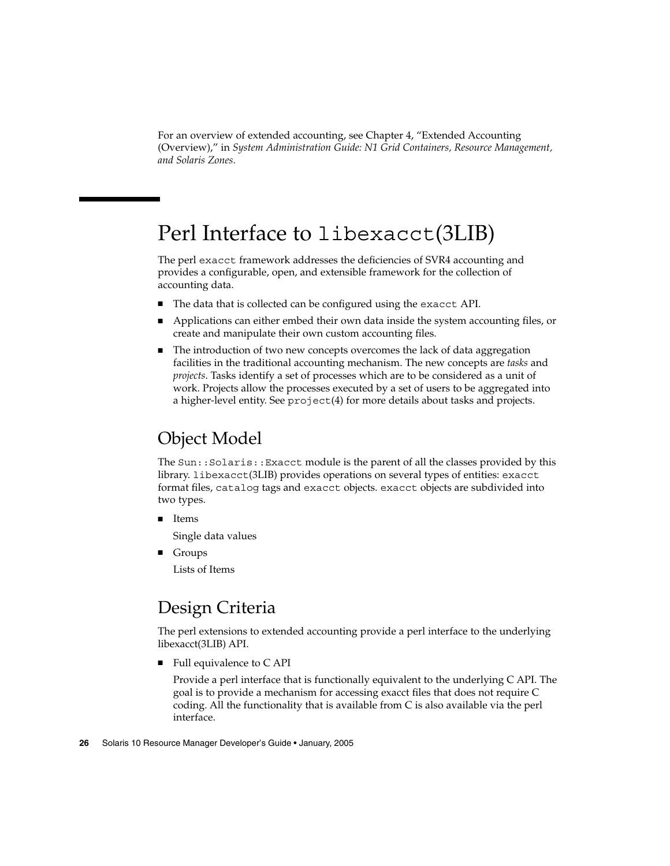<span id="page-25-0"></span>For an overview of extended accounting, see Chapter 4, "Extended Accounting (Overview)," in *System Administration Guide: N1 Grid Containers, Resource Management, and Solaris Zones*.

# Perl Interface to libexacct(3LIB)

The perl exacct framework addresses the deficiencies of SVR4 accounting and provides a configurable, open, and extensible framework for the collection of accounting data.

- The data that is collected can be configured using the exacct API.
- Applications can either embed their own data inside the system accounting files, or create and manipulate their own custom accounting files.
- The introduction of two new concepts overcomes the lack of data aggregation facilities in the traditional accounting mechanism. The new concepts are *tasks* and *projects*. Tasks identify a set of processes which are to be considered as a unit of work. Projects allow the processes executed by a set of users to be aggregated into a higher-level entity. See project(4) for more details about tasks and projects.

### Object Model

The Sun::Solaris::Exacct module is the parent of all the classes provided by this library. libexacct(3LIB) provides operations on several types of entities: exacct format files, catalog tags and exacct objects. exacct objects are subdivided into two types.

- Items Single data values
- **Groups**

Lists of Items

### Design Criteria

The perl extensions to extended accounting provide a perl interface to the underlying libexacct(3LIB) API.

■ Full equivalence to C API

Provide a perl interface that is functionally equivalent to the underlying C API. The goal is to provide a mechanism for accessing exacct files that does not require C coding. All the functionality that is available from C is also available via the perl interface.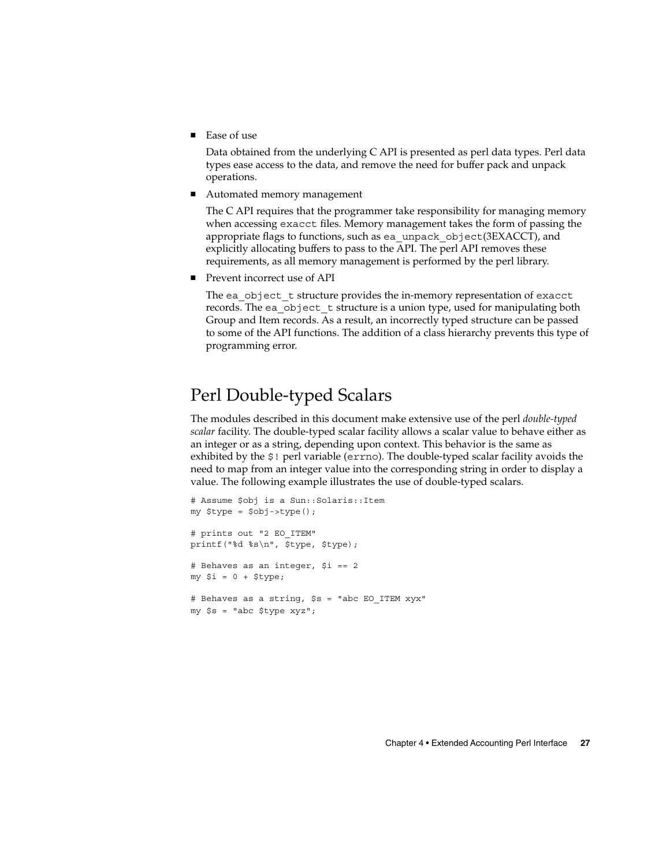<span id="page-26-0"></span>■ Ease of use

Data obtained from the underlying C API is presented as perl data types. Perl data types ease access to the data, and remove the need for buffer pack and unpack operations.

■ Automated memory management

The C API requires that the programmer take responsibility for managing memory when accessing exacct files. Memory management takes the form of passing the appropriate flags to functions, such as ea\_unpack\_object(3EXACCT), and explicitly allocating buffers to pass to the API. The perl API removes these requirements, as all memory management is performed by the perl library.

■ Prevent incorrect use of API

The ea\_object\_t structure provides the in-memory representation of exacct records. The ea\_object\_t structure is a union type, used for manipulating both Group and Item records. As a result, an incorrectly typed structure can be passed to some of the API functions. The addition of a class hierarchy prevents this type of programming error.

### Perl Double-typed Scalars

The modules described in this document make extensive use of the perl *double-typed scalar* facility. The double-typed scalar facility allows a scalar value to behave either as an integer or as a string, depending upon context. This behavior is the same as exhibited by the \$! perl variable (errno). The double-typed scalar facility avoids the need to map from an integer value into the corresponding string in order to display a value. The following example illustrates the use of double-typed scalars.

```
# Assume $obj is a Sun::Solaris::Item
my $type = $obj->type();
# prints out "2 EO_ITEM"
printf("%d %s\n", $type, $type);
# Behaves as an integer, $i == 2
my $i = 0 + $type;# Behaves as a string, $s = "abc EO_ITEM xyx"
my $s = "abc $type xyz";
```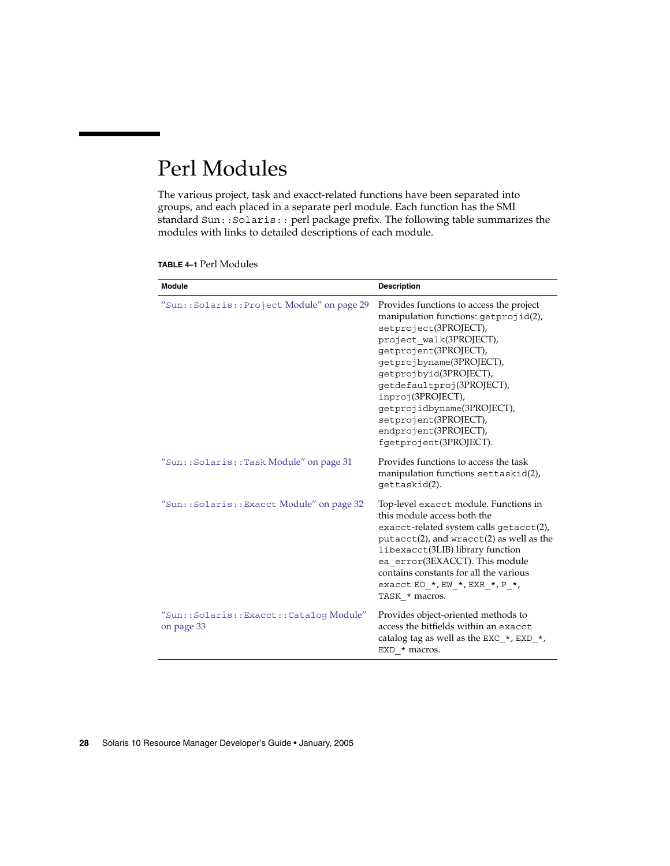# <span id="page-27-0"></span>Perl Modules

The various project, task and exacct-related functions have been separated into groups, and each placed in a separate perl module. Each function has the SMI standard Sun::Solaris:: perl package prefix. The following table summarizes the modules with links to detailed descriptions of each module.

| <b>TABLE 4-1 Perl Modules</b> |  |  |  |
|-------------------------------|--|--|--|
|-------------------------------|--|--|--|

| <b>Module</b>                                        | <b>Description</b>                                                                                                                                                                                                                                                                                                                                                               |
|------------------------------------------------------|----------------------------------------------------------------------------------------------------------------------------------------------------------------------------------------------------------------------------------------------------------------------------------------------------------------------------------------------------------------------------------|
| "Sun:: Solaris:: Project Module" on page 29          | Provides functions to access the project<br>manipulation functions: getprojid(2),<br>setproject(3PROJECT),<br>project walk(3PROJECT),<br>getprojent(3PROJECT),<br>getprojbyname(3PROJECT),<br>getprojbyid(3PROJECT),<br>getdefaultproj(3PROJECT),<br>inproj(3PROJECT),<br>getprojidbyname(3PROJECT),<br>setprojent(3PROJECT),<br>endprojent(3PROJECT),<br>fgetprojent(3PROJECT). |
| "Sun::Solaris::Task Module" on page 31               | Provides functions to access the task<br>manipulation functions settaskid(2),<br>qettaskid(2).                                                                                                                                                                                                                                                                                   |
| "Sun::Solaris::Exacct Module" on page 32             | Top-level exacct module. Functions in<br>this module access both the<br>exacct-related system calls getacct(2),<br>$putactor(2)$ , and $wracct(2)$ as well as the<br>libexacct(3LIB) library function<br>ea error(3EXACCT). This module<br>contains constants for all the various<br>exacct EO_*, EW_*, EXR_*, P_*,<br>TASK * macros.                                            |
| "Sun::Solaris::Exacct::Catalog Module"<br>on page 33 | Provides object-oriented methods to<br>access the bitfields within an exacct<br>catalog tag as well as the EXC_*, EXD_*,<br>EXD * macros.                                                                                                                                                                                                                                        |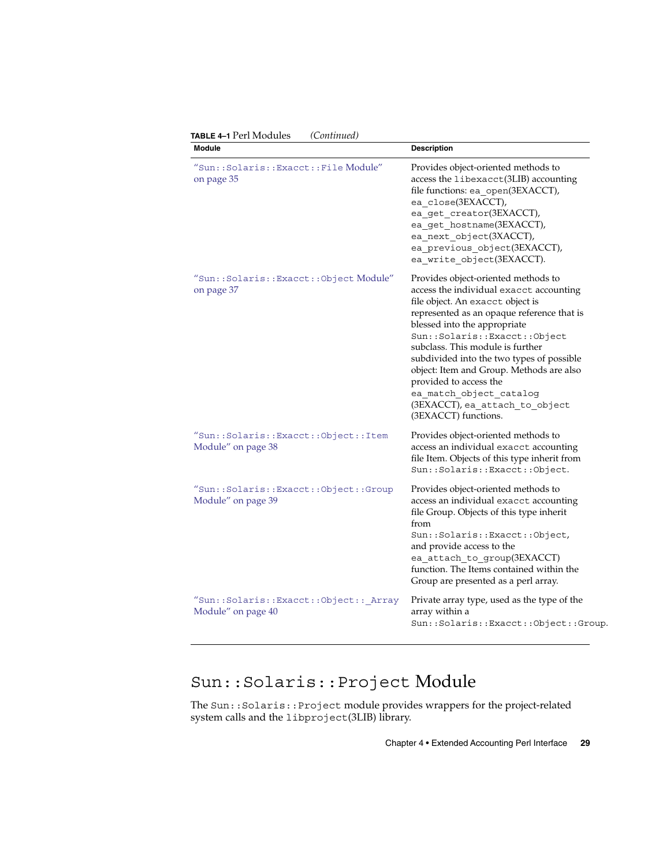<span id="page-28-0"></span>

| <b>Module</b>                                               | <b>Description</b>                                                                                                                                                                                                                                                                                                                                                                                                                                                           |
|-------------------------------------------------------------|------------------------------------------------------------------------------------------------------------------------------------------------------------------------------------------------------------------------------------------------------------------------------------------------------------------------------------------------------------------------------------------------------------------------------------------------------------------------------|
| "Sun::Solaris::Exacct::File Module"<br>on page 35           | Provides object-oriented methods to<br>access the libexacct(3LIB) accounting<br>file functions: ea_open(3EXACCT),<br>ea_close(3EXACCT),<br>ea_get_creator(3EXACCT),<br>ea_get_hostname(3EXACCT),<br>ea_next_object(3XACCT),<br>ea_previous_object(3EXACCT),<br>ea_write_object(3EXACCT).                                                                                                                                                                                     |
| "Sun::Solaris::Exacct::Object Module"<br>on page 37         | Provides object-oriented methods to<br>access the individual exacct accounting<br>file object. An exacct object is<br>represented as an opaque reference that is<br>blessed into the appropriate<br>Sun::Solaris::Exacct::Object<br>subclass. This module is further<br>subdivided into the two types of possible<br>object: Item and Group. Methods are also<br>provided to access the<br>ea_match_object_catalog<br>(3EXACCT), ea_attach_to_object<br>(3EXACCT) functions. |
| "Sun::Solaris::Exacct::Object::Item<br>Module" on page 38   | Provides object-oriented methods to<br>access an individual exacct accounting<br>file Item. Objects of this type inherit from<br>Sun::Solaris::Exacct::Object.                                                                                                                                                                                                                                                                                                               |
| "Sun::Solaris::Exacct::Object::Group<br>Module" on page 39  | Provides object-oriented methods to<br>access an individual exacct accounting<br>file Group. Objects of this type inherit<br>from<br>Sun::Solaris::Exacct::Object,<br>and provide access to the<br>ea attach to group(3EXACCT)<br>function. The Items contained within the<br>Group are presented as a perl array.                                                                                                                                                           |
| "Sun::Solaris::Exacct::Object:: Array<br>Module" on page 40 | Private array type, used as the type of the<br>array within a<br>Sun::Solaris::Exacct::Object::Group.                                                                                                                                                                                                                                                                                                                                                                        |

## Sun::Solaris::Project Module

The Sun::Solaris::Project module provides wrappers for the project-related system calls and the libproject(3LIB) library.

Chapter 4 • Extended Accounting Perl Interface **29**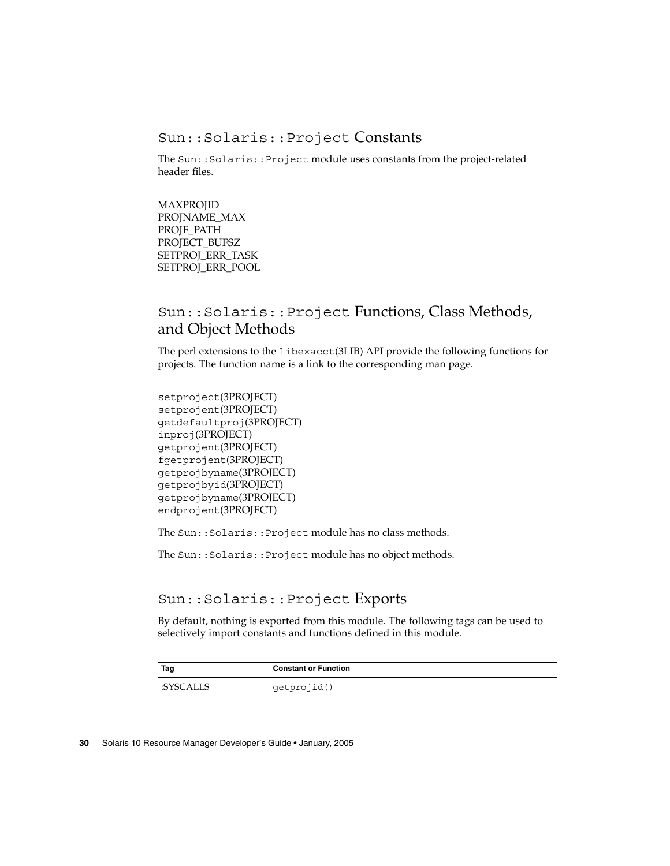#### Sun::Solaris::Project Constants

The Sun::Solaris::Project module uses constants from the project-related header files.

**MAXPROJID** PROJNAME\_MAX PROJF\_PATH PROJECT\_BUFSZ SETPROJ\_ERR\_TASK SETPROJ\_ERR\_POOL

### Sun::Solaris::Project Functions, Class Methods, and Object Methods

The perl extensions to the libexacct(3LIB) API provide the following functions for projects. The function name is a link to the corresponding man page.

```
setproject(3PROJECT)
setprojent(3PROJECT)
getdefaultproj(3PROJECT)
inproj(3PROJECT)
getprojent(3PROJECT)
fgetprojent(3PROJECT)
getprojbyname(3PROJECT)
getprojbyid(3PROJECT)
getprojbyname(3PROJECT)
endprojent(3PROJECT)
```
The Sun::Solaris::Project module has no class methods.

The Sun::Solaris::Project module has no object methods.

#### Sun::Solaris::Project Exports

By default, nothing is exported from this module. The following tags can be used to selectively import constants and functions defined in this module.

| Tag       | <b>Constant or Function</b> |
|-----------|-----------------------------|
| :SYSCALLS | getprojid()                 |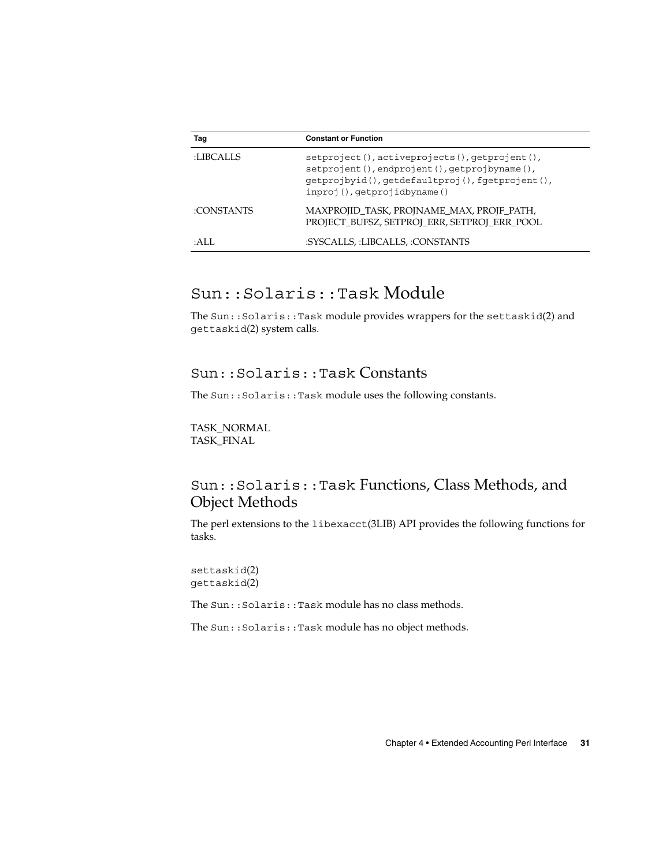<span id="page-30-0"></span>

| Tag          | <b>Constant or Function</b>                                                                                                                                                       |
|--------------|-----------------------------------------------------------------------------------------------------------------------------------------------------------------------------------|
| :LIBCALLS    | $setproject(),active projects(), getproject(),$<br>setprojent(), endprojent(), getprojbyname(),<br>getprojbyid(), getdefaultproj(), fgetprojent(),<br>inproj(), getprojidbyname() |
| :CONSTANTS   | MAXPROJID_TASK, PROJNAME_MAX, PROJF_PATH,<br>PROJECT_BUFSZ, SETPROJ_ERR, SETPROJ_ERR_POOL                                                                                         |
| $\cdot$ ALL. | :SYSCALLS, :LIBCALLS, :CONSTANTS                                                                                                                                                  |

### Sun::Solaris::Task Module

The Sun::Solaris::Task module provides wrappers for the settaskid(2) and gettaskid(2) system calls.

#### Sun::Solaris::Task Constants

The Sun::Solaris::Task module uses the following constants.

TASK\_NORMAL TASK\_FINAL

### Sun::Solaris::Task Functions, Class Methods, and Object Methods

The perl extensions to the libexacct(3LIB) API provides the following functions for tasks.

settaskid(2) gettaskid(2)

The Sun::Solaris::Task module has no class methods.

The Sun::Solaris::Task module has no object methods.

Chapter 4 • Extended Accounting Perl Interface **31**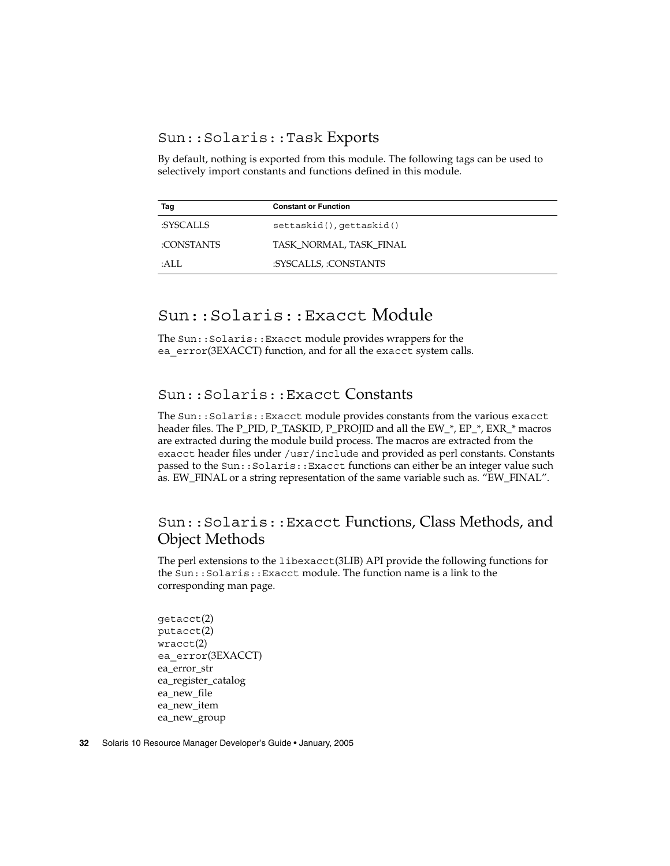#### <span id="page-31-0"></span>Sun::Solaris::Task Exports

By default, nothing is exported from this module. The following tags can be used to selectively import constants and functions defined in this module.

| Tag        | <b>Constant or Function</b>   |  |
|------------|-------------------------------|--|
| :SYSCALLS  | $settaskid()$ , $qettaskid()$ |  |
| :CONSTANTS | TASK NORMAL, TASK FINAL       |  |
| :ALL       | :SYSCALLS, :CONSTANTS         |  |

### Sun::Solaris::Exacct Module

The Sun::Solaris::Exacct module provides wrappers for the ea error(3EXACCT) function, and for all the exacct system calls.

#### Sun::Solaris::Exacct Constants

The Sun::Solaris::Exacct module provides constants from the various exacct header files. The P\_PID, P\_TASKID, P\_PROJID and all the EW\_\*, EP\_\*, EXR\_\* macros are extracted during the module build process. The macros are extracted from the exacct header files under /usr/include and provided as perl constants. Constants passed to the Sun::Solaris::Exacct functions can either be an integer value such as. EW\_FINAL or a string representation of the same variable such as. "EW\_FINAL".

### Sun::Solaris::Exacct Functions, Class Methods, and Object Methods

The perl extensions to the libexacct(3LIB) API provide the following functions for the Sun::Solaris::Exacct module. The function name is a link to the corresponding man page.

```
getacct(2)
putacct(2)
wracct(2)
ea_error(3EXACCT)
ea_error_str
ea_register_catalog
ea_new_file
ea_new_item
ea_new_group
```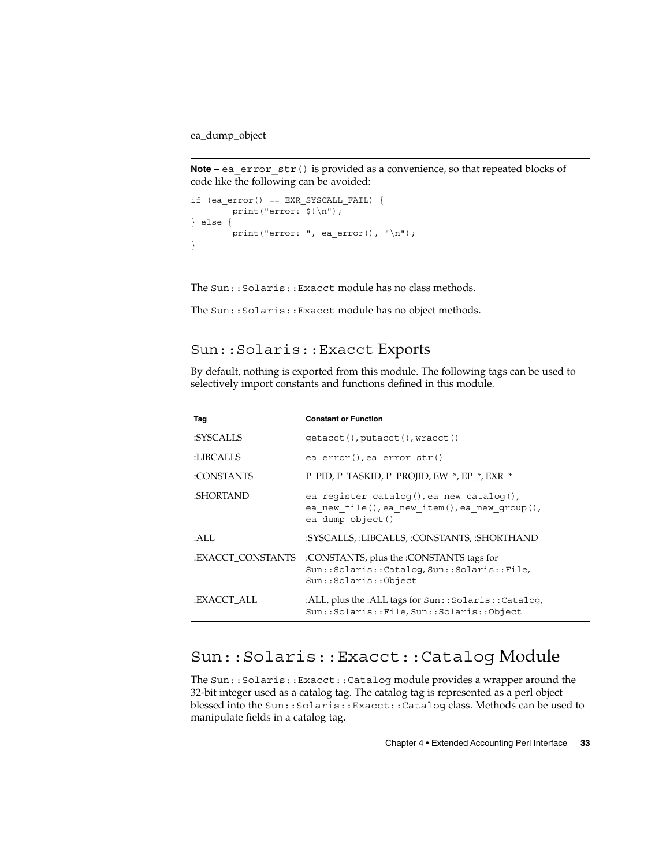<span id="page-32-0"></span>ea\_dump\_object

**Note** – ea\_error\_str() is provided as a convenience, so that repeated blocks of code like the following can be avoided:

```
if (ea_error() == EXR_SYSCALL_FAIL) {
       print("error: $!\n");
} else {
       print("error: ", ea_error(), "\n");
}
```
The Sun::Solaris::Exacct module has no class methods.

The Sun::Solaris::Exacct module has no object methods.

#### Sun::Solaris::Exacct Exports

By default, nothing is exported from this module. The following tags can be used to selectively import constants and functions defined in this module.

| Tag               | <b>Constant or Function</b>                                                                                    |  |
|-------------------|----------------------------------------------------------------------------------------------------------------|--|
| :SYSCALLS         | qetacct(), putacct(), wracct()                                                                                 |  |
| :LIBCALLS         | ea error(), ea error str()                                                                                     |  |
| :CONSTANTS        | P PID, P TASKID, P PROJID, EW *, EP *, EXR *                                                                   |  |
| :SHORTAND         | ea reqister catalog(), ea new catalog(),<br>ea new file(), ea new item(), ea new group(),<br>ea dump object()  |  |
| :ALL              | :SYSCALLS, :LIBCALLS, :CONSTANTS, :SHORTHAND                                                                   |  |
| :EXACCT CONSTANTS | :CONSTANTS, plus the :CONSTANTS tags for<br>Sun::Solaris::Catalog, Sun::Solaris::File,<br>Sun::Solaris::Object |  |
| :EXACCT ALL       | :ALL, plus the :ALL tags for Sun: : Solaris: : Catalog,<br>Sun::Solaris::File,Sun::Solaris::Object             |  |

### Sun::Solaris::Exacct::Catalog Module

The Sun::Solaris::Exacct::Catalog module provides a wrapper around the 32-bit integer used as a catalog tag. The catalog tag is represented as a perl object blessed into the Sun::Solaris::Exacct::Catalog class. Methods can be used to manipulate fields in a catalog tag.

Chapter 4 • Extended Accounting Perl Interface **33**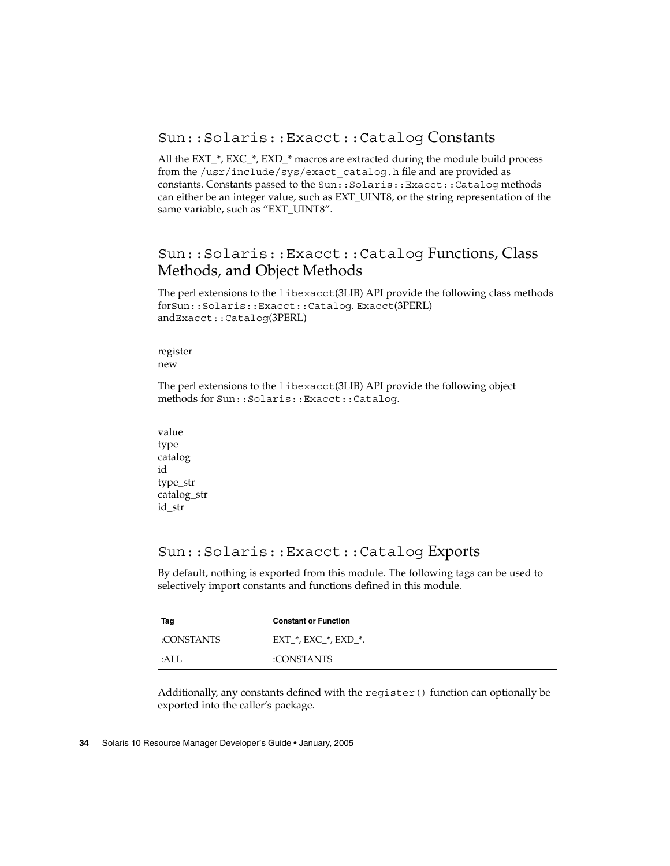#### Sun::Solaris::Exacct::Catalog Constants

All the EXT\_\*, EXC\_\*, EXD\_\* macros are extracted during the module build process from the /usr/include/sys/exact\_catalog.h file and are provided as constants. Constants passed to the Sun::Solaris::Exacct::Catalog methods can either be an integer value, such as EXT\_UINT8, or the string representation of the same variable, such as "EXT\_UINT8".

### Sun::Solaris::Exacct::Catalog Functions, Class Methods, and Object Methods

The perl extensions to the libexacct(3LIB) API provide the following class methods forSun::Solaris::Exacct::Catalog. Exacct(3PERL) andExacct::Catalog(3PERL)

register new

The perl extensions to the libexacct(3LIB) API provide the following object methods for Sun::Solaris::Exacct::Catalog.

value type catalog id type\_str catalog\_str id\_str

#### Sun::Solaris::Exacct::Catalog Exports

By default, nothing is exported from this module. The following tags can be used to selectively import constants and functions defined in this module.

| Tag        | <b>Constant or Function</b>                           |
|------------|-------------------------------------------------------|
| :CONSTANTS | $EXT_{\cdot}^*$ , $EXC_{\cdot}^*$ , $EXP_{\cdot}^*$ . |
| :ALL       | :CONSTANTS                                            |

Additionally, any constants defined with the register() function can optionally be exported into the caller's package.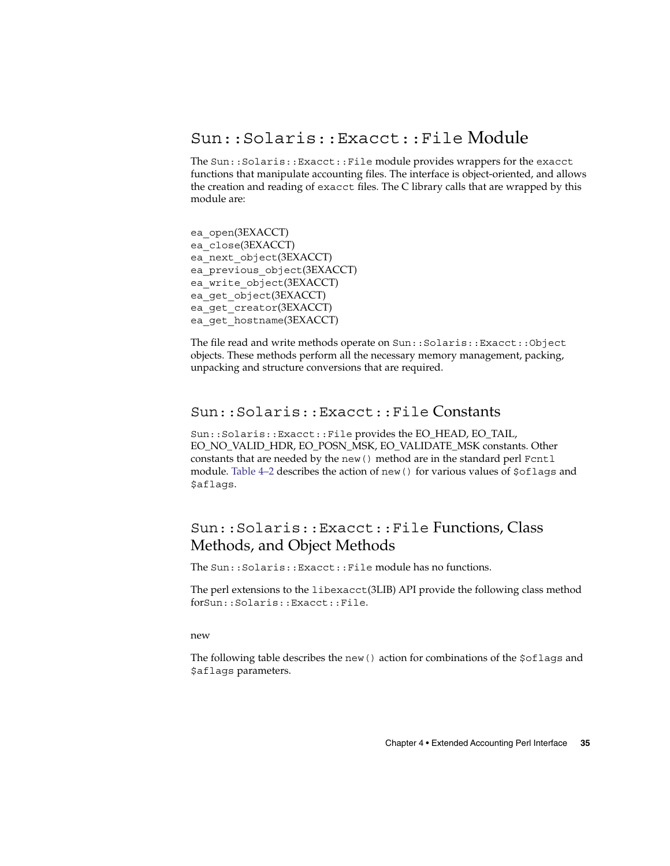### <span id="page-34-0"></span>Sun::Solaris::Exacct::File Module

The Sun::Solaris::Exacct::File module provides wrappers for the exacct functions that manipulate accounting files. The interface is object-oriented, and allows the creation and reading of exacct files. The C library calls that are wrapped by this module are:

ea\_open(3EXACCT) ea\_close(3EXACCT) ea\_next\_object(3EXACCT) ea\_previous\_object(3EXACCT) ea\_write\_object(3EXACCT) ea\_get\_object(3EXACCT) ea qet creator(3EXACCT) ea\_get\_hostname(3EXACCT)

The file read and write methods operate on Sun::Solaris::Exacct::Object objects. These methods perform all the necessary memory management, packing, unpacking and structure conversions that are required.

#### Sun::Solaris::Exacct::File Constants

Sun::Solaris::Exacct::File provides the EO\_HEAD, EO\_TAIL, EO\_NO\_VALID\_HDR, EO\_POSN\_MSK, EO\_VALIDATE\_MSK constants. Other constants that are needed by the new() method are in the standard perl Fcntl module. [Table 4–2](#page-35-0) describes the action of new() for various values of \$oflags and \$aflags.

#### Sun::Solaris::Exacct::File Functions, Class Methods, and Object Methods

The Sun::Solaris::Exacct::File module has no functions.

The perl extensions to the libexacct(3LIB) API provide the following class method forSun::Solaris::Exacct::File.

new

The following table describes the new() action for combinations of the \$oflags and \$aflags parameters.

Chapter 4 • Extended Accounting Perl Interface **35**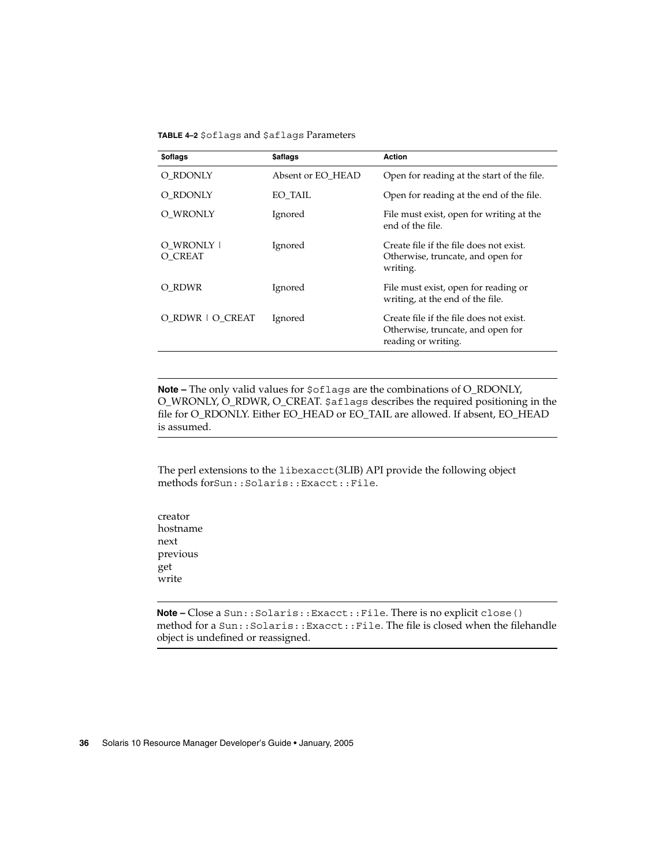#### <span id="page-35-0"></span>**TABLE 4–2** \$oflags and \$aflags Parameters

| \$oflags              | \$aflags          | Action                                                                                              |
|-----------------------|-------------------|-----------------------------------------------------------------------------------------------------|
| O RDONLY              | Absent or EO HEAD | Open for reading at the start of the file.                                                          |
| O RDONLY              | EO TAIL           | Open for reading at the end of the file.                                                            |
| O WRONLY              | Ignored           | File must exist, open for writing at the<br>end of the file.                                        |
| O WRONLY I<br>O CREAT | Ignored           | Create file if the file does not exist.<br>Otherwise, truncate, and open for<br>writing.            |
| O RDWR                | Ignored           | File must exist, open for reading or<br>writing, at the end of the file.                            |
| O RDWR   O CREAT      | Ignored           | Create file if the file does not exist.<br>Otherwise, truncate, and open for<br>reading or writing. |

**Note –** The only valid values for \$oflags are the combinations of O\_RDONLY, O\_WRONLY, O\_RDWR, O\_CREAT. \$aflags describes the required positioning in the file for O\_RDONLY. Either EO\_HEAD or EO\_TAIL are allowed. If absent, EO\_HEAD is assumed.

The perl extensions to the libexacct(3LIB) API provide the following object methods forSun::Solaris::Exacct::File.

creator hostname next previous get write

**Note –** Close a Sun::Solaris::Exacct::File. There is no explicit close() method for a Sun::Solaris::Exacct::File. The file is closed when the filehandle object is undefined or reassigned.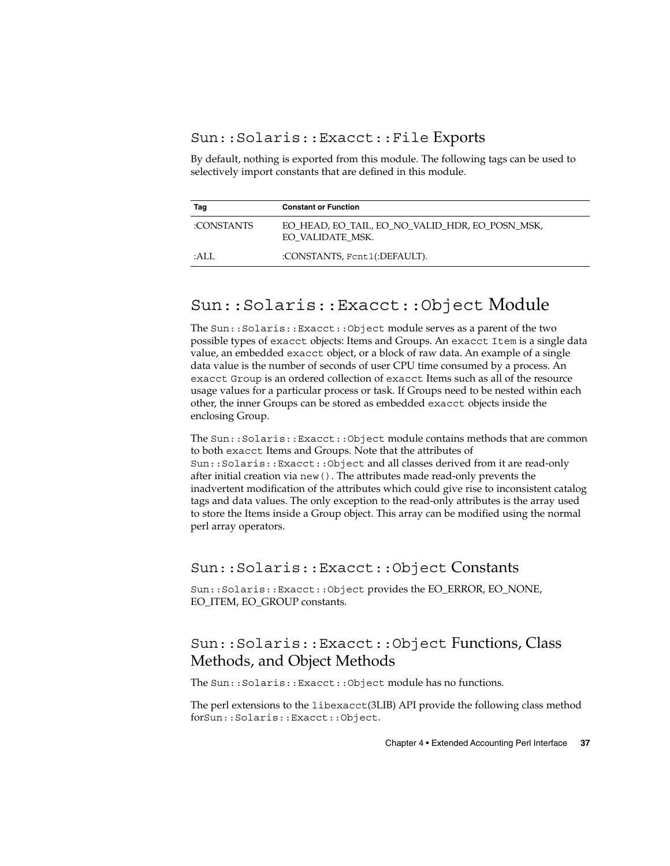### Sun::Solaris::Exacct::File Exports

By default, nothing is exported from this module. The following tags can be used to selectively import constants that are defined in this module.

| EO HEAD, EO TAIL, EO NO VALID HDR, EO POSN MSK,<br>:CONSTANTS<br>EO VALIDATE MSK. | Tag | <b>Constant or Function</b> |
|-----------------------------------------------------------------------------------|-----|-----------------------------|
|                                                                                   |     |                             |
| :CONSTANTS, Fent1(:DEFAULT).<br>:ALL                                              |     |                             |

### Sun::Solaris::Exacct::Object Module

The Sun::Solaris::Exacct::Object module serves as a parent of the two possible types of exacct objects: Items and Groups. An exacct Item is a single data value, an embedded exacct object, or a block of raw data. An example of a single data value is the number of seconds of user CPU time consumed by a process. An exacct Group is an ordered collection of exacct Items such as all of the resource usage values for a particular process or task. If Groups need to be nested within each other, the inner Groups can be stored as embedded exacct objects inside the enclosing Group.

The Sun::Solaris::Exacct::Object module contains methods that are common to both exacct Items and Groups. Note that the attributes of Sun::Solaris::Exacct::Object and all classes derived from it are read-only after initial creation via new(). The attributes made read-only prevents the inadvertent modification of the attributes which could give rise to inconsistent catalog tags and data values. The only exception to the read-only attributes is the array used to store the Items inside a Group object. This array can be modified using the normal perl array operators.

### Sun::Solaris::Exacct::Object Constants

Sun::Solaris::Exacct::Object provides the EO\_ERROR, EO\_NONE, EO\_ITEM, EO\_GROUP constants.

### Sun::Solaris::Exacct::Object Functions, Class Methods, and Object Methods

The Sun::Solaris::Exacct::Object module has no functions.

The perl extensions to the libexacct(3LIB) API provide the following class method forSun::Solaris::Exacct::Object.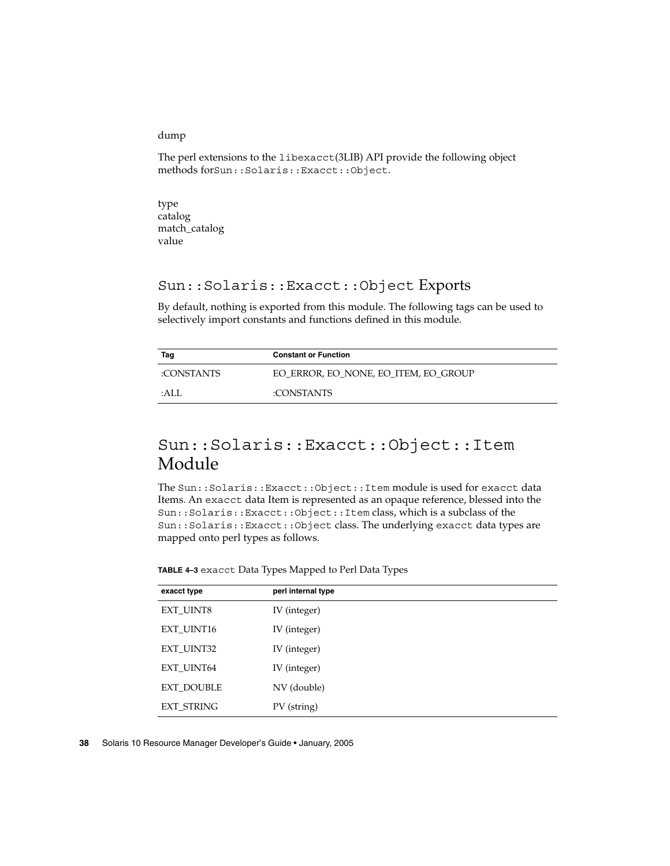#### dump

The perl extensions to the libexacct(3LIB) API provide the following object methods forSun::Solaris::Exacct::Object.

type catalog match\_catalog value

### Sun::Solaris::Exacct::Object Exports

By default, nothing is exported from this module. The following tags can be used to selectively import constants and functions defined in this module.

| Tag        | <b>Constant or Function</b>          |
|------------|--------------------------------------|
| :CONSTANTS | EO_ERROR, EO_NONE, EO_ITEM, EO_GROUP |
| :ALL       | :CONSTANTS                           |

### Sun::Solaris::Exacct::Object::Item Module

The Sun::Solaris::Exacct::Object::Item module is used for exacct data Items. An exacct data Item is represented as an opaque reference, blessed into the Sun::Solaris::Exacct::Object::Item class, which is a subclass of the Sun::Solaris::Exacct::Object class. The underlying exacct data types are mapped onto perl types as follows.

| exacct type       | perl internal type |
|-------------------|--------------------|
| EXT_UINT8         | IV (integer)       |
| EXT_UINT16        | IV (integer)       |
| EXT_UINT32        | IV (integer)       |
| EXT_UINT64        | IV (integer)       |
| <b>EXT_DOUBLE</b> | NV (double)        |
| <b>EXT_STRING</b> | PV (string)        |

**38** Solaris 10 Resource Manager Developer's Guide • January, 2005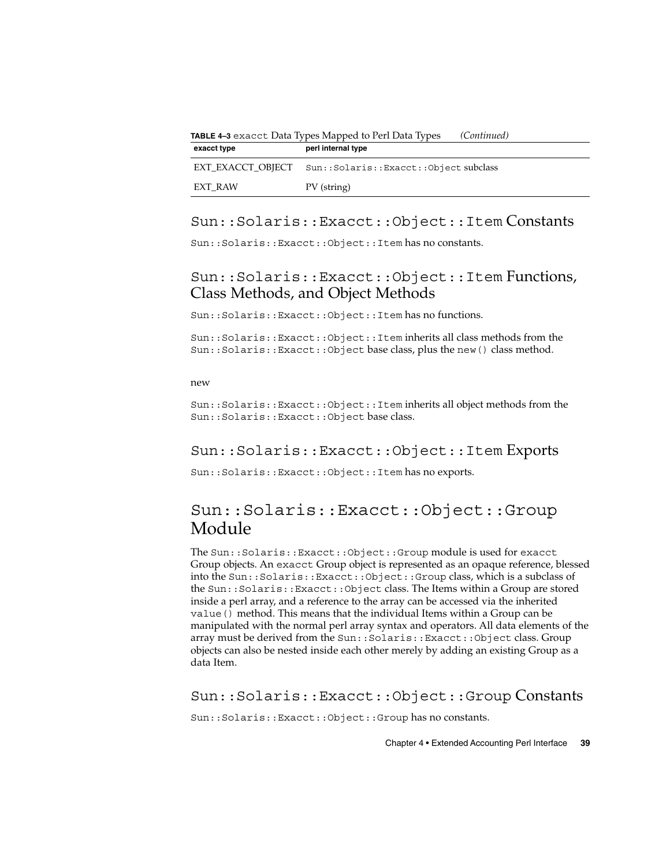| <b>TABLE 4-3</b> exacct Data Types Mapped to Perl Data Types<br>(Continued) |                                       |  |  |  |
|-----------------------------------------------------------------------------|---------------------------------------|--|--|--|
| exacct type                                                                 | perl internal type                    |  |  |  |
| EXT EXACCT OBJECT                                                           | Sun::Solaris::Exacct::Object subclass |  |  |  |
| EXT RAW                                                                     | PV (string)                           |  |  |  |

### Sun::Solaris::Exacct::Object::Item Constants

Sun::Solaris::Exacct::Object::Item has no constants.

### Sun::Solaris::Exacct::Object::Item Functions, Class Methods, and Object Methods

Sun::Solaris::Exacct::Object::Item has no functions.

Sun::Solaris::Exacct::Object::Item inherits all class methods from the Sun::Solaris::Exacct::Object base class, plus the new() class method.

new

Sun::Solaris::Exacct::Object::Item inherits all object methods from the Sun::Solaris::Exacct::Object base class.

### Sun::Solaris::Exacct::Object::Item Exports

Sun::Solaris::Exacct::Object::Item has no exports.

### Sun::Solaris::Exacct::Object::Group Module

The Sun::Solaris::Exacct::Object::Group module is used for exacct Group objects. An exacct Group object is represented as an opaque reference, blessed into the Sun::Solaris::Exacct::Object::Group class, which is a subclass of the Sun::Solaris::Exacct::Object class. The Items within a Group are stored inside a perl array, and a reference to the array can be accessed via the inherited value() method. This means that the individual Items within a Group can be manipulated with the normal perl array syntax and operators. All data elements of the array must be derived from the Sun::Solaris::Exacct::Object class. Group objects can also be nested inside each other merely by adding an existing Group as a data Item.

Sun::Solaris::Exacct::Object::Group Constants

Sun::Solaris::Exacct::Object::Group has no constants.

Chapter 4 • Extended Accounting Perl Interface **39**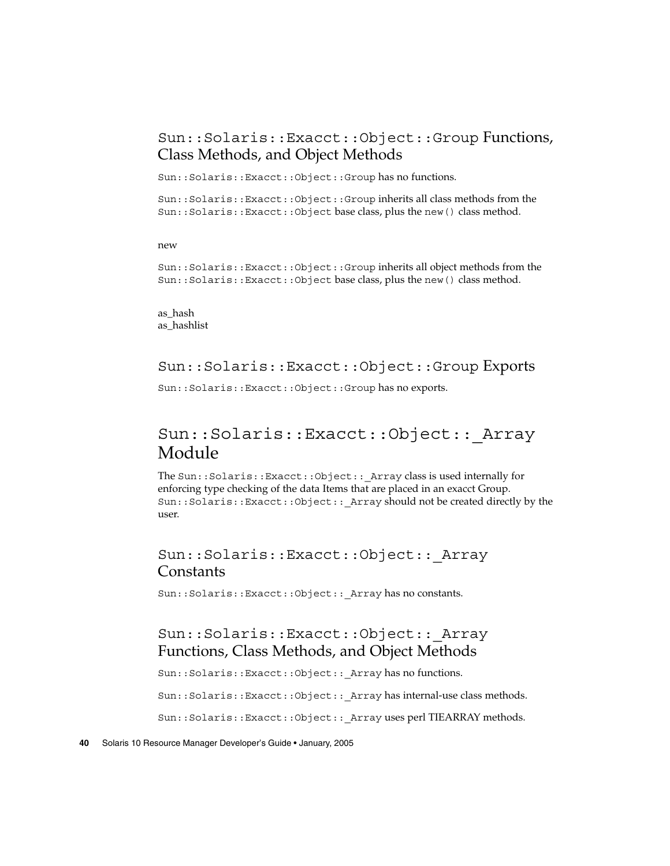### Sun::Solaris::Exacct::Object::Group Functions, Class Methods, and Object Methods

Sun::Solaris::Exacct::Object::Group has no functions.

Sun::Solaris::Exacct::Object::Group inherits all class methods from the Sun::Solaris::Exacct::Object base class, plus the new() class method.

#### new

Sun::Solaris::Exacct::Object::Group inherits all object methods from the Sun::Solaris::Exacct::Object base class, plus the new() class method.

as\_hash as hashlist

### Sun::Solaris::Exacct::Object::Group Exports

Sun::Solaris::Exacct::Object::Group has no exports.

### Sun::Solaris::Exacct::Object::\_Array Module

The Sun::Solaris::Exacct::Object::\_Array class is used internally for enforcing type checking of the data Items that are placed in an exacct Group. Sun::Solaris::Exacct::Object::\_Array should not be created directly by the user.

### Sun::Solaris::Exacct::Object::\_Array Constants

Sun::Solaris::Exacct::Object:: Array has no constants.

### Sun::Solaris::Exacct::Object::\_Array Functions, Class Methods, and Object Methods

Sun::Solaris::Exacct::Object::\_Array has no functions.

Sun::Solaris::Exacct::Object:: Array has internal-use class methods.

Sun::Solaris::Exacct::Object:: Array uses perl TIEARRAY methods.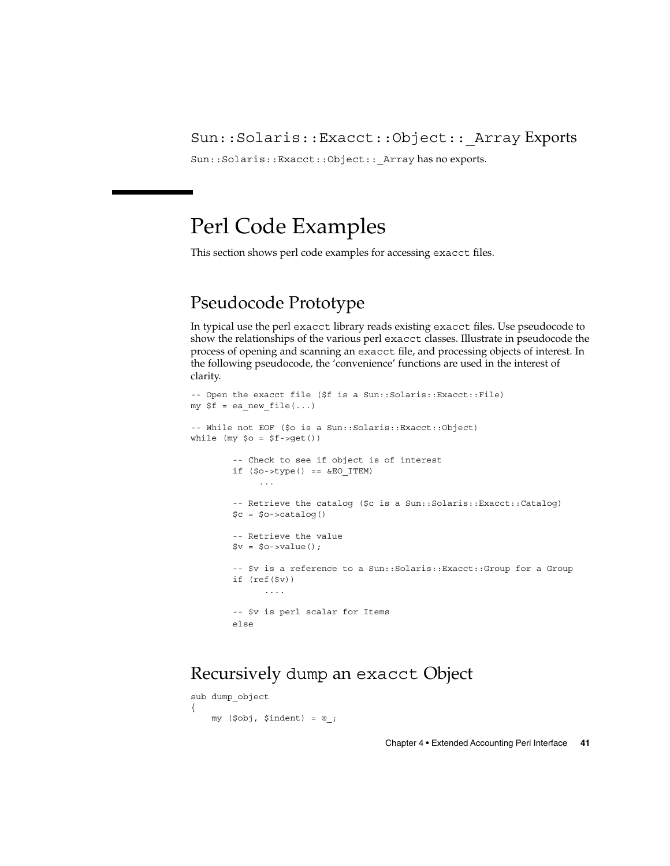Sun::Solaris::Exacct::Object::\_Array Exports

Sun::Solaris::Exacct::Object:: Array has no exports.

# Perl Code Examples

This section shows perl code examples for accessing exacct files.

# Pseudocode Prototype

In typical use the perl exacct library reads existing exacct files. Use pseudocode to show the relationships of the various perl exacct classes. Illustrate in pseudocode the process of opening and scanning an exacct file, and processing objects of interest. In the following pseudocode, the 'convenience' functions are used in the interest of clarity.

```
-- Open the exacct file ($f is a Sun::Solaris::Exacct::File)
my $f = ea_new_file(...)-- While not EOF ($o is a Sun::Solaris::Exacct::Object)
while (my $o = $f->get())-- Check to see if object is of interest
       if (So->type() == &EO ITEM)...
        -- Retrieve the catalog ($c is a Sun::Solaris::Exacct::Catalog)
        sc = so->catalog()
        -- Retrieve the value
       $v = $o->value();
        -- $v is a reference to a Sun::Solaris::Exacct::Group for a Group
       if (ref($v))
             ....
        -- $v is perl scalar for Items
        else
```
# Recursively dump an exacct Object

```
sub dump_object
{
     my (\text{Sobj}, \text{Sindent}) = @;
```
Chapter 4 • Extended Accounting Perl Interface **41**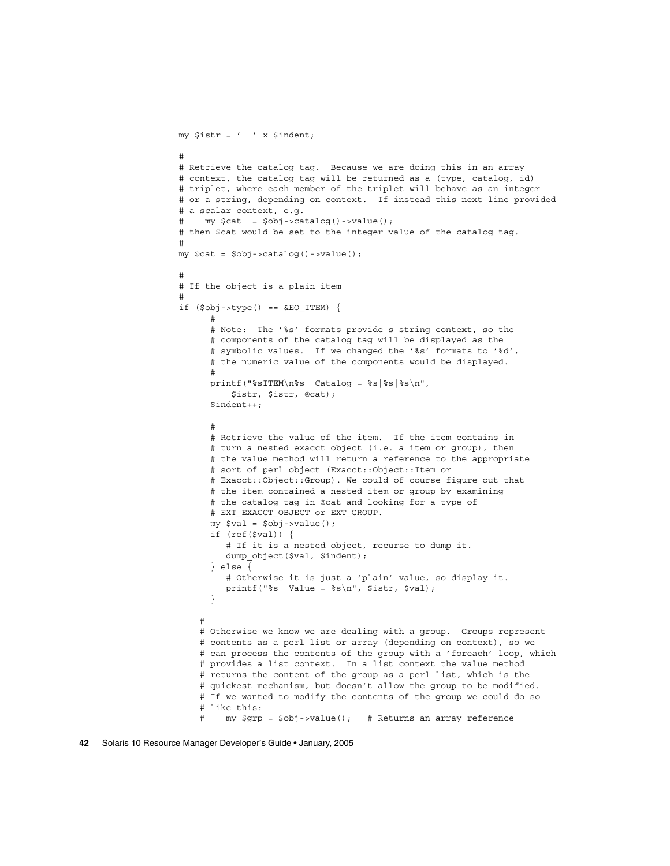```
my $istr = ' ' x $indent;#
# Retrieve the catalog tag. Because we are doing this in an array
# context, the catalog tag will be returned as a (type, catalog, id)
# triplet, where each member of the triplet will behave as an integer
# or a string, depending on context. If instead this next line provided
# a scalar context, e.g.
# my $cat = $obj->catalog()->value();
# then $cat would be set to the integer value of the catalog tag.
#
my @cat = $obj->catalog()->value();
#
# If the object is a plain item
#
if (Sobj - type() == & EO ITEM) {
      #
      # Note: The '%s' formats provide s string context, so the
      # components of the catalog tag will be displayed as the
      # symbolic values. If we changed the '%s' formats to '%d',
      # the numeric value of the components would be displayed.
      #
      printf("%sITEM\n%s Catalog = %s|%s|%s\n",
         $istr, $istr, @cat);
      $indent++;
      #
      # Retrieve the value of the item. If the item contains in
      # turn a nested exacct object (i.e. a item or group), then
      # the value method will return a reference to the appropriate
      # sort of perl object (Exacct::Object::Item or
      # Exacct::Object::Group). We could of course figure out that
      # the item contained a nested item or group by examining
      # the catalog tag in @cat and looking for a type of
      # EXT EXACCT OBJECT or EXT GROUP.
     my $val = $obj->value();
      if (ref($val)) {
         # If it is a nested object, recurse to dump it.
         dump_object($val, $indent);
      } else {
         # Otherwise it is just a 'plain' value, so display it.
         printf("%s Value = %s\n", $istr, $val);
      }
    #
    # Otherwise we know we are dealing with a group. Groups represent
    # contents as a perl list or array (depending on context), so we
    # can process the contents of the group with a 'foreach' loop, which
    # provides a list context. In a list context the value method
    # returns the content of the group as a perl list, which is the
    # quickest mechanism, but doesn't allow the group to be modified.
    # If we wanted to modify the contents of the group we could do so
    # like this:
    # my $grp = $obj->value(); # Returns an array reference
```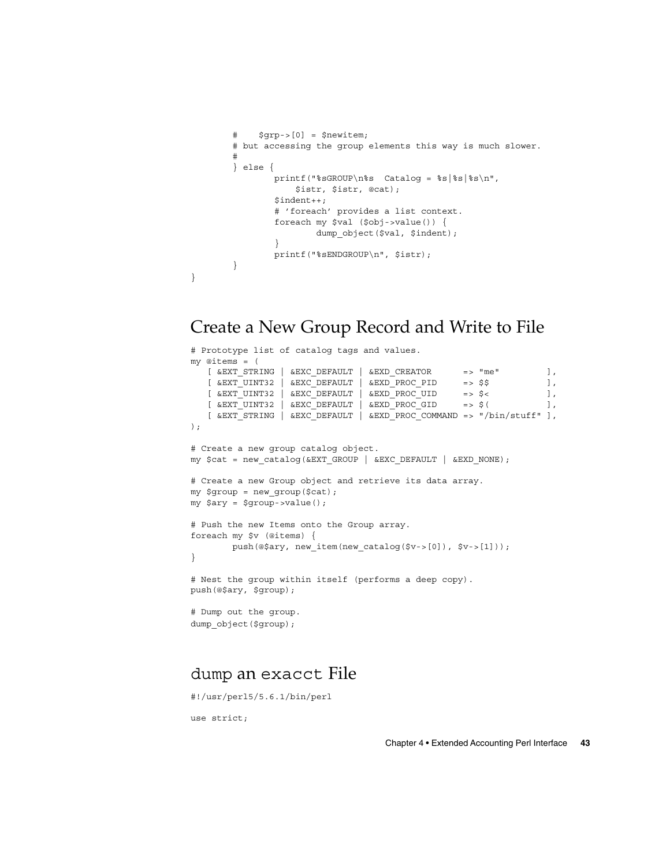```
# $grp->[0] = $newitem;
# but accessing the group elements this way is much slower.
#
} else {
        printf("%sGROUP\n%s Catalog = %s|%s|%s\n",
           $istr, $istr, @cat);
       $indent++;
        # 'foreach' provides a list context.
        foreach my $val ($obj->value()) {
               dump object($val, $indent);
        }
       printf("%sENDGROUP\n", $istr);
}
```
# Create a New Group Record and Write to File

```
# Prototype list of catalog tags and values.
my @items = (
  [ &EXT STRING ] &EXC DEFAULT ] &EXD CREATOR => "me" ],
  [ &EXT_UINT32 | &EXC_DEFAULT | &EXD_PROC_PID => $$ ],
   [ &EXT_UINT32 | &EXC_DEFAULT | &EXD_PROC_UID => $< ],
   [ &EXT UINT32 | &EXC DEFAULT | &EXD PROC GID => $( ],
  [ &EXT_STRING | &EXC_DEFAULT | &EXD_PROC_COMMAND => "/bin/stuff" ],
);
# Create a new group catalog object.
my $cat = new catalog(&EXT GROUP | &EXC DEFAULT | &EXD_NONE);
# Create a new Group object and retrieve its data array.
my $group = new_group($cat);
my $ary = $group->value();
# Push the new Items onto the Group array.
foreach my $v (@items) {
       push(@$ary, new_item(new_catalog($v->[0]), $v->[1]));
}
# Nest the group within itself (performs a deep copy).
push(@$ary, $group);
# Dump out the group.
dump_object($group);
```
### dump an exacct File

```
#!/usr/perl5/5.6.1/bin/perl
```
use strict;

}

Chapter 4 • Extended Accounting Perl Interface **43**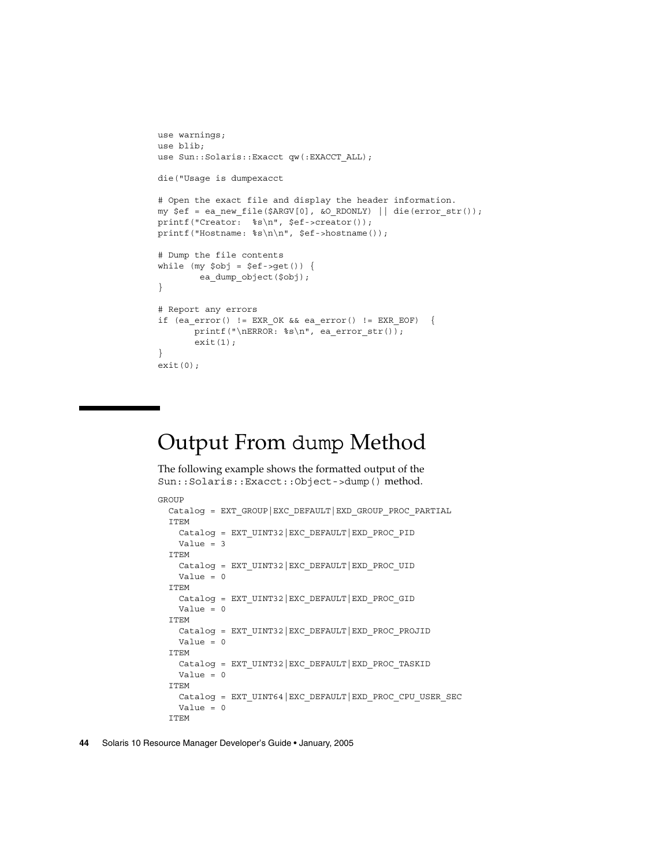```
use warnings;
use blib;
use Sun::Solaris::Exacct qw(:EXACCT_ALL);
die("Usage is dumpexacct
# Open the exact file and display the header information.
my $ef = ea new file($ARGV[0], &O_RDONLY) || die(error_str());
printf("Creator: %s\n", $ef->creator());
printf("Hostname: %s\n\n", $ef->hostname());
# Dump the file contents
while (my $obj = $ef - 3get()) {
        ea_dump_object($obj);
}
# Report any errors
if (ea error() != EXR OK && ea error() != EXR EOF) {
      printf("\nERROR: %s\n", ea_error_str());
       exit(1);}
exit(0);
```
# Output From dump Method

The following example shows the formatted output of the Sun::Solaris::Exacct::Object->dump() method.

```
GROUP
 Catalog = EXT_GROUP|EXC_DEFAULT|EXD_GROUP_PROC_PARTIAL
 ITEM
   Catalog = EXT_UINT32|EXC_DEFAULT|EXD_PROC_PID
   Value = 3
 ITEM
   Catalog = EXT_UINT32|EXC_DEFAULT|EXD_PROC_UID
   Value = 0
 ITEM
   Catalog = EXT_UINT32|EXC_DEFAULT|EXD_PROC_GID
   Value = 0
  ITEM
   Catalog = EXT_UINT32|EXC_DEFAULT|EXD_PROC_PROJID
   Value = 0ITEM
   Catalog = EXT_UINT32|EXC_DEFAULT|EXD_PROC_TASKID
   Value = 0
  ITEM
   Catalog = EXT_UINT64|EXC_DEFAULT|EXD_PROC_CPU_USER_SEC
   Value = 0
 ITEM
```
**44** Solaris 10 Resource Manager Developer's Guide • January, 2005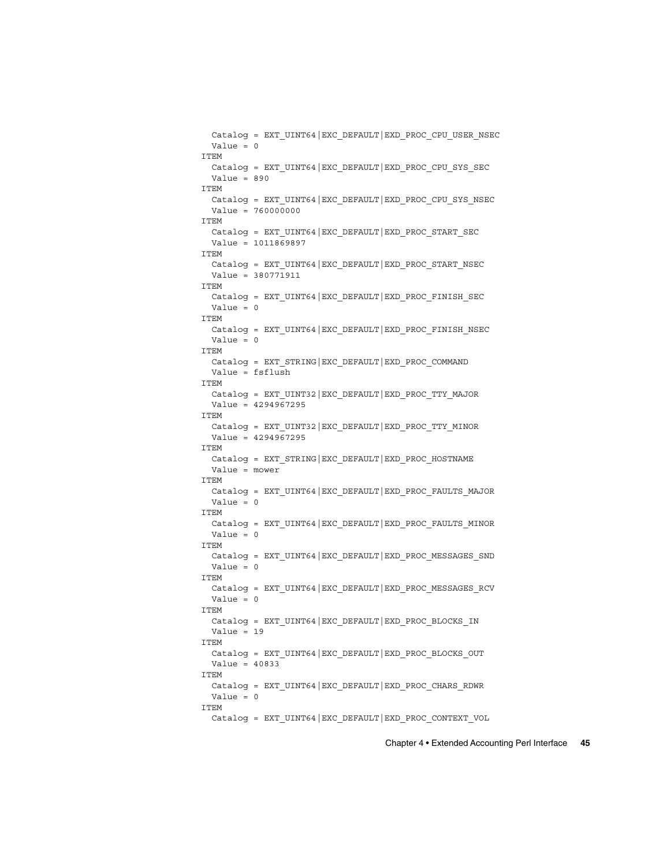```
Catalog = EXT_UINT64|EXC_DEFAULT|EXD_PROC_CPU_USER_NSEC
  Value = 0
ITEM
  Catalog = EXT_UINT64|EXC_DEFAULT|EXD_PROC_CPU_SYS_SEC
  Value = 890ITEM
  Catalog = EXT_UINT64|EXC_DEFAULT|EXD_PROC_CPU_SYS_NSEC
  Value = 760000000
ITEM
  Catalog = EXT_UINT64|EXC_DEFAULT|EXD_PROC_START_SEC
  Value = 1011869897
ITEM
  Catalog = EXT_UINT64 | EXC_DEFAULT | EXD_PROC_START_NSEC
  Value = 380771911
ITEM
 Catalog = EXT_UINT64|EXC_DEFAULT|EXD_PROC_FINISH_SEC
  Value = 0
ITEM
  Catalog = EXT_UINT64 | EXC_DEFAULT | EXD_PROC_FINISH_NSEC
 Value = 0
ITEM
  Catalog = EXT_STRING|EXC_DEFAULT|EXD_PROC_COMMAND
 Value = fsflush
ITEM
 Catalog = EXT_UINT32|EXC_DEFAULT|EXD_PROC_TTY_MAJOR
 Value = 4294967295
ITEM
  Catalog = EXT_UINT32|EXC_DEFAULT|EXD_PROC_TTY_MINOR
 Value = 4294967295
ITEM
  Catalog = EXT_STRING|EXC_DEFAULT|EXD_PROC_HOSTNAME
 Value = mower
ITEM
  Catalog = EXT_UINT64|EXC_DEFAULT|EXD_PROC_FAULTS_MAJOR
  Value = 0
ITEM
 Catalog = EXT_UINT64 | EXC_DEFAULT | EXD_PROC_FAULTS_MINOR
 Value = 0
ITEM
 Catalog = EXT_UINT64|EXC_DEFAULT|EXD_PROC_MESSAGES_SND
  Value = 0
ITEM
  Catalog = EXT_UINT64|EXC_DEFAULT|EXD_PROC_MESSAGES_RCV
 Value = 0
ITEM
  Catalog = EXT_UINT64|EXC_DEFAULT|EXD_PROC_BLOCKS_IN
 Value = 19
ITEM
  Catalog = EXT_UINT64|EXC_DEFAULT|EXD_PROC_BLOCKS_OUT
  Value = 40833
ITEM
  Catalog = EXT_UINT64|EXC_DEFAULT|EXD_PROC_CHARS_RDWR
  Value = 0ITEM
  Catalog = EXT_UINT64|EXC_DEFAULT|EXD_PROC_CONTEXT_VOL
```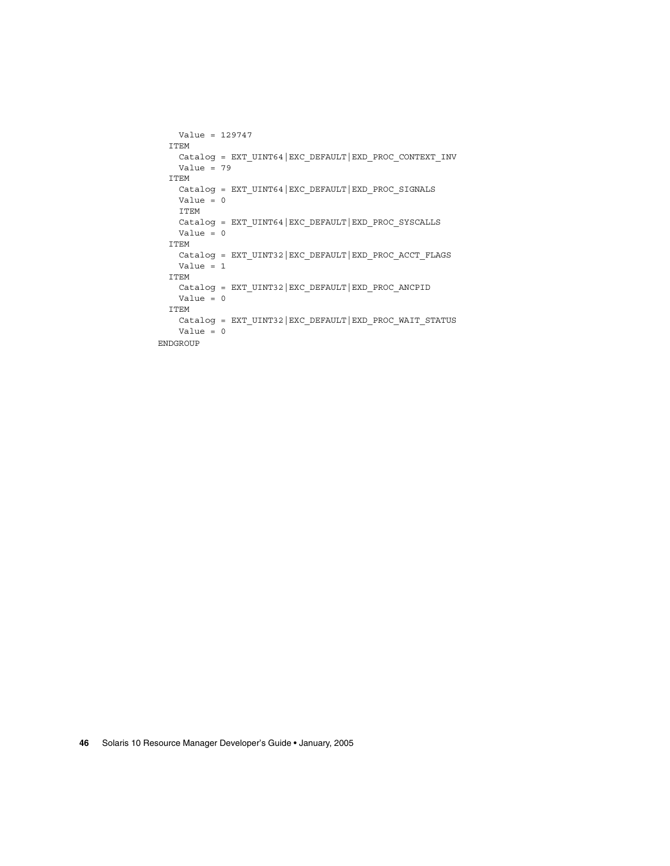```
Value = 129747
  ITEM
   Catalog = EXT_UINT64|EXC_DEFAULT|EXD_PROC_CONTEXT_INV
   Value = 79
  ITEM
   Catalog = EXT_UINT64|EXC_DEFAULT|EXD_PROC_SIGNALS
   Value = 0
   ITEM
   Catalog = EXT_UINT64|EXC_DEFAULT|EXD_PROC_SYSCALLS
   Value = 0
 ITEM
   Catalog = EXT_UINT32|EXC_DEFAULT|EXD_PROC_ACCT_FLAGS
   Value = 1
  ITEM
   Catalog = EXT_UINT32|EXC_DEFAULT|EXD_PROC_ANCPID
   Value = 0
 ITEM
   Catalog = EXT_UINT32|EXC_DEFAULT|EXD_PROC_WAIT_STATUS
   Value = 0
ENDGROUP
```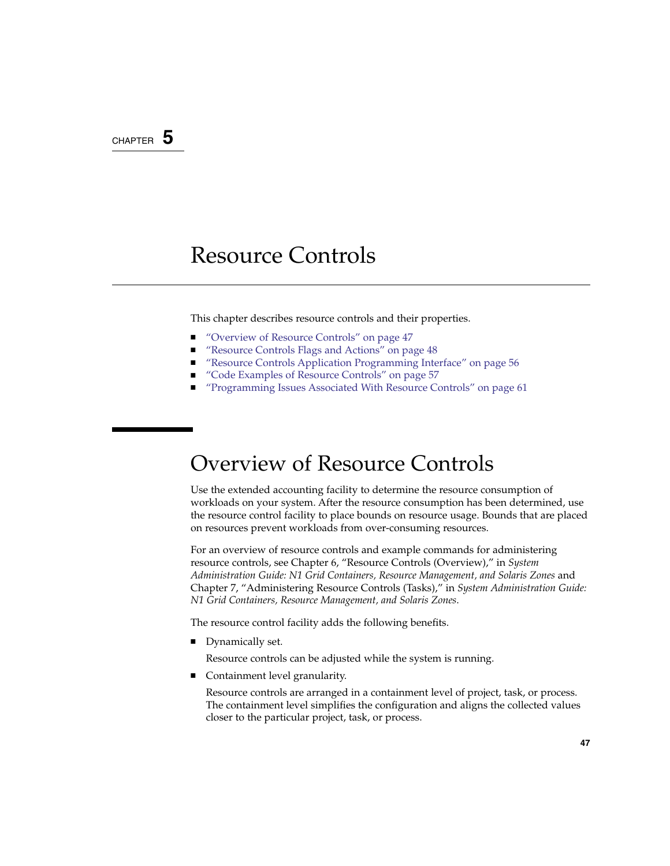### CHAPTER **5**

# Resource Controls

This chapter describes resource controls and their properties.

- "Overview of Resource Controls" on page 47
- *["Resource Controls Flags and Actions"](#page-47-0)* on page 48
- ["Resource Controls Application Programming Interface"](#page-55-0) on page 56
- ["Code Examples of Resource Controls"](#page-56-0) on page 57
- ["Programming Issues Associated With Resource Controls"](#page-60-0) on page 61

# Overview of Resource Controls

Use the extended accounting facility to determine the resource consumption of workloads on your system. After the resource consumption has been determined, use the resource control facility to place bounds on resource usage. Bounds that are placed on resources prevent workloads from over-consuming resources.

For an overview of resource controls and example commands for administering resource controls, see Chapter 6, "Resource Controls (Overview)," in *System Administration Guide: N1 Grid Containers, Resource Management, and Solaris Zones* and Chapter 7, "Administering Resource Controls (Tasks)," in *System Administration Guide: N1 Grid Containers, Resource Management, and Solaris Zones*.

The resource control facility adds the following benefits.

■ Dynamically set.

Resource controls can be adjusted while the system is running.

■ Containment level granularity.

Resource controls are arranged in a containment level of project, task, or process. The containment level simplifies the configuration and aligns the collected values closer to the particular project, task, or process.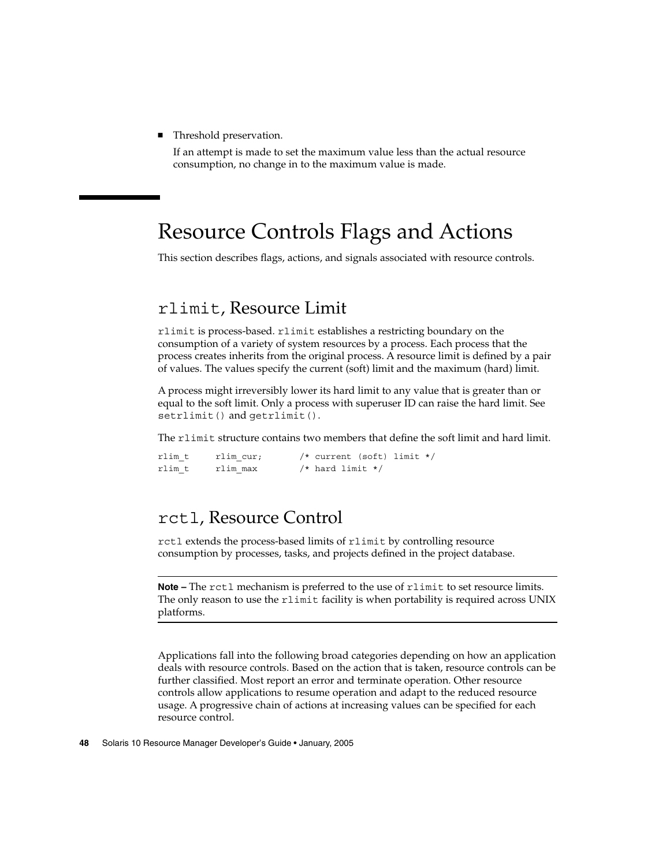<span id="page-47-0"></span>■ Threshold preservation.

If an attempt is made to set the maximum value less than the actual resource consumption, no change in to the maximum value is made.

# Resource Controls Flags and Actions

This section describes flags, actions, and signals associated with resource controls.

## rlimit, Resource Limit

rlimit is process-based. rlimit establishes a restricting boundary on the consumption of a variety of system resources by a process. Each process that the process creates inherits from the original process. A resource limit is defined by a pair of values. The values specify the current (soft) limit and the maximum (hard) limit.

A process might irreversibly lower its hard limit to any value that is greater than or equal to the soft limit. Only a process with superuser ID can raise the hard limit. See setrlimit() and getrlimit().

The rlimit structure contains two members that define the soft limit and hard limit.

```
rlim t rlim cur; /* current (soft) limit */
rlim_t rlim_max /* hard limit */
```
### rctl, Resource Control

rctl extends the process-based limits of rlimit by controlling resource consumption by processes, tasks, and projects defined in the project database.

**Note –** The rctl mechanism is preferred to the use of rlimit to set resource limits. The only reason to use the rlimit facility is when portability is required across UNIX platforms.

Applications fall into the following broad categories depending on how an application deals with resource controls. Based on the action that is taken, resource controls can be further classified. Most report an error and terminate operation. Other resource controls allow applications to resume operation and adapt to the reduced resource usage. A progressive chain of actions at increasing values can be specified for each resource control.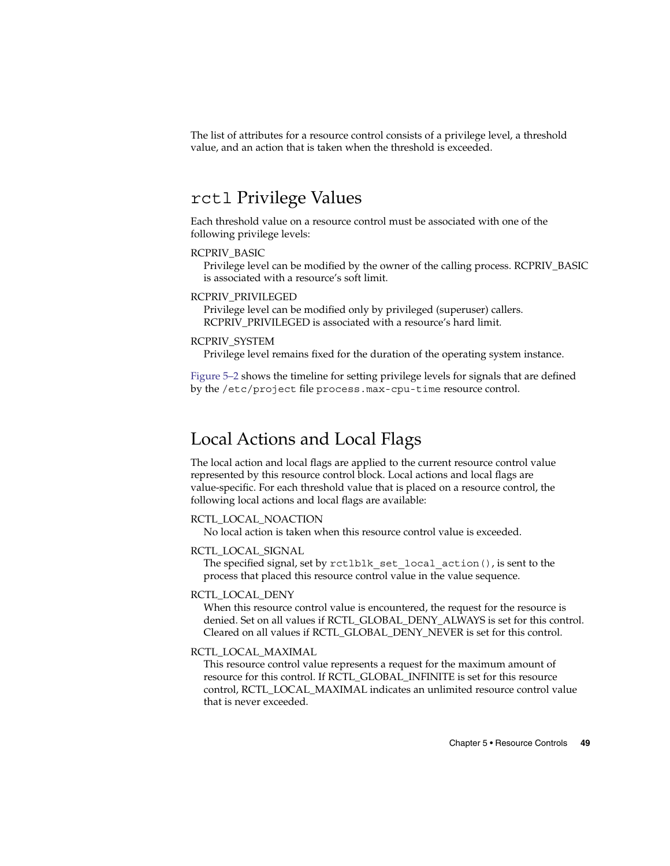The list of attributes for a resource control consists of a privilege level, a threshold value, and an action that is taken when the threshold is exceeded.

### rctl Privilege Values

Each threshold value on a resource control must be associated with one of the following privilege levels:

#### RCPRIV\_BASIC

Privilege level can be modified by the owner of the calling process. RCPRIV\_BASIC is associated with a resource's soft limit.

#### RCPRIV\_PRIVILEGED

Privilege level can be modified only by privileged (superuser) callers. RCPRIV\_PRIVILEGED is associated with a resource's hard limit.

#### RCPRIV\_SYSTEM

Privilege level remains fixed for the duration of the operating system instance.

[Figure 5–2](#page-54-0) shows the timeline for setting privilege levels for signals that are defined by the /etc/project file process.max-cpu-time resource control.

### Local Actions and Local Flags

The local action and local flags are applied to the current resource control value represented by this resource control block. Local actions and local flags are value-specific. For each threshold value that is placed on a resource control, the following local actions and local flags are available:

#### RCTL\_LOCAL\_NOACTION

No local action is taken when this resource control value is exceeded.

#### RCTL\_LOCAL\_SIGNAL

The specified signal, set by rctlblk set local action(), is sent to the process that placed this resource control value in the value sequence.

#### RCTL\_LOCAL\_DENY

When this resource control value is encountered, the request for the resource is denied. Set on all values if RCTL\_GLOBAL\_DENY\_ALWAYS is set for this control. Cleared on all values if RCTL\_GLOBAL\_DENY\_NEVER is set for this control.

#### RCTL\_LOCAL\_MAXIMAL

This resource control value represents a request for the maximum amount of resource for this control. If RCTL\_GLOBAL\_INFINITE is set for this resource control, RCTL\_LOCAL\_MAXIMAL indicates an unlimited resource control value that is never exceeded.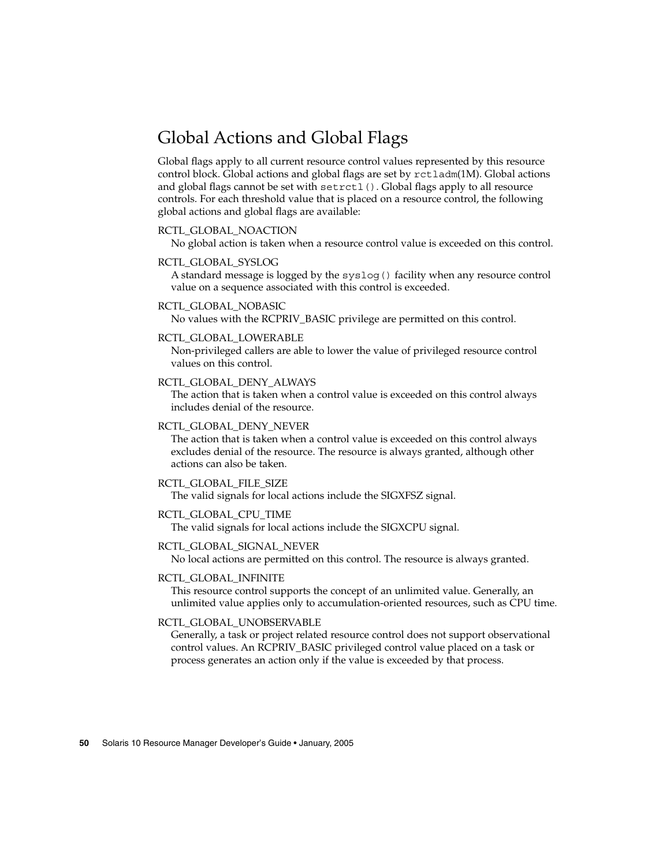## Global Actions and Global Flags

Global flags apply to all current resource control values represented by this resource control block. Global actions and global flags are set by rctladm(1M). Global actions and global flags cannot be set with setrctl(). Global flags apply to all resource controls. For each threshold value that is placed on a resource control, the following global actions and global flags are available:

#### RCTL\_GLOBAL\_NOACTION

No global action is taken when a resource control value is exceeded on this control.

#### RCTL\_GLOBAL\_SYSLOG

A standard message is logged by the syslog() facility when any resource control value on a sequence associated with this control is exceeded.

#### RCTL\_GLOBAL\_NOBASIC

No values with the RCPRIV\_BASIC privilege are permitted on this control.

#### RCTL\_GLOBAL\_LOWERABLE

Non-privileged callers are able to lower the value of privileged resource control values on this control.

#### RCTL\_GLOBAL\_DENY\_ALWAYS

The action that is taken when a control value is exceeded on this control always includes denial of the resource.

#### RCTL\_GLOBAL\_DENY\_NEVER

The action that is taken when a control value is exceeded on this control always excludes denial of the resource. The resource is always granted, although other actions can also be taken.

#### RCTL\_GLOBAL\_FILE\_SIZE

The valid signals for local actions include the SIGXFSZ signal.

#### RCTL\_GLOBAL\_CPU\_TIME

The valid signals for local actions include the SIGXCPU signal.

#### RCTL\_GLOBAL\_SIGNAL\_NEVER

No local actions are permitted on this control. The resource is always granted.

#### RCTL\_GLOBAL\_INFINITE

This resource control supports the concept of an unlimited value. Generally, an unlimited value applies only to accumulation-oriented resources, such as CPU time.

#### RCTL\_GLOBAL\_UNOBSERVABLE

Generally, a task or project related resource control does not support observational control values. An RCPRIV\_BASIC privileged control value placed on a task or process generates an action only if the value is exceeded by that process.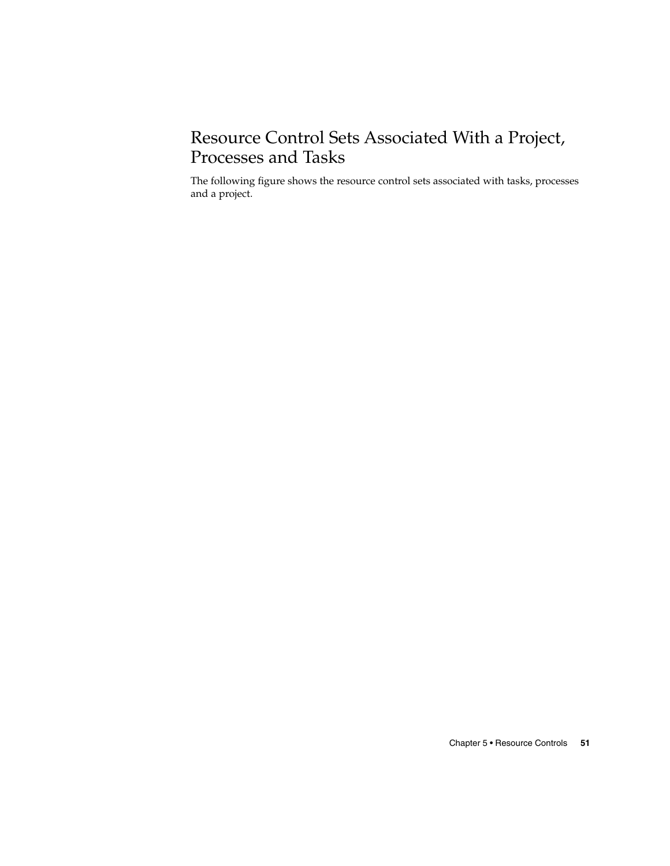# Resource Control Sets Associated With a Project, Processes and Tasks

The following figure shows the resource control sets associated with tasks, processes and a project.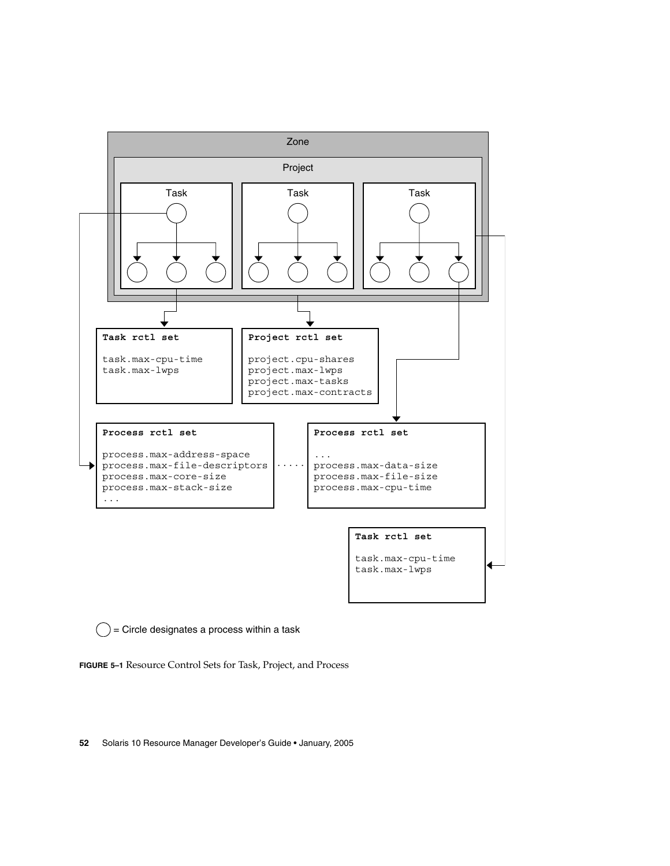

 $( )$  = Circle designates a process within a task

**FIGURE 5–1** Resource Control Sets for Task, Project, and Process

**52** Solaris 10 Resource Manager Developer's Guide • January, 2005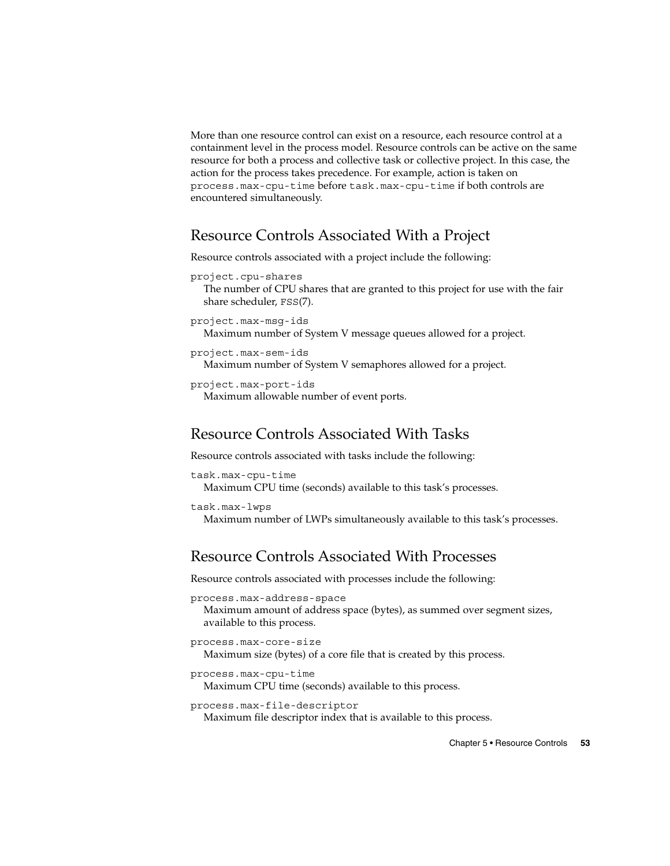More than one resource control can exist on a resource, each resource control at a containment level in the process model. Resource controls can be active on the same resource for both a process and collective task or collective project. In this case, the action for the process takes precedence. For example, action is taken on process.max-cpu-time before task.max-cpu-time if both controls are encountered simultaneously.

### Resource Controls Associated With a Project

Resource controls associated with a project include the following:

```
project.cpu-shares
```
The number of CPU shares that are granted to this project for use with the fair share scheduler, FSS(7).

```
project.max-msg-ids
```
Maximum number of System V message queues allowed for a project.

```
project.max-sem-ids
  Maximum number of System V semaphores allowed for a project.
```
project.max-port-ids

Maximum allowable number of event ports.

### Resource Controls Associated With Tasks

Resource controls associated with tasks include the following:

```
task.max-cpu-time
  Maximum CPU time (seconds) available to this task's processes.
```

```
task.max-lwps
```
Maximum number of LWPs simultaneously available to this task's processes.

### Resource Controls Associated With Processes

Resource controls associated with processes include the following:

```
process.max-address-space
  Maximum amount of address space (bytes), as summed over segment sizes,
  available to this process.
```

```
process.max-core-size
  Maximum size (bytes) of a core file that is created by this process.
```

```
process.max-cpu-time
```
Maximum CPU time (seconds) available to this process.

process.max-file-descriptor

Maximum file descriptor index that is available to this process.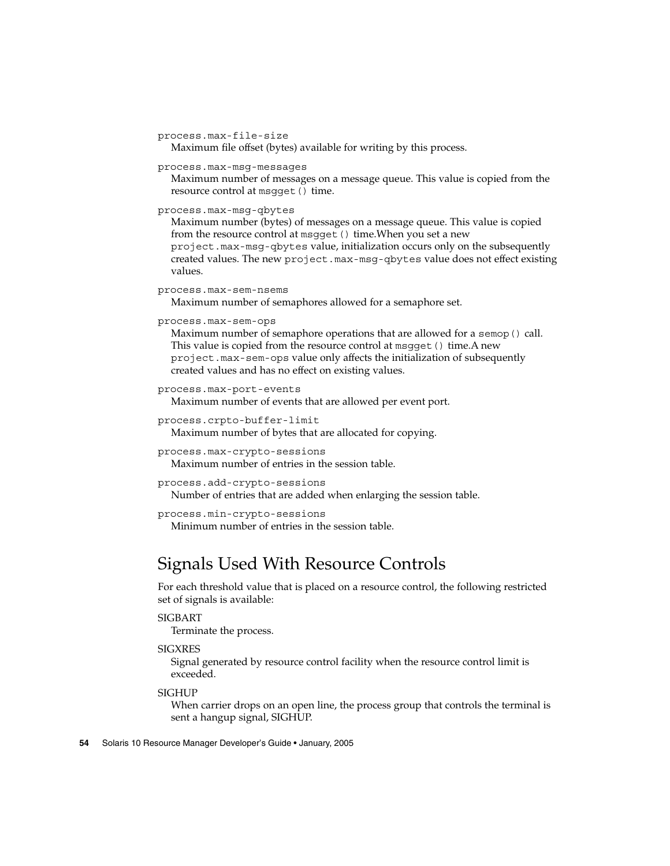```
process.max-file-size
```
Maximum file offset (bytes) available for writing by this process.

process.max-msg-messages

Maximum number of messages on a message queue. This value is copied from the resource control at msgget () time.

process.max-msg-qbytes

Maximum number (bytes) of messages on a message queue. This value is copied from the resource control at msgget () time. When you set a new project.max-msg-qbytes value, initialization occurs only on the subsequently created values. The new project.max-msg-qbytes value does not effect existing values.

```
process.max-sem-nsems
```
Maximum number of semaphores allowed for a semaphore set.

#### process.max-sem-ops

Maximum number of semaphore operations that are allowed for a semop() call. This value is copied from the resource control at msqqet() time.A new project.max-sem-ops value only affects the initialization of subsequently created values and has no effect on existing values.

```
process.max-port-events
```
Maximum number of events that are allowed per event port.

```
process.crpto-buffer-limit
```
Maximum number of bytes that are allocated for copying.

```
process.max-crypto-sessions
```
Maximum number of entries in the session table.

```
process.add-crypto-sessions
```
Number of entries that are added when enlarging the session table.

```
process.min-crypto-sessions
```
Minimum number of entries in the session table.

### Signals Used With Resource Controls

For each threshold value that is placed on a resource control, the following restricted set of signals is available:

#### SIGBART

Terminate the process.

#### SIGXRES

Signal generated by resource control facility when the resource control limit is exceeded.

#### **SIGHUP**

When carrier drops on an open line, the process group that controls the terminal is sent a hangup signal, SIGHUP.

**54** Solaris 10 Resource Manager Developer's Guide • January, 2005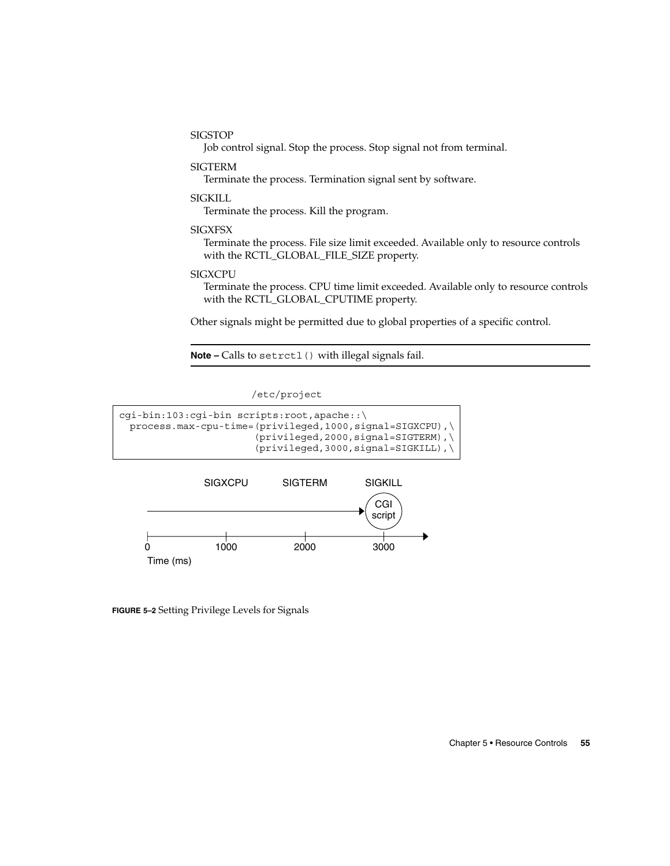#### <span id="page-54-0"></span>SIGSTOP

Job control signal. Stop the process. Stop signal not from terminal.

#### SIGTERM

Terminate the process. Termination signal sent by software.

#### **SIGKILL**

Terminate the process. Kill the program.

#### **SIGXFSX**

Terminate the process. File size limit exceeded. Available only to resource controls with the RCTL\_GLOBAL\_FILE\_SIZE property.

#### **SIGXCPU**

Terminate the process. CPU time limit exceeded. Available only to resource controls with the RCTL\_GLOBAL\_CPUTIME property.

Other signals might be permitted due to global properties of a specific control.

**Note –** Calls to setrctl() with illegal signals fail.

/etc/project





**FIGURE 5–2** Setting Privilege Levels for Signals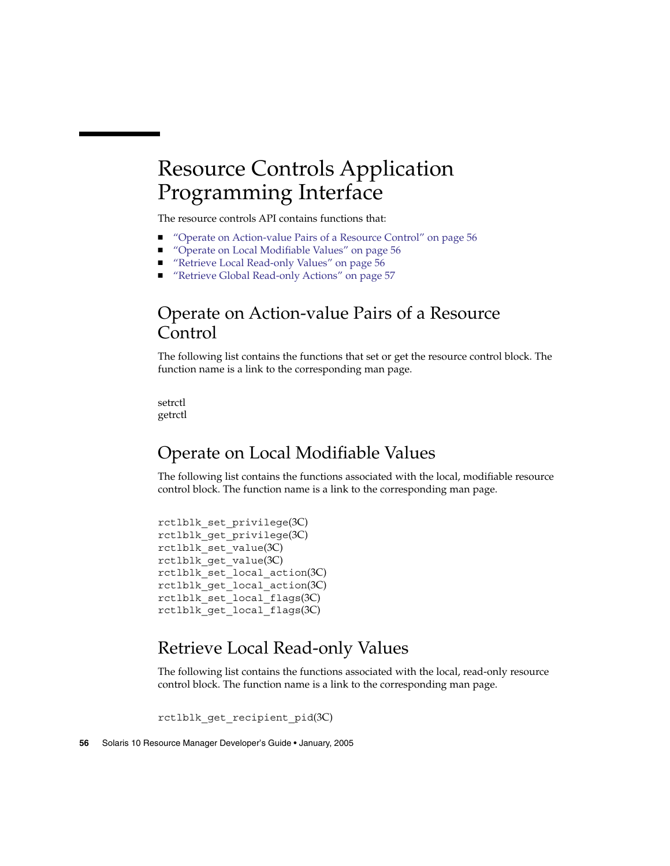# <span id="page-55-0"></span>Resource Controls Application Programming Interface

The resource controls API contains functions that:

- "Operate on Action-value Pairs of a Resource Control" on page 56
- "Operate on Local Modifiable Values" on page 56
- "Retrieve Local Read-only Values" on page 56
- ["Retrieve Global Read-only Actions"](#page-56-0) on page 57

# Operate on Action-value Pairs of a Resource Control

The following list contains the functions that set or get the resource control block. The function name is a link to the corresponding man page.

setrctl getrctl

# Operate on Local Modifiable Values

The following list contains the functions associated with the local, modifiable resource control block. The function name is a link to the corresponding man page.

```
rctlblk_set_privilege(3C)
rctlblk_get_privilege(3C)
rctlblk_set_value(3C)
rctlblk_get_value(3C)
rctlblk_set_local_action(3C)
rctlblk_get_local_action(3C)
rctlblk_set_local_flags(3C)
rctlblk_get_local_flags(3C)
```
### Retrieve Local Read-only Values

The following list contains the functions associated with the local, read-only resource control block. The function name is a link to the corresponding man page.

rctlblk get recipient pid(3C)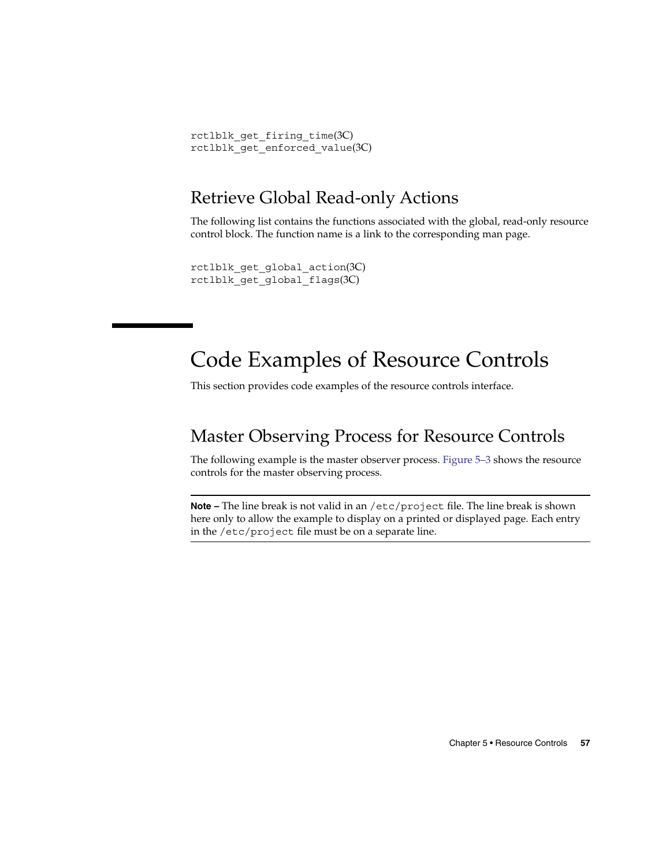<span id="page-56-0"></span>rctlblk get firing  $time(3C)$ rctlblk get enforced value(3C)

### Retrieve Global Read-only Actions

The following list contains the functions associated with the global, read-only resource control block. The function name is a link to the corresponding man page.

```
rctlblk_get_global_action(3C)
rctlblk_get_global_flags(3C)
```
# Code Examples of Resource Controls

This section provides code examples of the resource controls interface.

### Master Observing Process for Resource Controls

The following example is the master observer process. Figure 5–3 shows the resource controls for the master observing process.

**Note –** The line break is not valid in an /etc/project file. The line break is shown here only to allow the example to display on a printed or displayed page. Each entry in the /etc/project file must be on a separate line.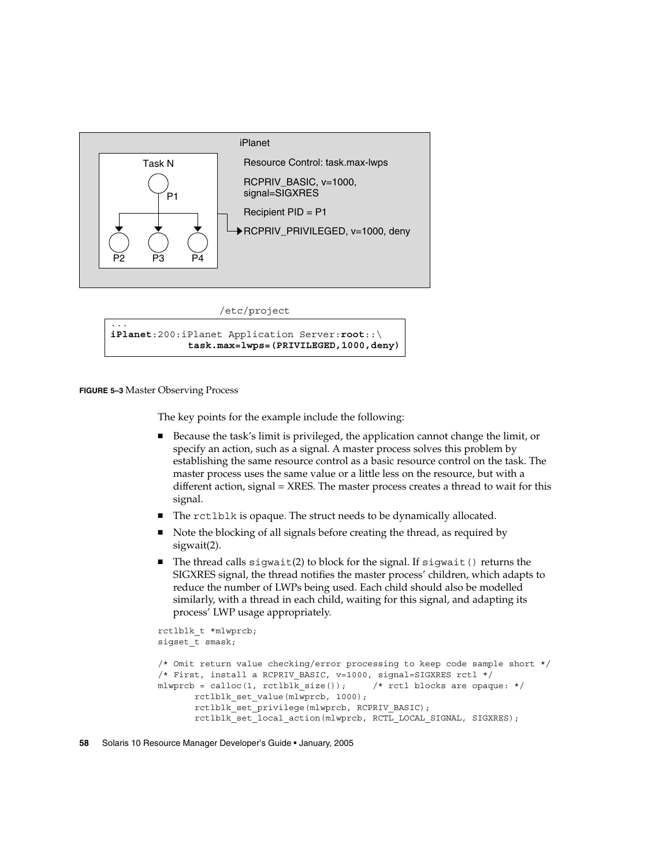

**iPlanet**:200:iPlanet Application Server:**root**::\ **task.max=lwps=(PRIVILEGED,1000,deny)**

#### **FIGURE 5–3** Master Observing Process

The key points for the example include the following:

- Because the task's limit is privileged, the application cannot change the limit, or specify an action, such as a signal. A master process solves this problem by establishing the same resource control as a basic resource control on the task. The master process uses the same value or a little less on the resource, but with a different action, signal = XRES. The master process creates a thread to wait for this signal.
- The rctlblk is opaque. The struct needs to be dynamically allocated.
- Note the blocking of all signals before creating the thread, as required by sigwait(2).
- **The thread calls sigwait(2) to block for the signal.** If sigwait() returns the SIGXRES signal, the thread notifies the master process' children, which adapts to reduce the number of LWPs being used. Each child should also be modelled similarly, with a thread in each child, waiting for this signal, and adapting its process' LWP usage appropriately.

```
rctlblk_t *mlwprcb;
sigset_t smask;
/* Omit return value checking/error processing to keep code sample short */
/* First, install a RCPRIV_BASIC, v=1000, signal=SIGXRES rctl */
mlwprcb = calloc(1, rctlblk_size()); \qquad /* rctl blocks are opaque: */
       rctlblk_set_value(mlwprcb, 1000);
       rctlblk set privilege(mlwprcb, RCPRIV BASIC);
       rctlblk set local action(mlwprcb, RCTL LOCAL SIGNAL, SIGXRES);
```
#### **58** Solaris 10 Resource Manager Developer's Guide • January, 2005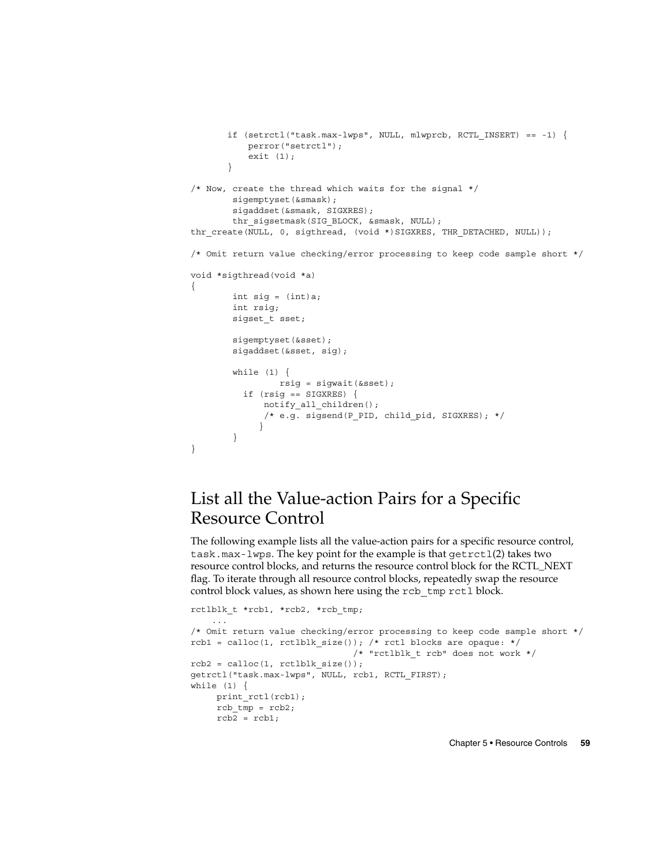```
if (setrctl("task.max-lwps", NULL, mlwprcb, RCTL INSERT) == -1) {
           perror("setrctl");
           exit (1);
       }
/* Now, create the thread which waits for the signal */
        sigemptyset(&smask);
        sigaddset(&smask, SIGXRES);
        thr sigsetmask(SIG_BLOCK, &smask, NULL);
thr_create(NULL, 0, sigthread, (void *)SIGXRES, THR_DETACHED, NULL));
/* Omit return value checking/error processing to keep code sample short */
void *sigthread(void *a)
{
       int sig = (int)a;int rsig;
       sigset_t sset;
        sigemptyset(&sset);
        sigaddset(&sset, sig);
        while (1) {
                rsig = sigwait(&sset);
          if (rsig == SIGXRES) {
             notify all children();
              /* e.g. sigsend(P_PID, child_pid, SIGXRES); */
             }
        }
}
```
# List all the Value-action Pairs for a Specific Resource Control

The following example lists all the value-action pairs for a specific resource control, task.max-lwps. The key point for the example is that getrctl(2) takes two resource control blocks, and returns the resource control block for the RCTL\_NEXT flag. To iterate through all resource control blocks, repeatedly swap the resource control block values, as shown here using the rcb tmp rctl block.

```
rctlblk t *rcb1, *rcb2, *rcb tmp;
    ...
/* Omit return value checking/error processing to keep code sample short */
rcb1 = calloc(1, rctlblk_size()); /* rctl blocks are opaque: */
                               /* "rctlblk_t rcb" does not work */
rcb2 = calloc(1, rctlblk size());
getrctl("task.max-lwps", NULL, rcb1, RCTL_FIRST);
while (1) {
    print_rctl(rcb1);
    rcb tmp = rcb2;rcb2 = rcb1;
```
Chapter 5 • Resource Controls **59**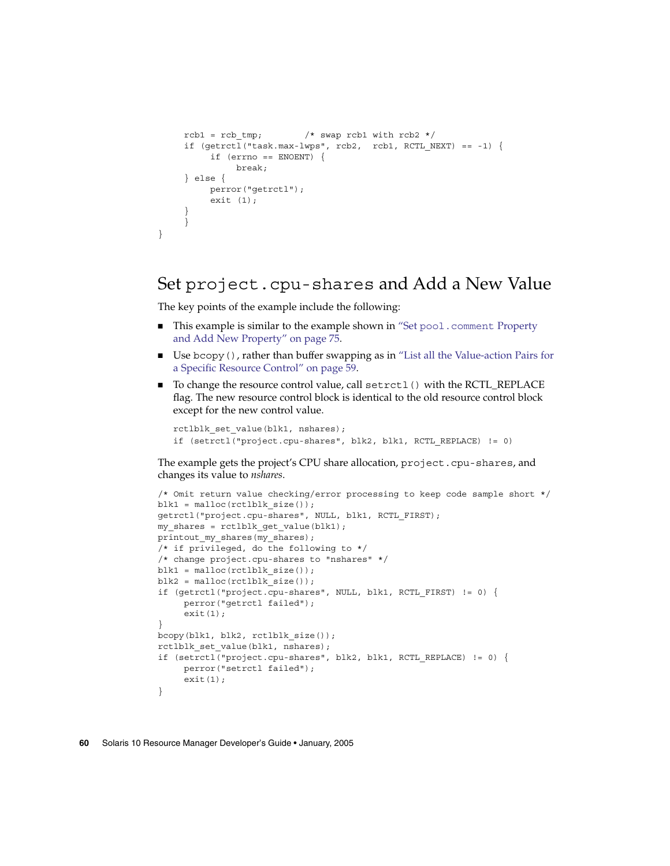```
rcb1 = rcb tmp; /* swap rcb1 with rcb2 */if (getrctl("task.max-lwps", rcb2, rcb1, RCTL NEXT) == -1) {
         if (errno == ENOENT) {
              break;
    } else {
         perror("getrctl");
         exit (1);
    }
    }
}
```
### Set project.cpu-shares and Add a New Value

The key points of the example include the following:

- This example is similar to the example shown in "Set [pool.comment](#page-74-0) Property [and Add New Property"](#page-74-0) on page 75.
- Use bcopy (), rather than buffer swapping as in ["List all the Value-action Pairs for](#page-58-0) [a Specific Resource Control"](#page-58-0) on page 59.
- To change the resource control value, call setrctl() with the RCTL\_REPLACE flag. The new resource control block is identical to the old resource control block except for the new control value.

```
rctlblk set value(blk1, nshares);
if (setrctl("project.cpu-shares", blk2, blk1, RCTL_REPLACE) != 0)
```
The example gets the project's CPU share allocation, project.cpu-shares, and changes its value to *nshares*.

```
/* Omit return value checking/error processing to keep code sample short */
blk1 = malloc(rctlblk size());
getrctl("project.cpu-shares", NULL, blk1, RCTL_FIRST);
my_shares = rctlblk_get_value(blk1);
printout_my_shares(my_shares);
/* if privileged, do the following to */
/* change project.cpu-shares to "nshares" */
blk1 = malloc(rctlblk_size());
blk2 = malloc(rctlblk size());
if (getrctl("project.cpu-shares", NULL, blk1, RCTL_FIRST) != 0) {
     perror("getrctl failed");
     exit(1);}
bcopy(blk1, blk2, rctlblk_size());
rctlblk_set_value(blk1, nshares);
if (setrctl("project.cpu-shares", blk2, blk1, RCTL_REPLACE) != 0) {
     perror("setrctl failed");
     exit(1);
}
```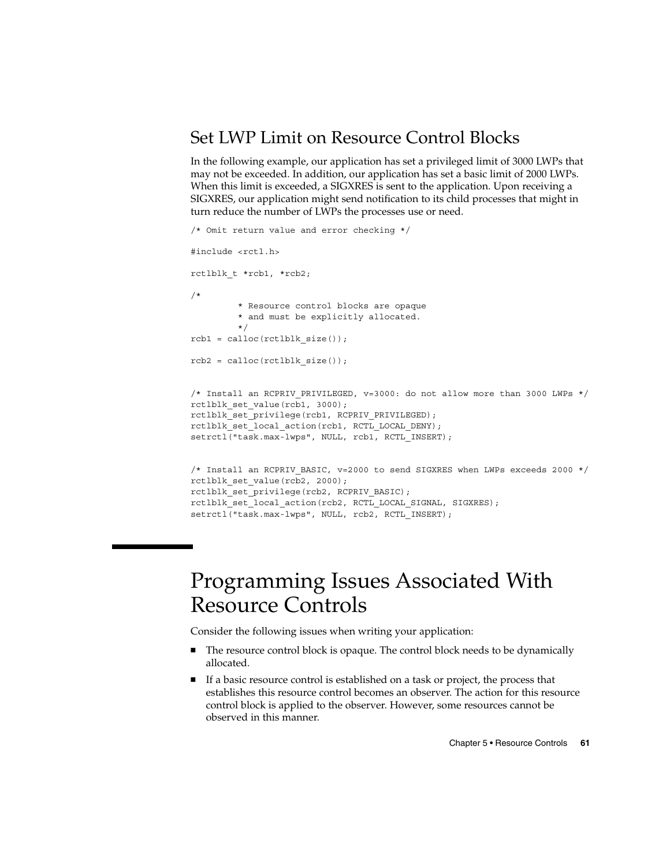## <span id="page-60-0"></span>Set LWP Limit on Resource Control Blocks

In the following example, our application has set a privileged limit of 3000 LWPs that may not be exceeded. In addition, our application has set a basic limit of 2000 LWPs. When this limit is exceeded, a SIGXRES is sent to the application. Upon receiving a SIGXRES, our application might send notification to its child processes that might in turn reduce the number of LWPs the processes use or need.

```
/* Omit return value and error checking */
#include <rctl.h>
rctlblk_t *rcb1, *rcb2;
/*
         * Resource control blocks are opaque
         * and must be explicitly allocated.
        */
rcb1 = calloc(rctblk size());
rcb2 = calloc(rctblk size());
/* Install an RCPRIV PRIVILEGED, v=3000: do not allow more than 3000 LWPs */
rctlblk_set_value(rcb1, 3000);
rctlblk_set_privilege(rcb1, RCPRIV_PRIVILEGED);
rctlblk set local action(rcb1, RCTL LOCAL DENY);
setrctl("task.max-lwps", NULL, rcb1, RCTL INSERT);
/* Install an RCPRIV BASIC, v=2000 to send SIGXRES when LWPs exceeds 2000 */
rctlblk_set_value(rcb2, 2000);
rctlblk_set_privilege(rcb2, RCPRIV_BASIC);
rctlblk set local action(rcb2, RCTL LOCAL SIGNAL, SIGXRES);
setrctl("task.max-lwps", NULL, rcb2, RCTL_INSERT);
```
# Programming Issues Associated With Resource Controls

Consider the following issues when writing your application:

- The resource control block is opaque. The control block needs to be dynamically allocated.
- If a basic resource control is established on a task or project, the process that establishes this resource control becomes an observer. The action for this resource control block is applied to the observer. However, some resources cannot be observed in this manner.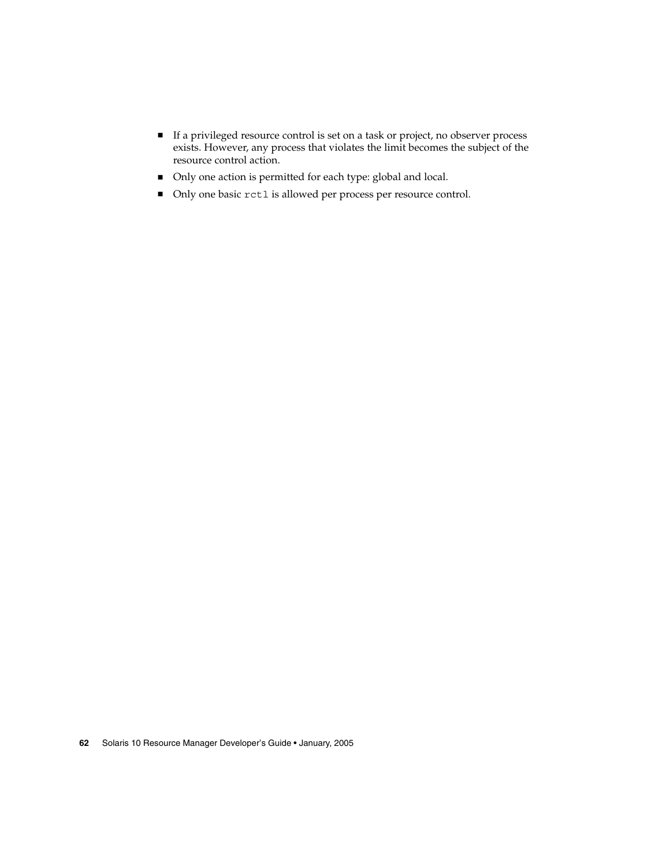- If a privileged resource control is set on a task or project, no observer process exists. However, any process that violates the limit becomes the subject of the resource control action.
- Only one action is permitted for each type: global and local.
- Only one basic rct1 is allowed per process per resource control.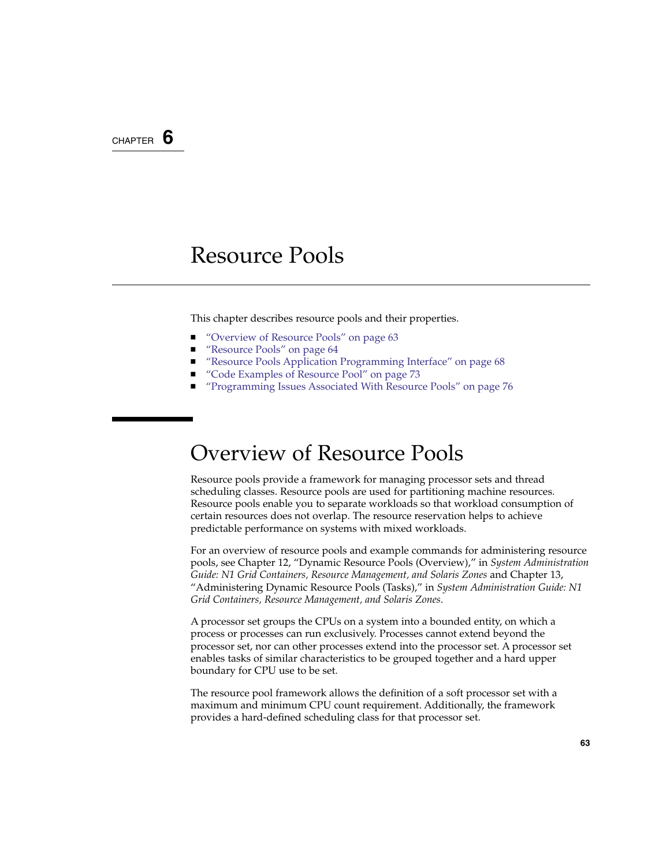### <span id="page-62-0"></span>CHAPTER **6**

# Resource Pools

This chapter describes resource pools and their properties.

- "Overview of Resource Pools" on page 63
- ["Resource Pools"](#page-63-0) on page 64
- ["Resource Pools Application Programming Interface"](#page-67-0) on page 68
- ["Code Examples of Resource Pool"](#page-72-0) on page 73
- ["Programming Issues Associated With Resource Pools"](#page-75-0) on page 76

# Overview of Resource Pools

Resource pools provide a framework for managing processor sets and thread scheduling classes. Resource pools are used for partitioning machine resources. Resource pools enable you to separate workloads so that workload consumption of certain resources does not overlap. The resource reservation helps to achieve predictable performance on systems with mixed workloads.

For an overview of resource pools and example commands for administering resource pools, see Chapter 12, "Dynamic Resource Pools (Overview)," in *System Administration Guide: N1 Grid Containers, Resource Management, and Solaris Zones* and Chapter 13, "Administering Dynamic Resource Pools (Tasks)," in *System Administration Guide: N1 Grid Containers, Resource Management, and Solaris Zones*.

A processor set groups the CPUs on a system into a bounded entity, on which a process or processes can run exclusively. Processes cannot extend beyond the processor set, nor can other processes extend into the processor set. A processor set enables tasks of similar characteristics to be grouped together and a hard upper boundary for CPU use to be set.

The resource pool framework allows the definition of a soft processor set with a maximum and minimum CPU count requirement. Additionally, the framework provides a hard-defined scheduling class for that processor set.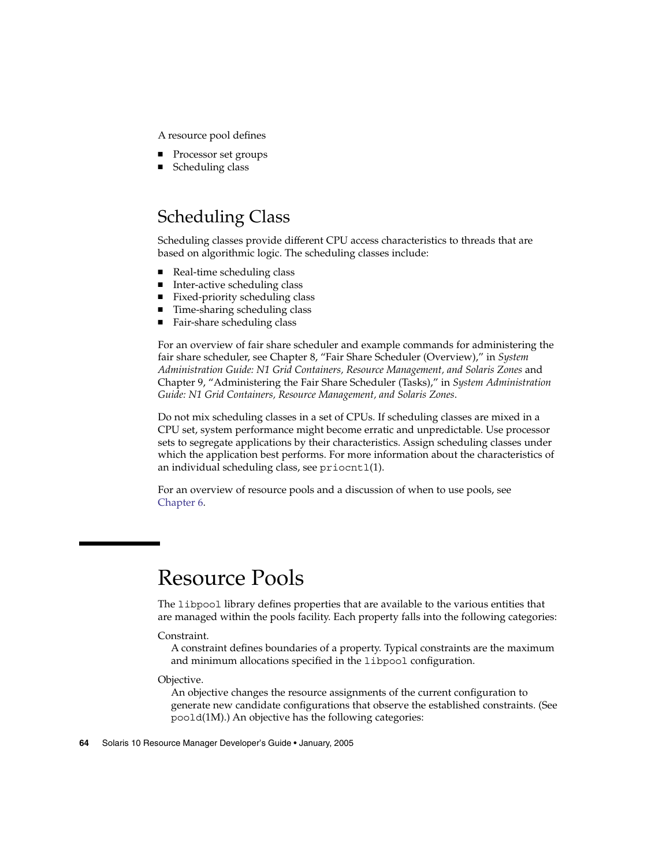<span id="page-63-0"></span>A resource pool defines

- Processor set groups
- Scheduling class

# Scheduling Class

Scheduling classes provide different CPU access characteristics to threads that are based on algorithmic logic. The scheduling classes include:

- Real-time scheduling class
- Inter-active scheduling class
- Fixed-priority scheduling class
- Time-sharing scheduling class
- Fair-share scheduling class

For an overview of fair share scheduler and example commands for administering the fair share scheduler, see Chapter 8, "Fair Share Scheduler (Overview)," in *System Administration Guide: N1 Grid Containers, Resource Management, and Solaris Zones* and Chapter 9, "Administering the Fair Share Scheduler (Tasks)," in *System Administration Guide: N1 Grid Containers, Resource Management, and Solaris Zones*.

Do not mix scheduling classes in a set of CPUs. If scheduling classes are mixed in a CPU set, system performance might become erratic and unpredictable. Use processor sets to segregate applications by their characteristics. Assign scheduling classes under which the application best performs. For more information about the characteristics of an individual scheduling class, see priocnt1(1).

For an overview of resource pools and a discussion of when to use pools, see [Chapter 6.](#page-62-0)

# Resource Pools

The libpool library defines properties that are available to the various entities that are managed within the pools facility. Each property falls into the following categories:

#### Constraint.

A constraint defines boundaries of a property. Typical constraints are the maximum and minimum allocations specified in the libpool configuration.

#### Objective.

An objective changes the resource assignments of the current configuration to generate new candidate configurations that observe the established constraints. (See poold(1M).) An objective has the following categories: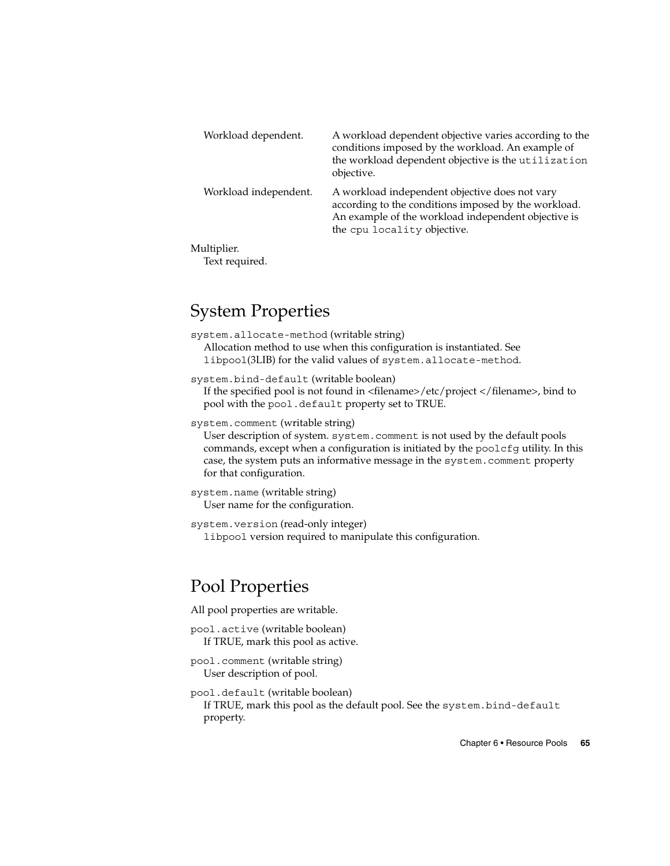| Workload dependent.   | A workload dependent objective varies according to the<br>conditions imposed by the workload. An example of<br>the workload dependent objective is the utilization<br>objective.             |
|-----------------------|----------------------------------------------------------------------------------------------------------------------------------------------------------------------------------------------|
| Workload independent. | A workload independent objective does not vary<br>according to the conditions imposed by the workload.<br>An example of the workload independent objective is<br>the cpu locality objective. |

Multiplier. Text required.

# System Properties

system.allocate-method (writable string)

Allocation method to use when this configuration is instantiated. See libpool(3LIB) for the valid values of system.allocate-method.

system.bind-default (writable boolean)

If the specified pool is not found in <filename>/etc/project </filename>, bind to pool with the pool.default property set to TRUE.

system.comment (writable string)

User description of system. system.comment is not used by the default pools commands, except when a configuration is initiated by the poolcfg utility. In this case, the system puts an informative message in the system.comment property for that configuration.

system.name (writable string) User name for the configuration.

system.version (read-only integer) libpool version required to manipulate this configuration.

# Pool Properties

All pool properties are writable.

pool.active (writable boolean) If TRUE, mark this pool as active.

pool.comment (writable string) User description of pool.

pool.default (writable boolean)

If TRUE, mark this pool as the default pool. See the system.bind-default property.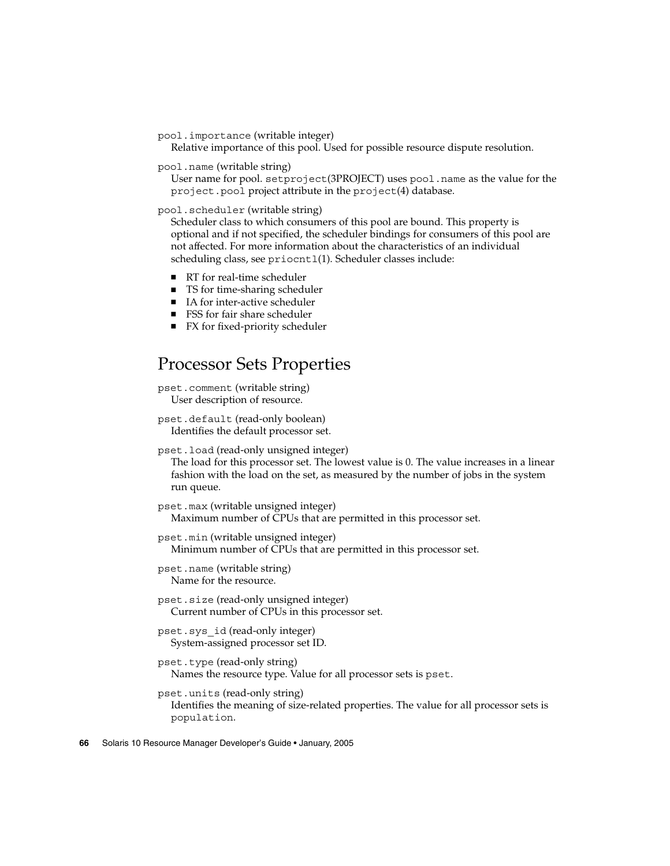pool.importance (writable integer)

Relative importance of this pool. Used for possible resource dispute resolution.

pool.name (writable string)

User name for pool. setproject(3PROJECT) uses pool.name as the value for the project.pool project attribute in the project(4) database.

#### pool.scheduler (writable string)

Scheduler class to which consumers of this pool are bound. This property is optional and if not specified, the scheduler bindings for consumers of this pool are not affected. For more information about the characteristics of an individual scheduling class, see priocnt1(1). Scheduler classes include:

- RT for real-time scheduler
- TS for time-sharing scheduler
- IA for inter-active scheduler
- FSS for fair share scheduler
- FX for fixed-priority scheduler

### Processor Sets Properties

pset.comment (writable string) User description of resource.

#### pset.default (read-only boolean) Identifies the default processor set.

pset.load (read-only unsigned integer)

The load for this processor set. The lowest value is 0. The value increases in a linear fashion with the load on the set, as measured by the number of jobs in the system run queue.

- pset.max (writable unsigned integer) Maximum number of CPUs that are permitted in this processor set.
- pset.min (writable unsigned integer) Minimum number of CPUs that are permitted in this processor set.

pset.name (writable string) Name for the resource.

- pset.size (read-only unsigned integer) Current number of CPUs in this processor set.
- pset.sys\_id (read-only integer) System-assigned processor set ID.
- pset.type (read-only string) Names the resource type. Value for all processor sets is pset.
- pset.units (read-only string) Identifies the meaning of size-related properties. The value for all processor sets is population.
- **66** Solaris 10 Resource Manager Developer's Guide January, 2005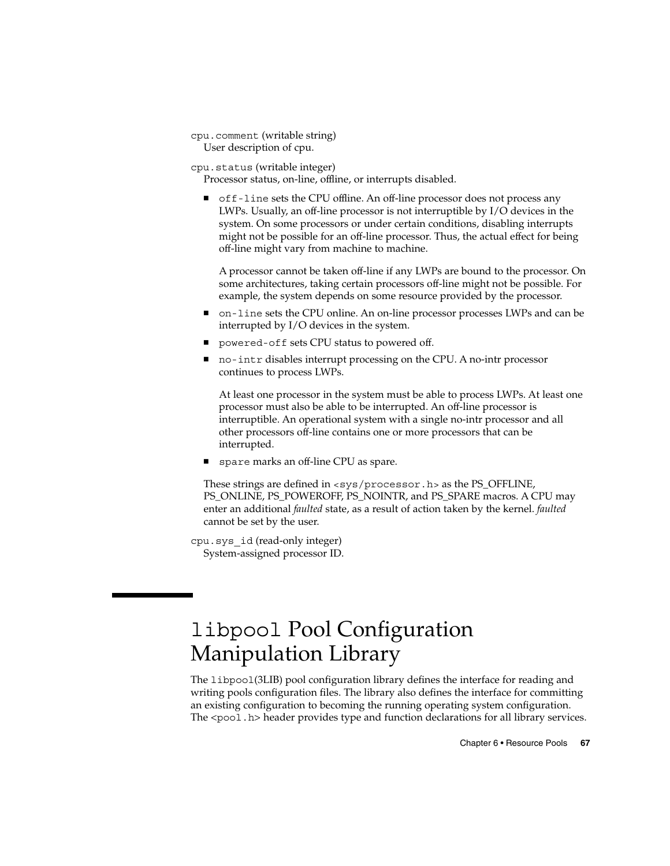cpu.comment (writable string) User description of cpu.

cpu.status (writable integer)

Processor status, on-line, offline, or interrupts disabled.

off-line sets the CPU offline. An off-line processor does not process any LWPs. Usually, an off-line processor is not interruptible by I/O devices in the system. On some processors or under certain conditions, disabling interrupts might not be possible for an off-line processor. Thus, the actual effect for being off-line might vary from machine to machine.

A processor cannot be taken off-line if any LWPs are bound to the processor. On some architectures, taking certain processors off-line might not be possible. For example, the system depends on some resource provided by the processor.

- on-line sets the CPU online. An on-line processor processes LWPs and can be interrupted by I/O devices in the system.
- powered-off sets CPU status to powered off.
- no-intr disables interrupt processing on the CPU. A no-intr processor continues to process LWPs.

At least one processor in the system must be able to process LWPs. At least one processor must also be able to be interrupted. An off-line processor is interruptible. An operational system with a single no-intr processor and all other processors off-line contains one or more processors that can be interrupted.

spare marks an off-line CPU as spare.

These strings are defined in <sys/processor.h> as the PS\_OFFLINE, PS\_ONLINE, PS\_POWEROFF, PS\_NOINTR, and PS\_SPARE macros. A CPU may enter an additional *faulted* state, as a result of action taken by the kernel. *faulted* cannot be set by the user.

cpu.sys\_id (read-only integer) System-assigned processor ID.

# libpool Pool Configuration Manipulation Library

The libpool(3LIB) pool configuration library defines the interface for reading and writing pools configuration files. The library also defines the interface for committing an existing configuration to becoming the running operating system configuration. The  $p$ ool.h> header provides type and function declarations for all library services.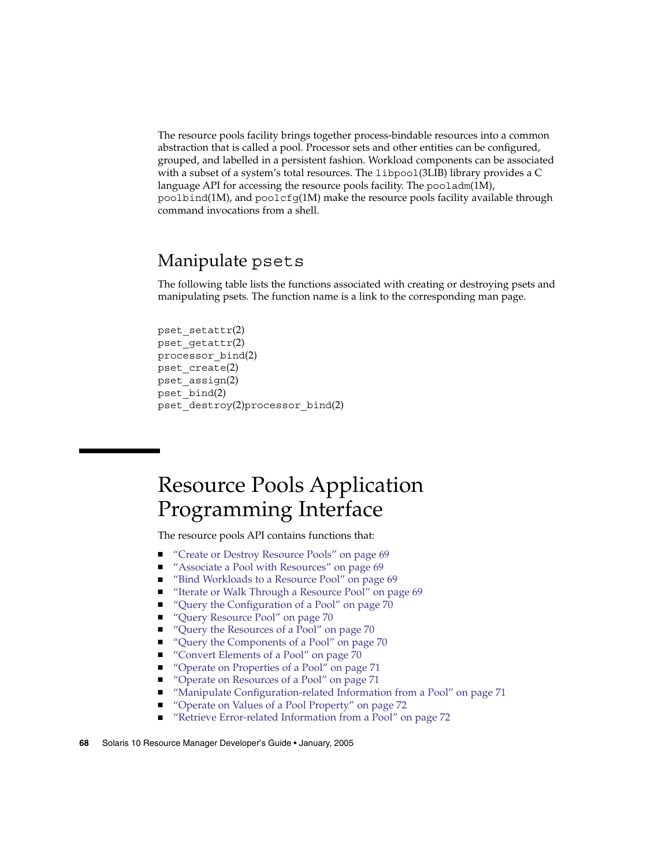<span id="page-67-0"></span>The resource pools facility brings together process-bindable resources into a common abstraction that is called a pool. Processor sets and other entities can be configured, grouped, and labelled in a persistent fashion. Workload components can be associated with a subset of a system's total resources. The libpool(3LIB) library provides a C language API for accessing the resource pools facility. The pooladm(1M), poolbind(1M), and poolcfg(1M) make the resource pools facility available through command invocations from a shell.

## Manipulate psets

The following table lists the functions associated with creating or destroying psets and manipulating psets. The function name is a link to the corresponding man page.

```
pset setattr(2)pset getattr(2)processor_bind(2)
pset create(2)
pset \text{assign}(2)pset bind(2)
pset destroy(2)processor bind(2)
```
# Resource Pools Application Programming Interface

The resource pools API contains functions that:

- ["Create or Destroy Resource Pools"](#page-68-0) on page 69
- *"*Associate a Pool with Resources" on page 69
- ["Bind Workloads to a Resource Pool"](#page-68-0) on page 69
- ["Iterate or Walk Through a Resource Pool"](#page-68-0) on page 69
- *"*Query the Configuration of a Pool" on page 70
- ["Query Resource Pool"](#page-69-0) on page 70
- ["Query the Resources of a Pool"](#page-69-0) on page 70
- ["Query the Components of a Pool"](#page-69-0) on page 70
- ["Convert Elements of a Pool"](#page-69-0) on page 70
- ["Operate on Properties of a Pool"](#page-70-0) on page 71
- ["Operate on Resources of a Pool"](#page-70-0) on page 71
- ["Manipulate Configuration-related Information from a Pool"](#page-70-0) on page 71
- ["Operate on Values of a Pool Property"](#page-71-0) on page 72
- ["Retrieve Error-related Information from a Pool"](#page-71-0) on page 72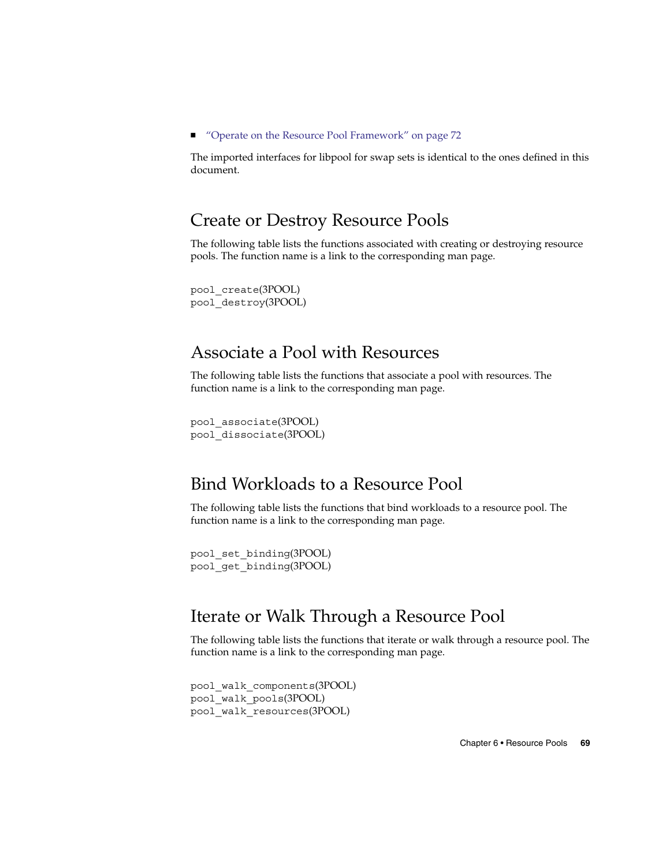<span id="page-68-0"></span>■ ["Operate on the Resource Pool Framework"](#page-71-0) on page 72

The imported interfaces for libpool for swap sets is identical to the ones defined in this document.

### Create or Destroy Resource Pools

The following table lists the functions associated with creating or destroying resource pools. The function name is a link to the corresponding man page.

pool\_create(3POOL) pool\_destroy(3POOL)

# Associate a Pool with Resources

The following table lists the functions that associate a pool with resources. The function name is a link to the corresponding man page.

pool\_associate(3POOL) pool\_dissociate(3POOL)

### Bind Workloads to a Resource Pool

The following table lists the functions that bind workloads to a resource pool. The function name is a link to the corresponding man page.

```
pool_set_binding(3POOL)
pool_get_binding(3POOL)
```
## Iterate or Walk Through a Resource Pool

The following table lists the functions that iterate or walk through a resource pool. The function name is a link to the corresponding man page.

pool\_walk\_components(3POOL) pool\_walk\_pools(3POOL) pool\_walk\_resources(3POOL)

Chapter 6 • Resource Pools **69**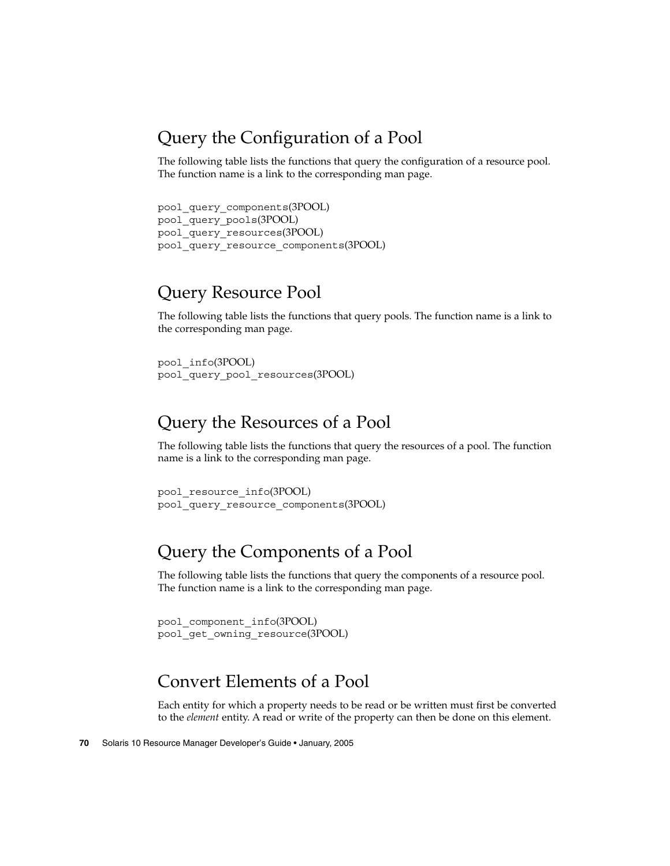## <span id="page-69-0"></span>Query the Configuration of a Pool

The following table lists the functions that query the configuration of a resource pool. The function name is a link to the corresponding man page.

```
pool_query_components(3POOL)
pool_query_pools(3POOL)
pool_query_resources(3POOL)
pool_query_resource_components(3POOL)
```
## Query Resource Pool

The following table lists the functions that query pools. The function name is a link to the corresponding man page.

```
pool_info(3POOL)
pool_query_pool_resources(3POOL)
```
## Query the Resources of a Pool

The following table lists the functions that query the resources of a pool. The function name is a link to the corresponding man page.

```
pool_resource_info(3POOL)
pool_query_resource_components(3POOL)
```
## Query the Components of a Pool

The following table lists the functions that query the components of a resource pool. The function name is a link to the corresponding man page.

```
pool_component_info(3POOL)
pool_get_owning_resource(3POOL)
```
# Convert Elements of a Pool

Each entity for which a property needs to be read or be written must first be converted to the *element* entity. A read or write of the property can then be done on this element.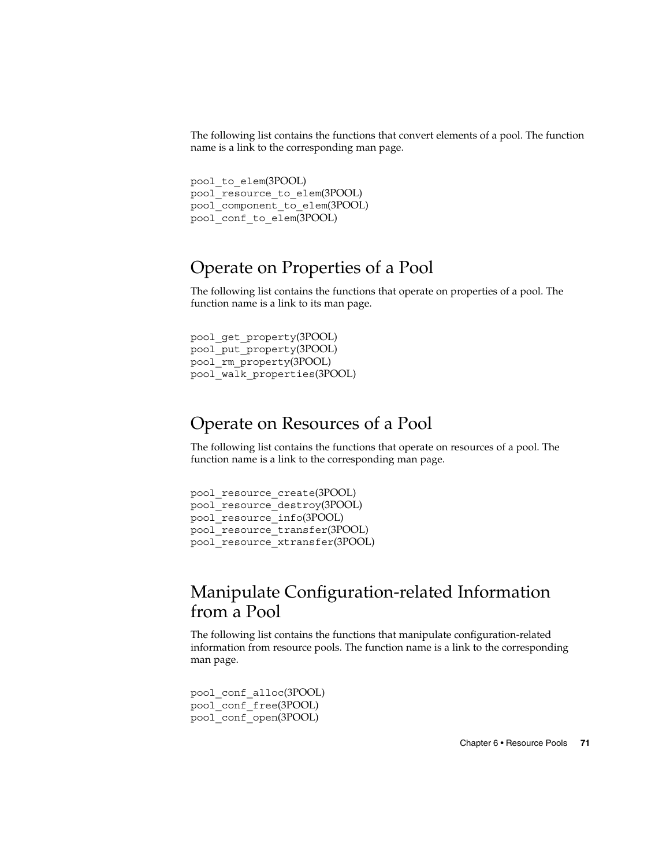<span id="page-70-0"></span>The following list contains the functions that convert elements of a pool. The function name is a link to the corresponding man page.

```
pool_to_elem(3POOL)
pool_resource_to_elem(3POOL)
pool component to elem(3POOL)
pool_conf_to_elem(3POOL)
```
### Operate on Properties of a Pool

The following list contains the functions that operate on properties of a pool. The function name is a link to its man page.

pool\_get\_property(3POOL) pool\_put\_property(3POOL) pool\_rm\_property(3POOL) pool\_walk\_properties(3POOL)

## Operate on Resources of a Pool

The following list contains the functions that operate on resources of a pool. The function name is a link to the corresponding man page.

```
pool_resource_create(3POOL)
pool_resource_destroy(3POOL)
pool_resource_info(3POOL)
pool_resource_transfer(3POOL)
pool_resource_xtransfer(3POOL)
```
# Manipulate Configuration-related Information from a Pool

The following list contains the functions that manipulate configuration-related information from resource pools. The function name is a link to the corresponding man page.

```
pool_conf_alloc(3POOL)
pool_conf_free(3POOL)
pool_conf_open(3POOL)
```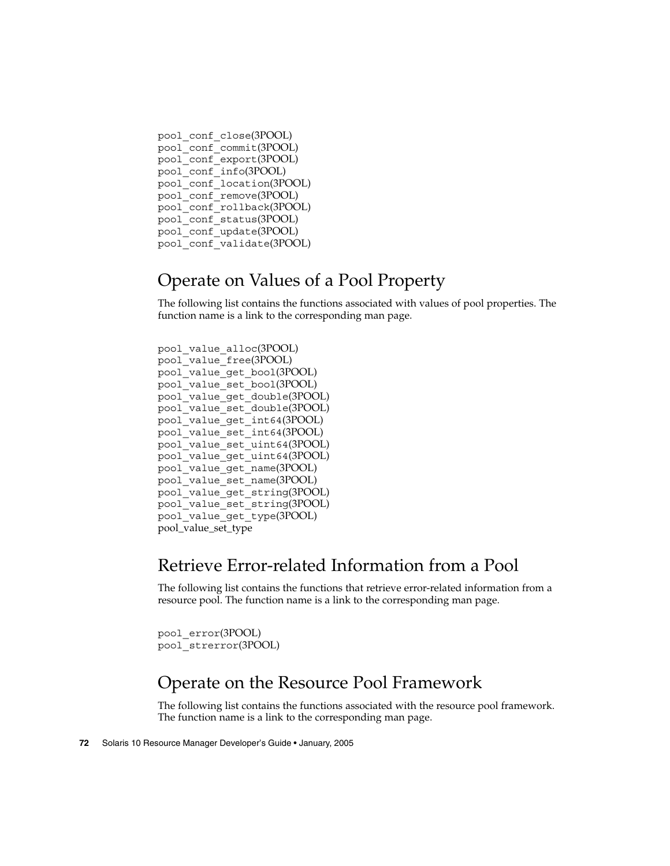```
pool_conf_close(3POOL)
pool_conf_commit(3POOL)
pool_conf_export(3POOL)
pool_conf_info(3POOL)
pool_conf_location(3POOL)
pool_conf_remove(3POOL)
pool_conf_rollback(3POOL)
pool_conf_status(3POOL)
pool_conf_update(3POOL)
pool_conf_validate(3POOL)
```
### Operate on Values of a Pool Property

The following list contains the functions associated with values of pool properties. The function name is a link to the corresponding man page.

```
pool_value_alloc(3POOL)
pool_value_free(3POOL)
pool_value_get_bool(3POOL)
pool value set bool(3POOL)
pool_value_get_double(3POOL)
pool_value_set_double(3POOL)
pool_value_get_int64(3POOL)
pool_value_set_int64(3POOL)
pool_value_set_uint64(3POOL)
pool_value_get_uint64(3POOL)
pool_value_get_name(3POOL)
pool_value_set_name(3POOL)
pool_value_get_string(3POOL)
pool_value_set_string(3POOL)
pool_value_get_type(3POOL)
pool_value_set_type
```
### Retrieve Error-related Information from a Pool

The following list contains the functions that retrieve error-related information from a resource pool. The function name is a link to the corresponding man page.

```
pool_error(3POOL)
pool_strerror(3POOL)
```
# Operate on the Resource Pool Framework

The following list contains the functions associated with the resource pool framework. The function name is a link to the corresponding man page.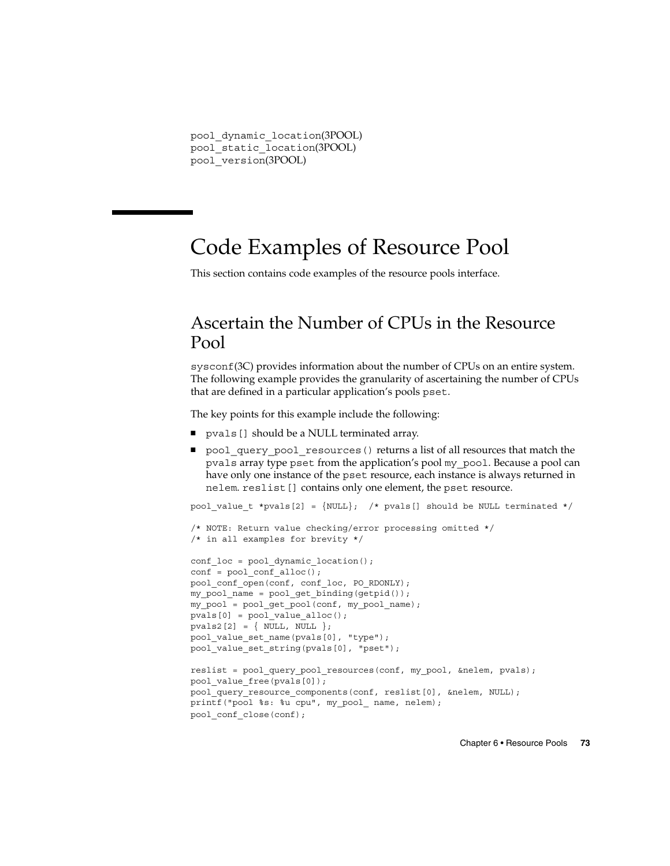```
pool_dynamic_location(3POOL)
pool_static_location(3POOL)
pool_version(3POOL)
```
# Code Examples of Resource Pool

This section contains code examples of the resource pools interface.

## Ascertain the Number of CPUs in the Resource Pool

sysconf(3C) provides information about the number of CPUs on an entire system. The following example provides the granularity of ascertaining the number of CPUs that are defined in a particular application's pools pset.

The key points for this example include the following:

- pvals [] should be a NULL terminated array.
- pool\_query\_pool\_resources() returns a list of all resources that match the pvals array type pset from the application's pool my\_pool. Because a pool can have only one instance of the pset resource, each instance is always returned in nelem. reslist[] contains only one element, the pset resource.

pool value t \*pvals[2] = {NULL}; /\* pvals[] should be NULL terminated \*/

```
/* NOTE: Return value checking/error processing omitted */
/* in all examples for brevity */
conf loc = pool dynamic location();
conf = pool_conf_alloc();
pool conf open(conf, conf loc, PO_RDONLY);
```

```
my_pool_name = pool_get_binding(getpid());
my_pool = pool_get_pool(conf, my_pool_name);
pvals[0] = pool value alloc();
pvals2[2] = \{ NULL, NULL \};pool_value_set_name(pvals[0], "type");
pool_value_set_string(pvals[0], "pset");
reslist = pool query pool resources(conf, my pool, &nelem, pvals);
pool_value_free(pvals[0]);
pool_query_resource_components(conf, reslist[0], &nelem, NULL);
printf("pool %s: %u cpu", my_pool_ name, nelem);
pool conf close(conf);
```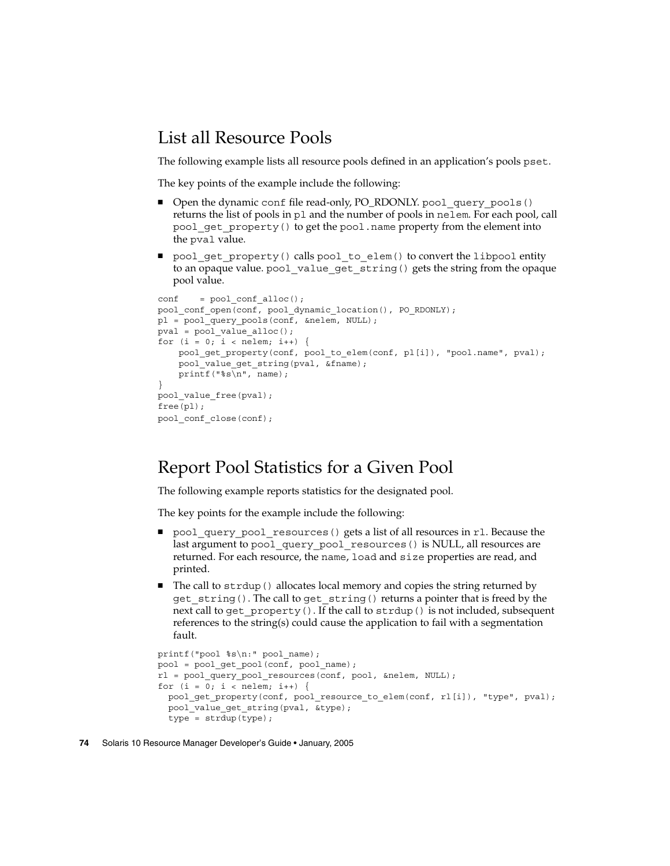## <span id="page-73-0"></span>List all Resource Pools

The following example lists all resource pools defined in an application's pools pset.

The key points of the example include the following:

- Open the dynamic conf file read-only, PO\_RDONLY. pool\_query\_pools() returns the list of pools in pl and the number of pools in nelem. For each pool, call pool\_get\_property() to get the pool.name property from the element into the pval value.
- pool get property() calls pool to elem() to convert the libpool entity to an opaque value. pool value qet string() gets the string from the opaque pool value.

```
conf = pool conf alloc();
pool_conf_open(conf, pool_dynamic_location(), PO_RDONLY);
pl = pool query pools(conf, &nelem, NULL);
pval = pool_value_alloc();
for (i = 0; i < nelem; i++) {
    pool get property(conf, pool to elem(conf, pl[i]), "pool.name", pval);
    pool value get string(pval, &fname);
    printf("%s\n", name);
}
pool_value_free(pval);
free(pl);
pool conf close(conf);
```
## Report Pool Statistics for a Given Pool

The following example reports statistics for the designated pool.

The key points for the example include the following:

- pool\_query\_pool\_resources() gets a list of all resources in rl. Because the last argument to pool\_query\_pool\_resources() is NULL, all resources are returned. For each resource, the name, load and size properties are read, and printed.
- The call to strdup() allocates local memory and copies the string returned by get string(). The call to get string() returns a pointer that is freed by the next call to get\_property(). If the call to strdup() is not included, subsequent references to the string(s) could cause the application to fail with a segmentation fault.

```
printf("pool %s\n:" pool_name);
pool = pool_get_pool(conf, pool_name);
rl = pool_query_pool_resources(conf, pool, &nelem, NULL);
for (i = 0; i < nelem; i++) {
  pool_get_property(conf, pool_resource_to_elem(conf, rl[i]), "type", pval);
  pool value get string(pval, &type);
  type = strdup(type);
```
#### **74** Solaris 10 Resource Manager Developer's Guide • January, 2005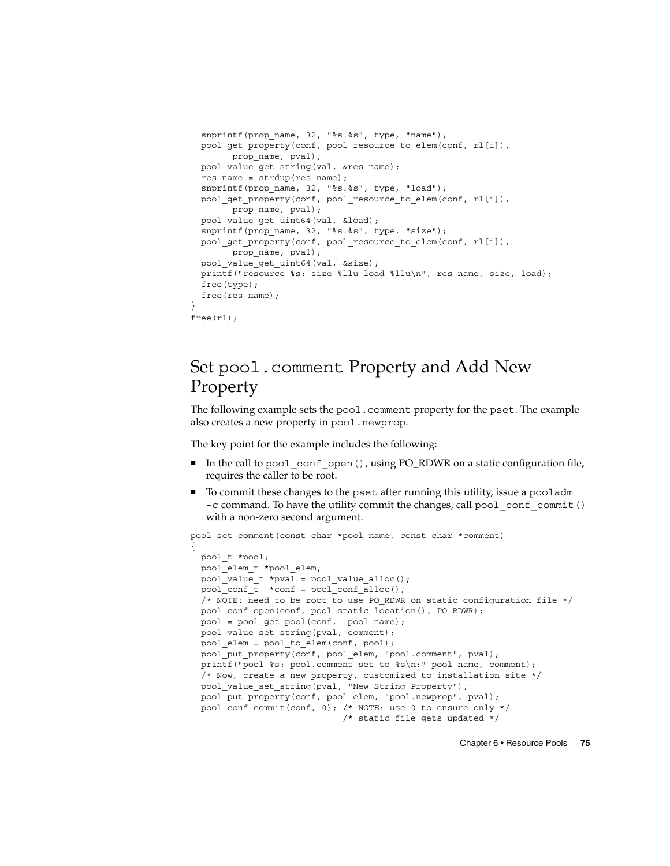```
snprintf(prop name, 32, "%s.%s", type, "name");
 pool get property(conf, pool resource to elem(conf, rl[i]),
       prop name, pval);
  pool value get string(val, &res name);
 res name = strdup(res name);
  snprintf(prop_name, 32, "%s.%s", type, "load");
 pool get property(conf, pool resource to elem(conf, rl[i]),
       prop_name, pval);
 pool value get uint64(val, &load);
  snprintf(prop_name, 32, "%s.%s", type, "size");
 pool get property(conf, pool resource to elem(conf, rl[i]),
       prop_name, pval);
 pool value get uint64(val, &size);
 printf("resource %s: size %llu load %llu\n", res name, size, load);
 free(type);
  free(res name);
free(rl);
```
# Set pool.comment Property and Add New Property

The following example sets the pool.comment property for the pset. The example also creates a new property in pool.newprop.

The key point for the example includes the following:

}

- In the call to pool conf open(), using PO\_RDWR on a static configuration file, requires the caller to be root.
- To commit these changes to the pset after running this utility, issue a pooladm -c command. To have the utility commit the changes, call pool\_conf\_commit() with a non-zero second argument.

```
pool_set_comment(const char *pool_name, const char *comment)
{
 pool_t *pool;
 pool elem t *pool elem;
 pool value t *pval = pool value alloc();
 pool_conf_t *conf = pool_conf_alloc();
  /* NOTE: need to be root to use PO_RDWR on static configuration file */
 pool_conf_open(conf, pool_static_location(), PO_RDWR);
 pool = pool get pool(conf, pool name);pool value set string(pval, comment);
 pool_elem = pool_to_elem(conf, pool);
 pool_put_property(conf, pool_elem, "pool.comment", pval);
 printf("pool %s: pool.comment set to %s\n:" pool_name, comment);
  /* Now, create a new property, customized to installation site */
 pool_value_set_string(pval, "New String Property");
 pool_put_property(conf, pool_elem, "pool.newprop", pval);
 pool conf commit(conf, 0); /* NOTE: use 0 to ensure only */
                             /* static file gets updated */
```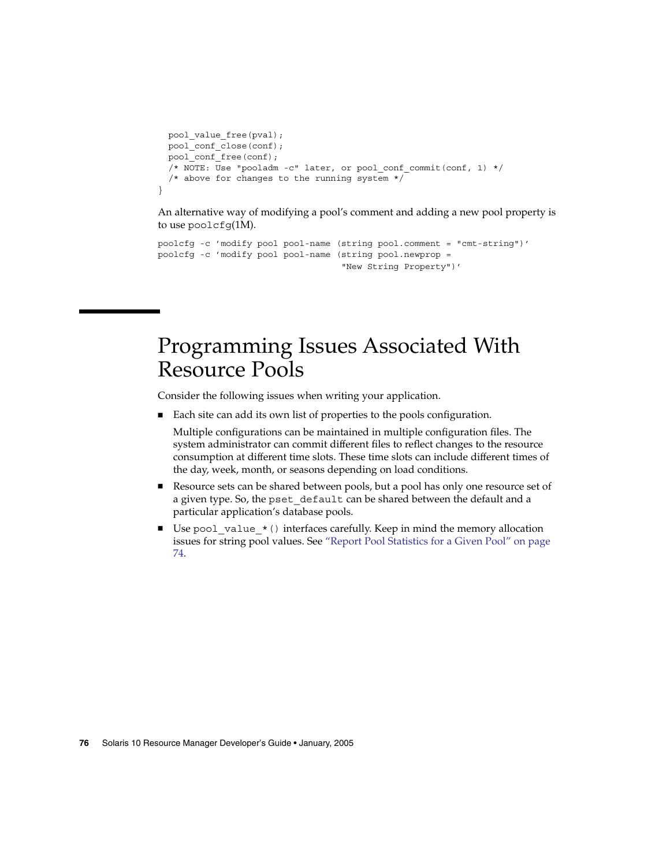```
pool_value_free(pval);
 pool_conf_close(conf);
 pool_conf_free(conf);
  /* NOTE: Use "pooladm -c" later, or pool_conf_commit(conf, 1) */
  /* above for changes to the running system */
}
```
An alternative way of modifying a pool's comment and adding a new pool property is to use poolcfg(1M).

```
poolcfg -c 'modify pool pool-name (string pool.comment = "cmt-string")'
poolcfg -c 'modify pool pool-name (string pool.newprop =
                                  "New String Property")'
```
# Programming Issues Associated With Resource Pools

Consider the following issues when writing your application.

- Each site can add its own list of properties to the pools configuration.
- Multiple configurations can be maintained in multiple configuration files. The system administrator can commit different files to reflect changes to the resource consumption at different time slots. These time slots can include different times of the day, week, month, or seasons depending on load conditions.
- Resource sets can be shared between pools, but a pool has only one resource set of a given type. So, the pset\_default can be shared between the default and a particular application's database pools.
- Use pool\_value\_\*() interfaces carefully. Keep in mind the memory allocation issues for string pool values. See ["Report Pool Statistics for a Given Pool"](#page-73-0) on page [74.](#page-73-0)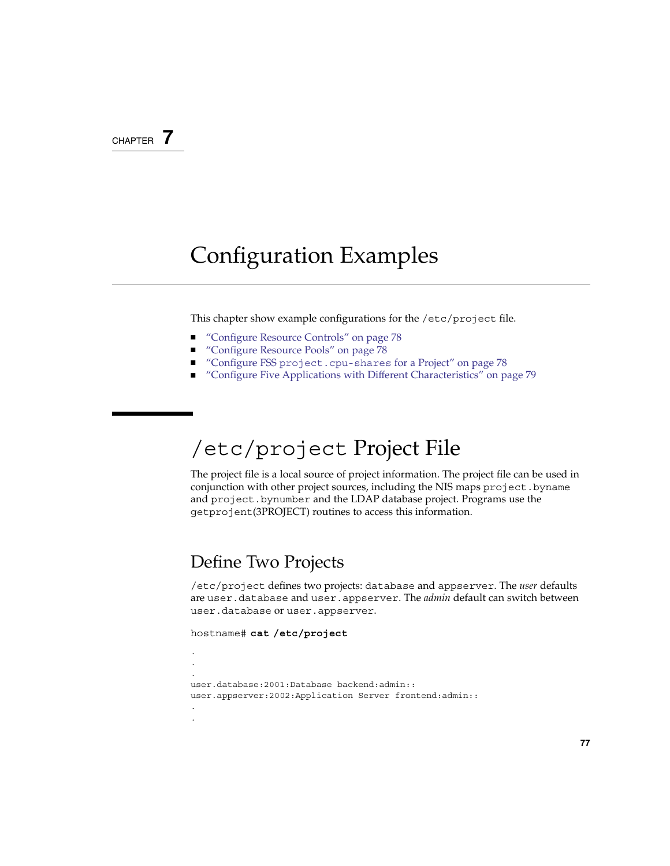#### CHAPTER **7**

# Configuration Examples

This chapter show example configurations for the /etc/project file.

- ["Configure Resource Controls"](#page-77-0) on page 78
- ["Configure Resource Pools"](#page-77-0) on page 78
- "Configure FSS [project.cpu-shares](#page-77-0) for a Project" on page 78
- ["Configure Five Applications with Different Characteristics"](#page-78-0) on page 79

# /etc/project Project File

The project file is a local source of project information. The project file can be used in conjunction with other project sources, including the NIS maps project.byname and project.bynumber and the LDAP database project. Programs use the getprojent(3PROJECT) routines to access this information.

## Define Two Projects

/etc/project defines two projects: database and appserver. The *user* defaults are user.database and user.appserver. The *admin* default can switch between user.database or user.appserver.

hostname# **cat /etc/project**

.

```
.
.
.
user.database:2001:Database backend:admin::
user.appserver:2002:Application Server frontend:admin::
.
```
**77**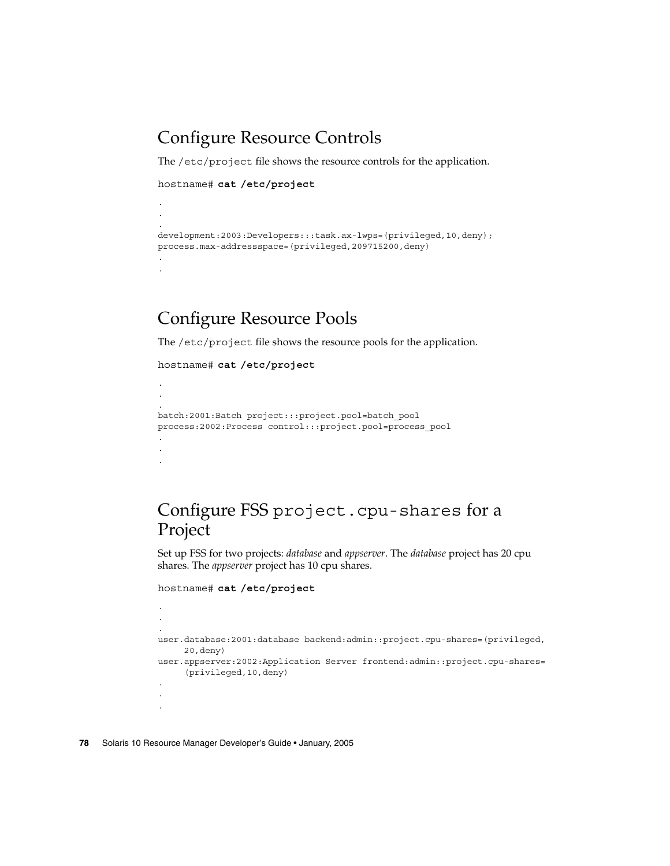### <span id="page-77-0"></span>Configure Resource Controls

The /etc/project file shows the resource controls for the application.

hostname# **cat /etc/project**

```
.
.
.
development:2003:Developers:::task.ax-lwps=(privileged,10,deny);
process.max-addressspace=(privileged,209715200,deny)
.
.
```
## Configure Resource Pools

The /etc/project file shows the resource pools for the application.

hostname# **cat /etc/project**

```
.
.
.
batch:2001:Batch project:::project.pool=batch_pool
process:2002:Process control:::project.pool=process_pool
.
.
.
```
# Configure FSS project.cpu-shares for a Project

Set up FSS for two projects: *database* and *appserver*. The *database* project has 20 cpu shares. The *appserver* project has 10 cpu shares.

hostname# **cat /etc/project**

```
.
.
.
user.database:2001:database backend:admin::project.cpu-shares=(privileged,
    20,deny)
user.appserver:2002:Application Server frontend:admin::project.cpu-shares=
     (privileged,10,deny)
.
.
.
```
**78** Solaris 10 Resource Manager Developer's Guide • January, 2005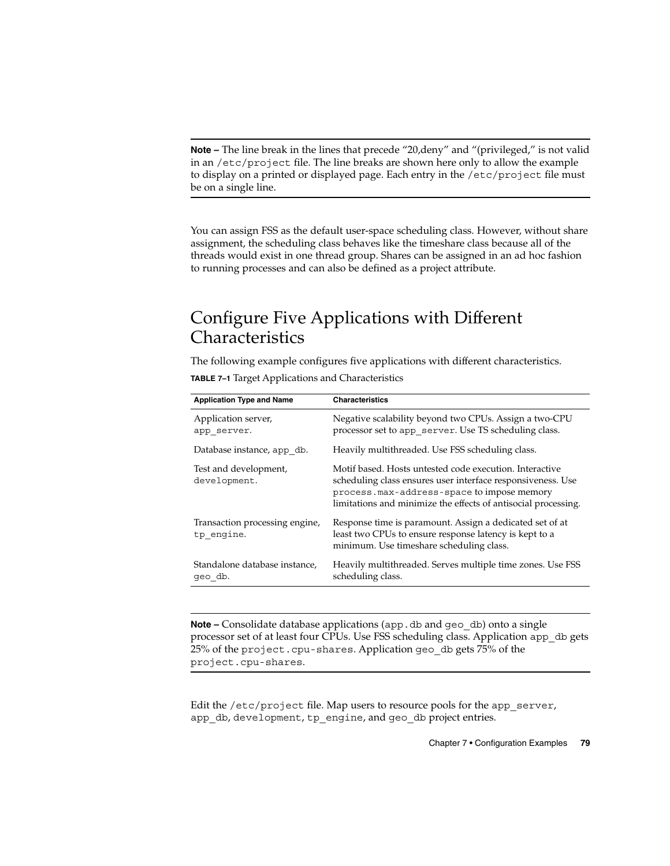<span id="page-78-0"></span>**Note –** The line break in the lines that precede "20,deny" and "(privileged," is not valid in an /etc/project file. The line breaks are shown here only to allow the example to display on a printed or displayed page. Each entry in the /etc/project file must be on a single line.

You can assign FSS as the default user-space scheduling class. However, without share assignment, the scheduling class behaves like the timeshare class because all of the threads would exist in one thread group. Shares can be assigned in an ad hoc fashion to running processes and can also be defined as a project attribute.

# Configure Five Applications with Different **Characteristics**

The following example configures five applications with different characteristics. **TABLE 7–1** Target Applications and Characteristics

| <b>Application Type and Name</b>             | <b>Characteristics</b>                                                                                                                                                                                                                 |
|----------------------------------------------|----------------------------------------------------------------------------------------------------------------------------------------------------------------------------------------------------------------------------------------|
| Application server,<br>app server.           | Negative scalability beyond two CPUs. Assign a two-CPU<br>processor set to app server. Use TS scheduling class.                                                                                                                        |
| Database instance, app db.                   | Heavily multithreaded. Use FSS scheduling class.                                                                                                                                                                                       |
| Test and development,<br>development.        | Motif based. Hosts untested code execution. Interactive<br>scheduling class ensures user interface responsiveness. Use<br>process.max-address-space to impose memory<br>limitations and minimize the effects of antisocial processing. |
| Transaction processing engine,<br>tp engine. | Response time is paramount. Assign a dedicated set of at<br>least two CPUs to ensure response latency is kept to a<br>minimum. Use timeshare scheduling class.                                                                         |
| Standalone database instance,<br>geo db.     | Heavily multithreaded. Serves multiple time zones. Use FSS<br>scheduling class.                                                                                                                                                        |

**Note** – Consolidate database applications (app.db and geo db) onto a single processor set of at least four CPUs. Use FSS scheduling class. Application app\_db gets 25% of the project.cpu-shares. Application geo\_db gets 75% of the project.cpu-shares.

Edit the /etc/project file. Map users to resource pools for the app\_server, app\_db, development, tp\_engine, and geo\_db project entries.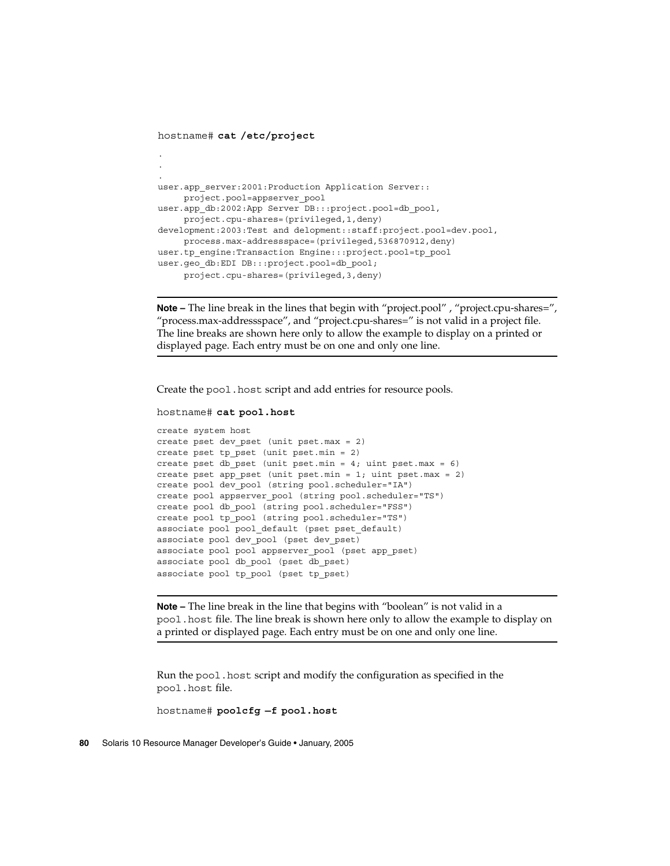#### hostname# **cat /etc/project**

```
.
.
.
user.app server:2001:Production Application Server::
    project.pool=appserver_pool
user.app_db:2002:App Server DB:::project.pool=db_pool,
    project.cpu-shares=(privileged,1,deny)
development:2003:Test and delopment::staff:project.pool=dev.pool,
    process.max-addressspace=(privileged,536870912,deny)
user.tp_engine:Transaction Engine:::project.pool=tp_pool
user.geo db:EDI DB:::project.pool=db pool;
     project.cpu-shares=(privileged,3,deny)
```
**Note** – The line break in the lines that begin with "project.pool", "project.cpu-shares=", "process.max-addressspace", and "project.cpu-shares=" is not valid in a project file. The line breaks are shown here only to allow the example to display on a printed or displayed page. Each entry must be on one and only one line.

Create the pool.host script and add entries for resource pools.

```
hostname# cat pool.host
```

```
create system host
create pset dev_pset (unit pset.max = 2)
create pset tp pset (unit pset.min = 2)
create pset db_pset (unit pset.min = 4; uint pset.max = 6)
create pset app_pset (unit pset.min = 1; uint pset.max = 2)
create pool dev pool (string pool.scheduler="IA")
create pool appserver pool (string pool.scheduler="TS")
create pool db_pool (string pool.scheduler="FSS")
create pool tp_pool (string pool.scheduler="TS")
associate pool pool default (pset pset default)
associate pool dev pool (pset dev pset)
associate pool pool appserver_pool (pset app_pset)
associate pool db pool (pset db pset)
associate pool tp_pool (pset tp_pset)
```
**Note –** The line break in the line that begins with "boolean" is not valid in a pool.host file. The line break is shown here only to allow the example to display on a printed or displayed page. Each entry must be on one and only one line.

Run the pool.host script and modify the configuration as specified in the pool.host file.

hostname# **poolcfg —f pool.host**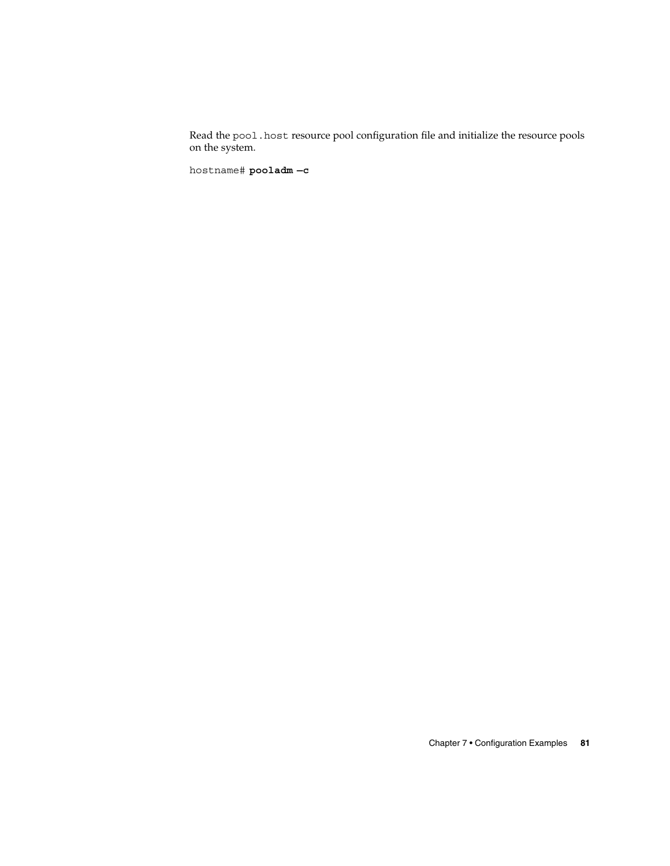Read the pool.host resource pool configuration file and initialize the resource pools on the system.

hostname# **pooladm —c**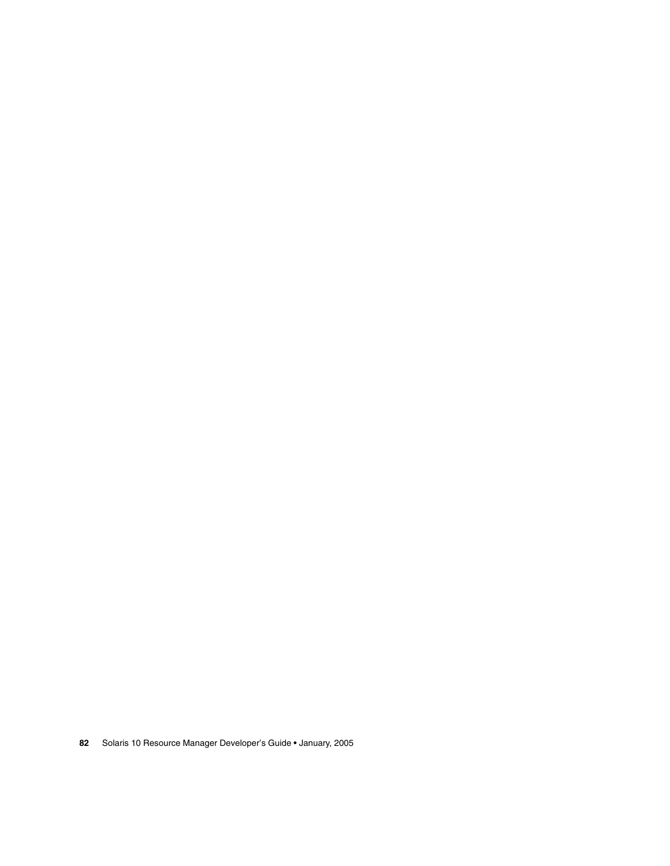Solaris 10 Resource Manager Developer's Guide • January, 2005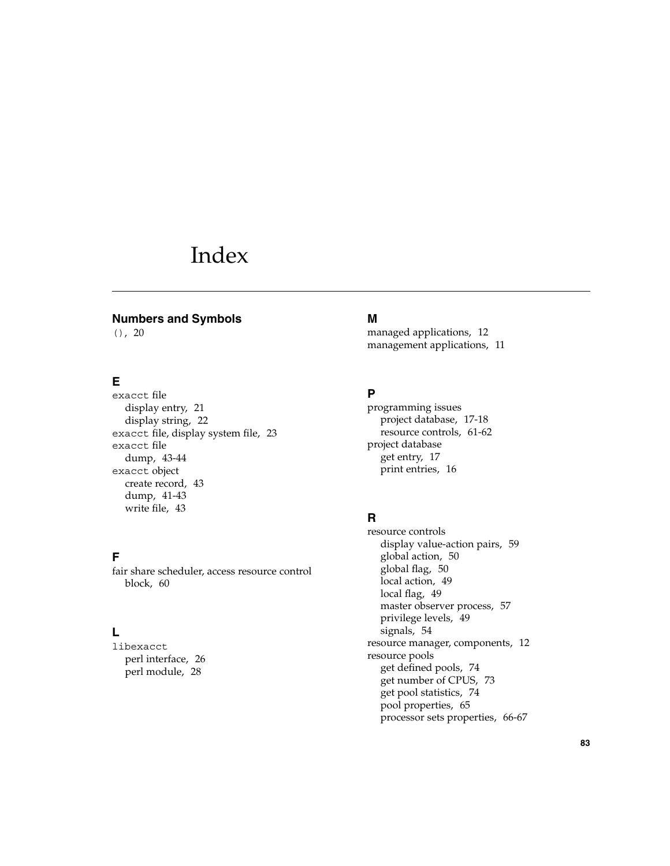# Index

#### **Numbers and Symbols**

 $()$ , [20](#page-19-0)

#### **E**

exacct file display entry, [21](#page-20-0) display string, [22](#page-21-0) exacct file, display system file, [23](#page-22-0) exacct file dump, [43-44](#page-42-0) exacct object create record, [43](#page-42-0) dump, [41-43](#page-40-0) write file, [43](#page-42-0)

#### **F**

fair share scheduler, access resource control block, [60](#page-59-0)

### **L**

libexacct perl interface, [26](#page-25-0) perl module, [28](#page-27-0)

#### **M**

managed applications, [12](#page-11-0) management applications, [11](#page-10-0)

#### **P**

programming issues project database, [17-18](#page-16-0) resource controls, [61-62](#page-60-0) project database get entry, [17](#page-16-0) print entries, [16](#page-15-0)

#### **R**

resource controls display value-action pairs, [59](#page-58-0) global action, [50](#page-49-0) global flag, [50](#page-49-0) local action, [49](#page-48-0) local flag, [49](#page-48-0) master observer process, [57](#page-56-0) privilege levels, [49](#page-48-0) signals, [54](#page-53-0) resource manager, components, [12](#page-11-0) resource pools get defined pools, [74](#page-73-0) get number of CPUS, [73](#page-72-0) get pool statistics, [74](#page-73-0) pool properties, [65](#page-64-0) processor sets properties, [66-67](#page-65-0)